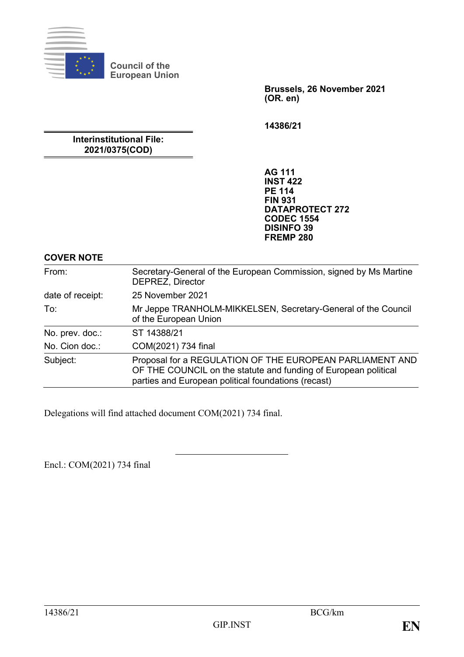

**Council of the European Union**

> **Brussels, 26 November 2021 (OR. en)**

**14386/21**

**Interinstitutional File: 2021/0375(COD)**

> **AG 111 INST 422 PE 114 FIN 931 DATAPROTECT 272 CODEC 1554 DISINFO 39 FREMP 280**

**COVER NOTE**

| From:            | Secretary-General of the European Commission, signed by Ms Martine<br><b>DEPREZ, Director</b>                                                                                      |
|------------------|------------------------------------------------------------------------------------------------------------------------------------------------------------------------------------|
| date of receipt: | 25 November 2021                                                                                                                                                                   |
| To:              | Mr Jeppe TRANHOLM-MIKKELSEN, Secretary-General of the Council<br>of the European Union                                                                                             |
| No. prev. doc.:  | ST 14388/21                                                                                                                                                                        |
| No. Cion doc.:   | COM(2021) 734 final                                                                                                                                                                |
| Subject:         | Proposal for a REGULATION OF THE EUROPEAN PARLIAMENT AND<br>OF THE COUNCIL on the statute and funding of European political<br>parties and European political foundations (recast) |

Delegations will find attached document COM(2021) 734 final.

Encl.: COM(2021) 734 final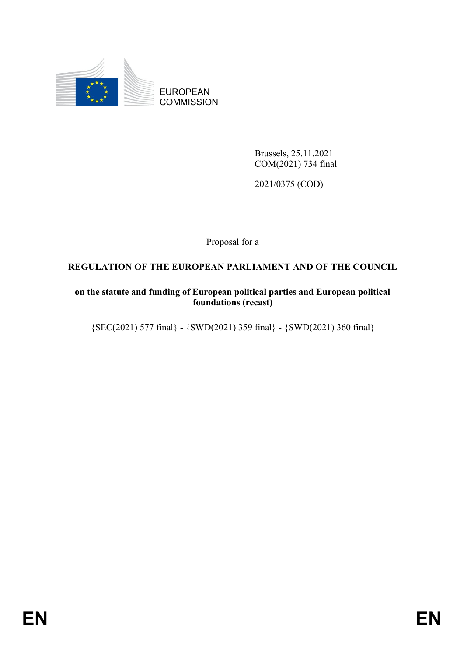

EUROPEAN **COMMISSION** 

> Brussels, 25.11.2021 COM(2021) 734 final

2021/0375 (COD)

Proposal for a

## **REGULATION OF THE EUROPEAN PARLIAMENT AND OF THE COUNCIL**

#### **on the statute and funding of European political parties and European political foundations (recast)**

{SEC(2021) 577 final} - {SWD(2021) 359 final} - {SWD(2021) 360 final}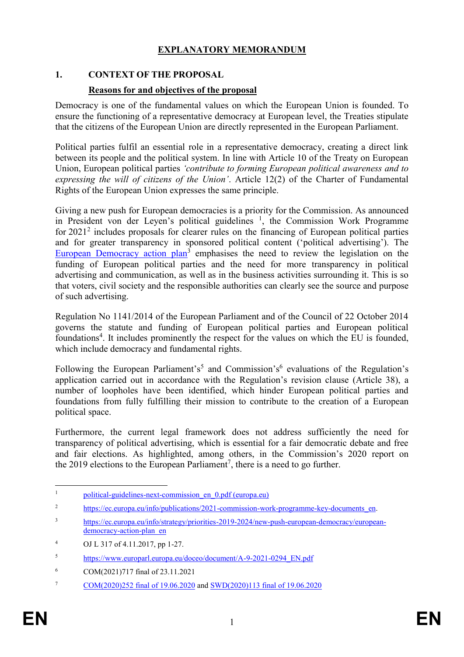#### **EXPLANATORY MEMORANDUM**

#### **1. CONTEXT OF THE PROPOSAL**

#### **Reasons for and objectives of the proposal**

Democracy is one of the fundamental values on which the European Union is founded. To ensure the functioning of a representative democracy at European level, the Treaties stipulate that the citizens of the European Union are directly represented in the European Parliament.

Political parties fulfil an essential role in a representative democracy, creating a direct link between its people and the political system. In line with Article 10 of the Treaty on European Union, European political parties *'contribute to forming European political awareness and to expressing the will of citizens of the Union'*. Article 12(2) of the Charter of Fundamental Rights of the European Union expresses the same principle.

Giving a new push for European democracies is a priority for the Commission. As announced in President von der Leyen's political guidelines  $\frac{1}{1}$ , the Commission Work Programme for 2021<sup>2</sup> includes proposals for clearer rules on the financing of European political parties and for greater transparency in sponsored political content ('political advertising'). The [European Democracy action plan](https://ec.europa.eu/info/strategy/priorities-2019-2024/new-push-european-democracy/european-democracy-action-plan_en)<sup>3</sup> emphasises the need to review the legislation on the funding of European political parties and the need for more transparency in political advertising and communication, as well as in the business activities surrounding it. This is so that voters, civil society and the responsible authorities can clearly see the source and purpose of such advertising.

Regulation No 1141/2014 of the European Parliament and of the Council of 22 October 2014 governs the statute and funding of European political parties and European political foundations<sup>4</sup>. It includes prominently the respect for the values on which the EU is founded, which include democracy and fundamental rights.

Following the European Parliament's<sup>5</sup> and Commission's<sup>6</sup> evaluations of the Regulation's application carried out in accordance with the Regulation's revision clause (Article 38), a number of loopholes have been identified, which hinder European political parties and foundations from fully fulfilling their mission to contribute to the creation of a European political space.

Furthermore, the current legal framework does not address sufficiently the need for transparency of political advertising, which is essential for a fair democratic debate and free and fair elections. As highlighted, among others, in the Commission's 2020 report on the 2019 elections to the European Parliament<sup>7</sup>, there is a need to go further.

<sup>3</sup> [https://ec.europa.eu/info/strategy/priorities-2019-2024/new-push-european-democracy/european](https://ec.europa.eu/info/strategy/priorities-2019-2024/new-push-european-democracy/european-democracy-action-plan_en)[democracy-action-plan\\_en](https://ec.europa.eu/info/strategy/priorities-2019-2024/new-push-european-democracy/european-democracy-action-plan_en)

 $\mathbf{1}$ [political-guidelines-next-commission\\_en\\_0.pdf \(europa.eu\)](https://ec.europa.eu/info/sites/default/files/political-guidelines-next-commission_en_0.pdf)

<sup>&</sup>lt;sup>2</sup> https://ec.europa.eu/info/publications/2021-commission-work-programme-key-documents en.

<sup>4</sup> OJ L 317 of 4.11.2017, pp 1-27.

<sup>5</sup> [https://www.europarl.europa.eu/doceo/document/A-9-2021-0294\\_EN.pdf](https://www.europarl.europa.eu/doceo/document/A-9-2021-0294_EN.pdf)

<sup>6</sup> COM(2021)717 final of 23.11.2021

<sup>7</sup> [COM\(2020\)252 final of 19.06.2020](https://eur-lex.europa.eu/legal-content/EN/TXT/?uri=CELEX%3A52020DC0252&qid=1635355723878) and [SWD\(2020\)113 final of 19.06.2020](https://eur-lex.europa.eu/legal-content/EN/TXT/?uri=CELEX%3A52020SC0113&qid=1635355861708)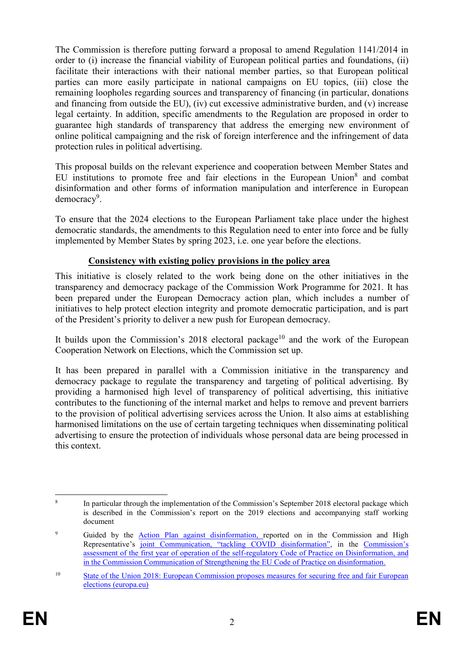The Commission is therefore putting forward a proposal to amend Regulation 1141/2014 in order to (i) increase the financial viability of European political parties and foundations, (ii) facilitate their interactions with their national member parties, so that European political parties can more easily participate in national campaigns on EU topics, (iii) close the remaining loopholes regarding sources and transparency of financing (in particular, donations and financing from outside the EU), (iv) cut excessive administrative burden, and (v) increase legal certainty. In addition, specific amendments to the Regulation are proposed in order to guarantee high standards of transparency that address the emerging new environment of online political campaigning and the risk of foreign interference and the infringement of data protection rules in political advertising.

This proposal builds on the relevant experience and cooperation between Member States and EU institutions to promote free and fair elections in the European Union<sup>8</sup> and combat disinformation and other forms of information manipulation and interference in European democracy<sup>9</sup>.

To ensure that the 2024 elections to the European Parliament take place under the highest democratic standards, the amendments to this Regulation need to enter into force and be fully implemented by Member States by spring 2023, i.e. one year before the elections.

#### **Consistency with existing policy provisions in the policy area**

This initiative is closely related to the work being done on the other initiatives in the transparency and democracy package of the Commission Work Programme for 2021. It has been prepared under the European Democracy action plan, which includes a number of initiatives to help protect election integrity and promote democratic participation, and is part of the President's priority to deliver a new push for European democracy.

It builds upon the Commission's  $2018$  electoral package<sup>10</sup> and the work of the European Cooperation Network on Elections, which the Commission set up.

It has been prepared in parallel with a Commission initiative in the transparency and democracy package to regulate the transparency and targeting of political advertising. By providing a harmonised high level of transparency of political advertising, this initiative contributes to the functioning of the internal market and helps to remove and prevent barriers to the provision of political advertising services across the Union. It also aims at establishing harmonised limitations on the use of certain targeting techniques when disseminating political advertising to ensure the protection of individuals whose personal data are being processed in this context.

 8 In particular through the implementation of the Commission's September 2018 electoral package which is described in the Commission's report on the 2019 elections and accompanying staff working document

<sup>&</sup>lt;sup>9</sup> Guided by the [Action Plan against disinformation,](https://eeas.europa.eu/headquarters/headquarters-homepage_en/54866/Action%20Plan%20against%20Disinformation) reported on in the Commission and High Representative's [joint Communication, "tackling COVID disinformation"](https://ec.europa.eu/info/sites/info/files/communication-tackling-covid-19-disinformation-getting-facts-right_en.pdf), in the Commission's [assessment of the first year of operation of the self-regulatory Code of Practice on Disinformation,](https://ec.europa.eu/digital-single-market/en/news/assessment-code-practice-disinformation-achievements-and-areas-further-improvement) and in the Commission Communication o[f Strengthening the EU Code of Practice on disinformation.](https://ec.europa.eu/info/strategy/priorities-2019-2024/new-push-european-democracy/european-democracy-action-plan/strengthening-eu-code-practice-disinformation_en#strengthening-the-code-of-practice-on-disinformation)

<sup>&</sup>lt;sup>10</sup> State of the Union 2018: European Commission proposes measures for securing free and fair European [elections \(europa.eu\)](https://ec.europa.eu/commission/presscorner/detail/en/IP_18_5681)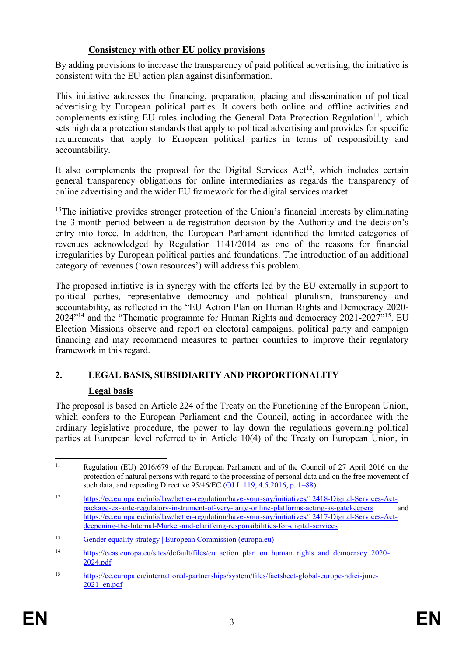## **Consistency with other EU policy provisions**

By adding provisions to increase the transparency of paid political advertising, the initiative is consistent with the EU action plan against disinformation.

This initiative addresses the financing, preparation, placing and dissemination of political advertising by European political parties. It covers both online and offline activities and complements existing EU rules including the General Data Protection Regulation<sup>11</sup>, which sets high data protection standards that apply to political advertising and provides for specific requirements that apply to European political parties in terms of responsibility and accountability.

It also complements the proposal for the Digital Services  $Act^{12}$ , which includes certain general transparency obligations for online intermediaries as regards the transparency of online advertising and the wider EU framework for the digital services market.

 $13$ The initiative provides stronger protection of the Union's financial interests by eliminating the 3-month period between a de-registration decision by the Authority and the decision's entry into force. In addition, the European Parliament identified the limited categories of revenues acknowledged by Regulation 1141/2014 as one of the reasons for financial irregularities by European political parties and foundations. The introduction of an additional category of revenues ('own resources') will address this problem.

The proposed initiative is in synergy with the efforts led by the EU externally in support to political parties, representative democracy and political pluralism, transparency and accountability, as reflected in the "EU Action Plan on Human Rights and Democracy 2020- 2024"<sup>14</sup> and the "Thematic programme for Human Rights and democracy 2021-2027"<sup>15</sup>. EU Election Missions observe and report on electoral campaigns, political party and campaign financing and may recommend measures to partner countries to improve their regulatory framework in this regard.

# **2. LEGAL BASIS, SUBSIDIARITY AND PROPORTIONALITY**

## **Legal basis**

The proposal is based on Article 224 of the Treaty on the Functioning of the European Union, which confers to the European Parliament and the Council, acting in accordance with the ordinary legislative procedure, the power to lay down the regulations governing political parties at European level referred to in Article 10(4) of the Treaty on European Union, in

 $11$ Regulation (EU) 2016/679 of the European Parliament and of the Council of 27 April 2016 on the protection of natural persons with regard to the processing of personal data and on the free movement of such data, and repealing Directive  $95/46$ /EC [\(OJ L 119, 4.5.2016, p. 1](https://eur-lex.europa.eu/legal-content/EN/TXT/?uri=CELEX%3A32016R0679)–88).

<sup>12</sup> [https://ec.europa.eu/info/law/better-regulation/have-your-say/initiatives/12418-Digital-Services-Act](https://ec.europa.eu/info/law/better-regulation/have-your-say/initiatives/12418-Digital-Services-Act-package-ex-ante-regulatory-instrument-of-very-large-online-platforms-acting-as-gatekeepers)[package-ex-ante-regulatory-instrument-of-very-large-online-platforms-acting-as-gatekeepers](https://ec.europa.eu/info/law/better-regulation/have-your-say/initiatives/12418-Digital-Services-Act-package-ex-ante-regulatory-instrument-of-very-large-online-platforms-acting-as-gatekeepers) and [https://ec.europa.eu/info/law/better-regulation/have-your-say/initiatives/12417-Digital-Services-Act](https://ec.europa.eu/info/law/better-regulation/have-your-say/initiatives/12417-Digital-Services-Act-deepening-the-Internal-Market-and-clarifying-responsibilities-for-digital-services)[deepening-the-Internal-Market-and-clarifying-responsibilities-for-digital-services](https://ec.europa.eu/info/law/better-regulation/have-your-say/initiatives/12417-Digital-Services-Act-deepening-the-Internal-Market-and-clarifying-responsibilities-for-digital-services)

<sup>13</sup> [Gender equality strategy | European Commission \(europa.eu\)](https://ec.europa.eu/info/policies/justice-and-fundamental-rights/gender-equality/gender-equality-strategy_en)

<sup>&</sup>lt;sup>14</sup> [https://eeas.europa.eu/sites/default/files/eu\\_action\\_plan\\_on\\_human\\_rights\\_and\\_democracy\\_2020-](https://eeas.europa.eu/sites/default/files/eu_action_plan_on_human_rights_and_democracy_2020-2024.pdf) [2024.pdf](https://eeas.europa.eu/sites/default/files/eu_action_plan_on_human_rights_and_democracy_2020-2024.pdf)

<sup>15</sup> [https://ec.europa.eu/international-partnerships/system/files/factsheet-global-europe-ndici-june-](https://ec.europa.eu/international-partnerships/system/files/factsheet-global-europe-ndici-june-2021_en.pdf)[2021\\_en.pdf](https://ec.europa.eu/international-partnerships/system/files/factsheet-global-europe-ndici-june-2021_en.pdf)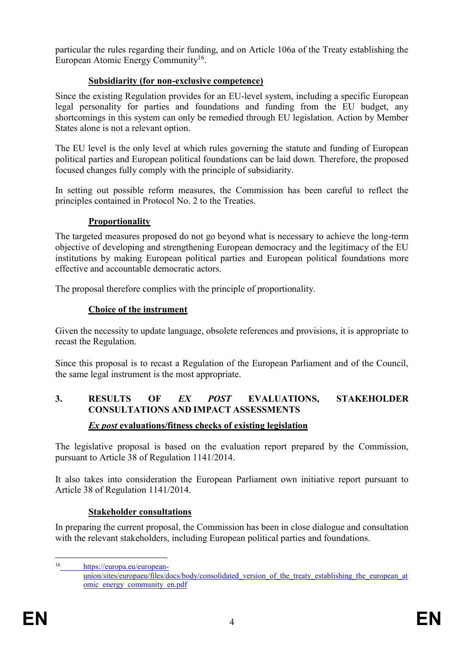particular the rules regarding their funding, and on Article 106a of the Treaty establishing the European Atomic Energy Community<sup>16</sup>.

## **Subsidiarity (for non-exclusive competence)**

Since the existing Regulation provides for an EU-level system, including a specific European legal personality for parties and foundations and funding from the EU budget, any shortcomings in this system can only be remedied through EU legislation. Action by Member States alone is not a relevant option.

The EU level is the only level at which rules governing the statute and funding of European political parties and European political foundations can be laid down. Therefore, the proposed focused changes fully comply with the principle of subsidiarity.

In setting out possible reform measures, the Commission has been careful to reflect the principles contained in Protocol No. 2 to the Treaties.

#### **Proportionality**

The targeted measures proposed do not go beyond what is necessary to achieve the long-term objective of developing and strengthening European democracy and the legitimacy of the EU institutions by making European political parties and European political foundations more effective and accountable democratic actors.

The proposal therefore complies with the principle of proportionality.

#### **Choice of the instrument**

Given the necessity to update language, obsolete references and provisions, it is appropriate to recast the Regulation.

Since this proposal is to recast a Regulation of the European Parliament and of the Council, the same legal instrument is the most appropriate.

## **3. RESULTS OF** *EX POST* **EVALUATIONS, STAKEHOLDER CONSULTATIONS AND IMPACT ASSESSMENTS**

#### *Ex post* **evaluations/fitness checks of existing legislation**

The legislative proposal is based on the evaluation report prepared by the Commission, pursuant to Article 38 of Regulation 1141/2014.

It also takes into consideration the European Parliament own initiative report pursuant to Article 38 of Regulation 1141/2014.

## **Stakeholder consultations**

In preparing the current proposal, the Commission has been in close dialogue and consultation with the relevant stakeholders, including European political parties and foundations.

 $\overline{a}$ <sup>16</sup> https://europa.eu/european-

union/sites/europaeu/files/docs/body/consolidated\_version\_of\_the\_treaty\_establishing\_the\_european\_at omic\_energy\_community\_en.pdf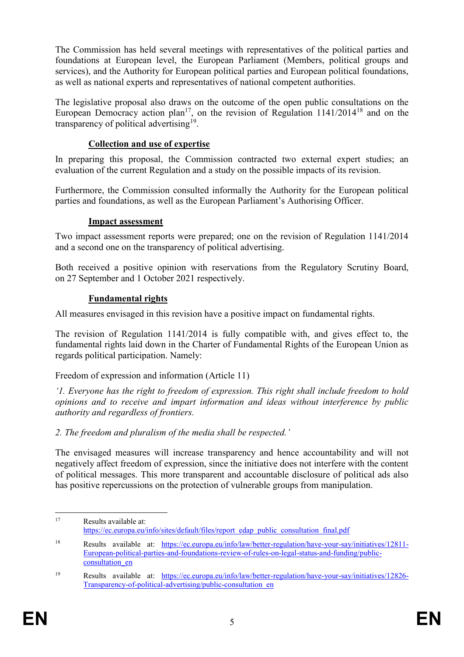The Commission has held several meetings with representatives of the political parties and foundations at European level, the European Parliament (Members, political groups and services), and the Authority for European political parties and European political foundations, as well as national experts and representatives of national competent authorities.

The legislative proposal also draws on the outcome of the open public consultations on the European Democracy action plan<sup>17</sup>, on the revision of Regulation  $1141/2014^{18}$  and on the transparency of political advertising<sup>19</sup>.

## **Collection and use of expertise**

In preparing this proposal, the Commission contracted two external expert studies; an evaluation of the current Regulation and a study on the possible impacts of its revision.

Furthermore, the Commission consulted informally the Authority for the European political parties and foundations, as well as the European Parliament's Authorising Officer.

#### **Impact assessment**

Two impact assessment reports were prepared; one on the revision of Regulation 1141/2014 and a second one on the transparency of political advertising.

Both received a positive opinion with reservations from the Regulatory Scrutiny Board, on 27 September and 1 October 2021 respectively.

#### **Fundamental rights**

All measures envisaged in this revision have a positive impact on fundamental rights.

The revision of Regulation 1141/2014 is fully compatible with, and gives effect to, the fundamental rights laid down in the Charter of Fundamental Rights of the European Union as regards political participation. Namely:

Freedom of expression and information (Article 11)

*'1. Everyone has the right to freedom of expression. This right shall include freedom to hold opinions and to receive and impart information and ideas without interference by public authority and regardless of frontiers.*

*2. The freedom and pluralism of the media shall be respected.'*

The envisaged measures will increase transparency and hence accountability and will not negatively affect freedom of expression, since the initiative does not interfere with the content of political messages. This more transparent and accountable disclosure of political ads also has positive repercussions on the protection of vulnerable groups from manipulation.

 $17$ Results available at: [https://ec.europa.eu/info/sites/default/files/report\\_edap\\_public\\_consultation\\_final.pdf](https://ec.europa.eu/info/sites/default/files/report_edap_public_consultation_final.pdf)

<sup>18</sup> Results available at: [https://ec.europa.eu/info/law/better-regulation/have-your-say/initiatives/12811-](https://ec.europa.eu/info/law/better-regulation/have-your-say/initiatives/12811-European-political-parties-and-foundations-review-of-rules-on-legal-status-and-funding/public-consultation_en) [European-political-parties-and-foundations-review-of-rules-on-legal-status-and-funding/public](https://ec.europa.eu/info/law/better-regulation/have-your-say/initiatives/12811-European-political-parties-and-foundations-review-of-rules-on-legal-status-and-funding/public-consultation_en)consultation en

<sup>&</sup>lt;sup>19</sup> Results available at: [https://ec.europa.eu/info/law/better-regulation/have-your-say/initiatives/12826-](https://ec.europa.eu/info/law/better-regulation/have-your-say/initiatives/12826-Transparency-of-political-advertising/public-consultation_en) [Transparency-of-political-advertising/public-consultation\\_en](https://ec.europa.eu/info/law/better-regulation/have-your-say/initiatives/12826-Transparency-of-political-advertising/public-consultation_en)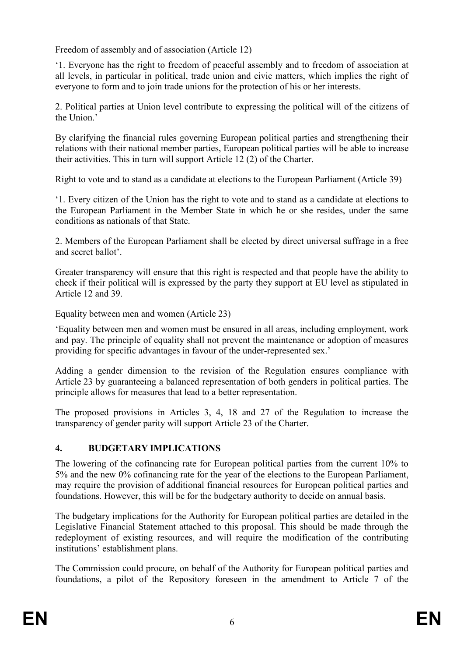Freedom of assembly and of association (Article 12)

'1. Everyone has the right to freedom of peaceful assembly and to freedom of association at all levels, in particular in political, trade union and civic matters, which implies the right of everyone to form and to join trade unions for the protection of his or her interests.

2. Political parties at Union level contribute to expressing the political will of the citizens of the Union.'

By clarifying the financial rules governing European political parties and strengthening their relations with their national member parties, European political parties will be able to increase their activities. This in turn will support Article 12 (2) of the Charter.

Right to vote and to stand as a candidate at elections to the European Parliament (Article 39)

'1. Every citizen of the Union has the right to vote and to stand as a candidate at elections to the European Parliament in the Member State in which he or she resides, under the same conditions as nationals of that State.

2. Members of the European Parliament shall be elected by direct universal suffrage in a free and secret ballot'.

Greater transparency will ensure that this right is respected and that people have the ability to check if their political will is expressed by the party they support at EU level as stipulated in Article 12 and 39.

Equality between men and women (Article 23)

'Equality between men and women must be ensured in all areas, including employment, work and pay. The principle of equality shall not prevent the maintenance or adoption of measures providing for specific advantages in favour of the under-represented sex.'

Adding a gender dimension to the revision of the Regulation ensures compliance with Article 23 by guaranteeing a balanced representation of both genders in political parties. The principle allows for measures that lead to a better representation.

The proposed provisions in Articles 3, 4, 18 and 27 of the Regulation to increase the transparency of gender parity will support Article 23 of the Charter.

## **4. BUDGETARY IMPLICATIONS**

The lowering of the cofinancing rate for European political parties from the current 10% to 5% and the new 0% cofinancing rate for the year of the elections to the European Parliament, may require the provision of additional financial resources for European political parties and foundations. However, this will be for the budgetary authority to decide on annual basis.

The budgetary implications for the Authority for European political parties are detailed in the Legislative Financial Statement attached to this proposal. This should be made through the redeployment of existing resources, and will require the modification of the contributing institutions' establishment plans.

The Commission could procure, on behalf of the Authority for European political parties and foundations, a pilot of the Repository foreseen in the amendment to Article 7 of the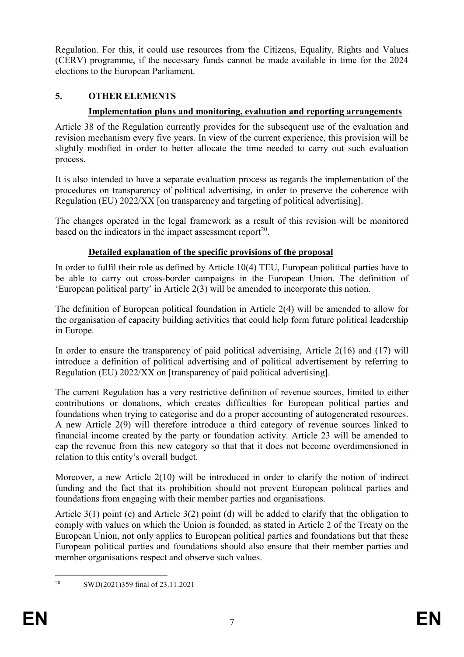Regulation. For this, it could use resources from the Citizens, Equality, Rights and Values (CERV) programme, if the necessary funds cannot be made available in time for the 2024 elections to the European Parliament.

## **5. OTHER ELEMENTS**

# **Implementation plans and monitoring, evaluation and reporting arrangements**

Article 38 of the Regulation currently provides for the subsequent use of the evaluation and revision mechanism every five years. In view of the current experience, this provision will be slightly modified in order to better allocate the time needed to carry out such evaluation process.

It is also intended to have a separate evaluation process as regards the implementation of the procedures on transparency of political advertising, in order to preserve the coherence with Regulation (EU) 2022/XX [on transparency and targeting of political advertising].

The changes operated in the legal framework as a result of this revision will be monitored based on the indicators in the impact assessment report $^{20}$ .

## **Detailed explanation of the specific provisions of the proposal**

In order to fulfil their role as defined by Article 10(4) TEU, European political parties have to be able to carry out cross-border campaigns in the European Union. The definition of 'European political party' in Article 2(3) will be amended to incorporate this notion.

The definition of European political foundation in Article 2(4) will be amended to allow for the organisation of capacity building activities that could help form future political leadership in Europe.

In order to ensure the transparency of paid political advertising, Article 2(16) and (17) will introduce a definition of political advertising and of political advertisement by referring to Regulation (EU) 2022/XX on [transparency of paid political advertising].

The current Regulation has a very restrictive definition of revenue sources, limited to either contributions or donations, which creates difficulties for European political parties and foundations when trying to categorise and do a proper accounting of autogenerated resources. A new Article 2(9) will therefore introduce a third category of revenue sources linked to financial income created by the party or foundation activity. Article 23 will be amended to cap the revenue from this new category so that that it does not become overdimensioned in relation to this entity's overall budget.

Moreover, a new Article 2(10) will be introduced in order to clarify the notion of indirect funding and the fact that its prohibition should not prevent European political parties and foundations from engaging with their member parties and organisations.

Article 3(1) point (e) and Article 3(2) point (d) will be added to clarify that the obligation to comply with values on which the Union is founded, as stated in Article 2 of the Treaty on the European Union, not only applies to European political parties and foundations but that these European political parties and foundations should also ensure that their member parties and member organisations respect and observe such values.

20 <sup>20</sup> SWD(2021)359 final of 23.11.2021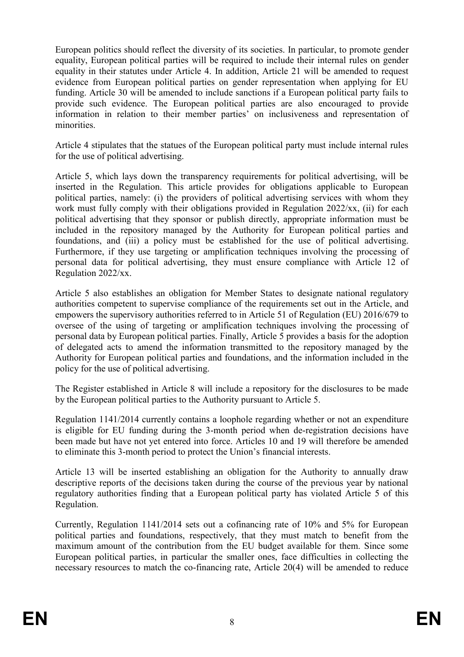European politics should reflect the diversity of its societies. In particular, to promote gender equality, European political parties will be required to include their internal rules on gender equality in their statutes under Article 4. In addition, Article 21 will be amended to request evidence from European political parties on gender representation when applying for EU funding. Article 30 will be amended to include sanctions if a European political party fails to provide such evidence. The European political parties are also encouraged to provide information in relation to their member parties' on inclusiveness and representation of minorities.

Article 4 stipulates that the statues of the European political party must include internal rules for the use of political advertising.

Article 5, which lays down the transparency requirements for political advertising, will be inserted in the Regulation. This article provides for obligations applicable to European political parties, namely: (i) the providers of political advertising services with whom they work must fully comply with their obligations provided in Regulation 2022/xx, (ii) for each political advertising that they sponsor or publish directly, appropriate information must be included in the repository managed by the Authority for European political parties and foundations, and (iii) a policy must be established for the use of political advertising. Furthermore, if they use targeting or amplification techniques involving the processing of personal data for political advertising, they must ensure compliance with Article 12 of Regulation 2022/xx.

Article 5 also establishes an obligation for Member States to designate national regulatory authorities competent to supervise compliance of the requirements set out in the Article, and empowers the supervisory authorities referred to in Article 51 of Regulation (EU) 2016/679 to oversee of the using of targeting or amplification techniques involving the processing of personal data by European political parties. Finally, Article 5 provides a basis for the adoption of delegated acts to amend the information transmitted to the repository managed by the Authority for European political parties and foundations, and the information included in the policy for the use of political advertising.

The Register established in Article 8 will include a repository for the disclosures to be made by the European political parties to the Authority pursuant to Article 5.

Regulation 1141/2014 currently contains a loophole regarding whether or not an expenditure is eligible for EU funding during the 3-month period when de-registration decisions have been made but have not yet entered into force. Articles 10 and 19 will therefore be amended to eliminate this 3-month period to protect the Union's financial interests.

Article 13 will be inserted establishing an obligation for the Authority to annually draw descriptive reports of the decisions taken during the course of the previous year by national regulatory authorities finding that a European political party has violated Article 5 of this Regulation.

Currently, Regulation 1141/2014 sets out a cofinancing rate of 10% and 5% for European political parties and foundations, respectively, that they must match to benefit from the maximum amount of the contribution from the EU budget available for them. Since some European political parties, in particular the smaller ones, face difficulties in collecting the necessary resources to match the co-financing rate, Article 20(4) will be amended to reduce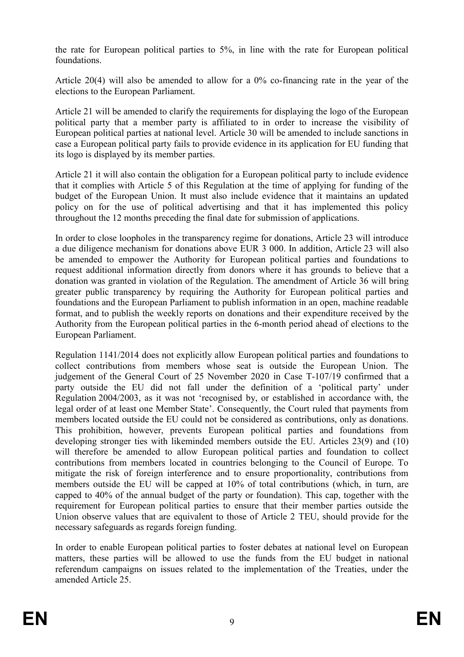the rate for European political parties to 5%, in line with the rate for European political foundations.

Article 20(4) will also be amended to allow for a 0% co-financing rate in the year of the elections to the European Parliament.

Article 21 will be amended to clarify the requirements for displaying the logo of the European political party that a member party is affiliated to in order to increase the visibility of European political parties at national level. Article 30 will be amended to include sanctions in case a European political party fails to provide evidence in its application for EU funding that its logo is displayed by its member parties.

Article 21 it will also contain the obligation for a European political party to include evidence that it complies with Article 5 of this Regulation at the time of applying for funding of the budget of the European Union. It must also include evidence that it maintains an updated policy on for the use of political advertising and that it has implemented this policy throughout the 12 months preceding the final date for submission of applications.

In order to close loopholes in the transparency regime for donations, Article 23 will introduce a due diligence mechanism for donations above EUR 3 000. In addition, Article 23 will also be amended to empower the Authority for European political parties and foundations to request additional information directly from donors where it has grounds to believe that a donation was granted in violation of the Regulation. The amendment of Article 36 will bring greater public transparency by requiring the Authority for European political parties and foundations and the European Parliament to publish information in an open, machine readable format, and to publish the weekly reports on donations and their expenditure received by the Authority from the European political parties in the 6-month period ahead of elections to the European Parliament.

Regulation 1141/2014 does not explicitly allow European political parties and foundations to collect contributions from members whose seat is outside the European Union. The judgement of the General Court of 25 November 2020 in Case T-107/19 confirmed that a party outside the EU did not fall under the definition of a 'political party' under Regulation 2004/2003, as it was not 'recognised by, or established in accordance with, the legal order of at least one Member State'. Consequently, the Court ruled that payments from members located outside the EU could not be considered as contributions, only as donations. This prohibition, however, prevents European political parties and foundations from developing stronger ties with likeminded members outside the EU. Articles 23(9) and (10) will therefore be amended to allow European political parties and foundation to collect contributions from members located in countries belonging to the Council of Europe. To mitigate the risk of foreign interference and to ensure proportionality, contributions from members outside the EU will be capped at 10% of total contributions (which, in turn, are capped to 40% of the annual budget of the party or foundation). This cap, together with the requirement for European political parties to ensure that their member parties outside the Union observe values that are equivalent to those of Article 2 TEU, should provide for the necessary safeguards as regards foreign funding.

In order to enable European political parties to foster debates at national level on European matters, these parties will be allowed to use the funds from the EU budget in national referendum campaigns on issues related to the implementation of the Treaties, under the amended Article 25.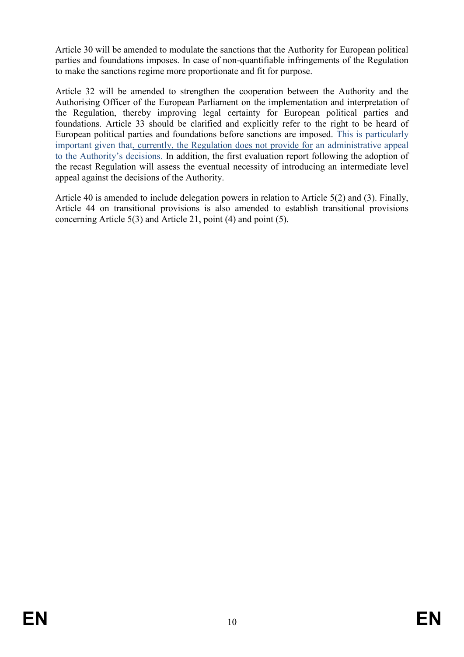Article 30 will be amended to modulate the sanctions that the Authority for European political parties and foundations imposes. In case of non-quantifiable infringements of the Regulation to make the sanctions regime more proportionate and fit for purpose.

Article 32 will be amended to strengthen the cooperation between the Authority and the Authorising Officer of the European Parliament on the implementation and interpretation of the Regulation, thereby improving legal certainty for European political parties and foundations. Article 33 should be clarified and explicitly refer to the right to be heard of European political parties and foundations before sanctions are imposed. This is particularly important given that, currently, the Regulation does not provide for an administrative appeal to the Authority's decisions. In addition, the first evaluation report following the adoption of the recast Regulation will assess the eventual necessity of introducing an intermediate level appeal against the decisions of the Authority.

Article 40 is amended to include delegation powers in relation to Article 5(2) and (3). Finally, Article 44 on transitional provisions is also amended to establish transitional provisions concerning Article 5(3) and Article 21, point (4) and point (5).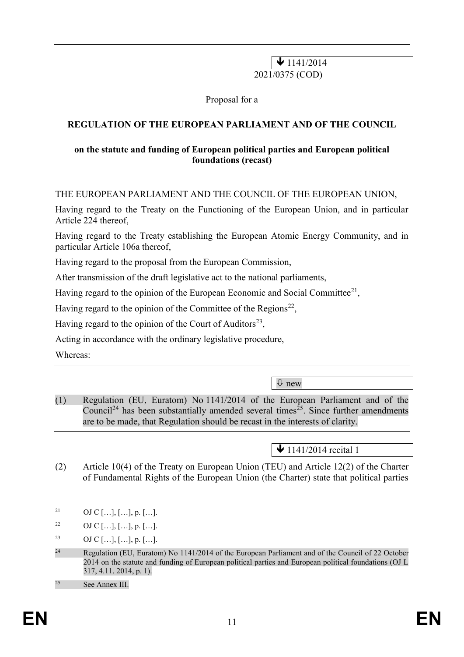$\bigvee$  1141/2014 2021/0375 (COD)

Proposal for a

#### **REGULATION OF THE EUROPEAN PARLIAMENT AND OF THE COUNCIL**

#### **on the statute and funding of European political parties and European political foundations (recast)**

THE EUROPEAN PARLIAMENT AND THE COUNCIL OF THE EUROPEAN UNION,

Having regard to the Treaty on the Functioning of the European Union, and in particular Article 224 thereof,

Having regard to the Treaty establishing the European Atomic Energy Community, and in particular Article 106a thereof,

Having regard to the proposal from the European Commission,

After transmission of the draft legislative act to the national parliaments,

Having regard to the opinion of the European Economic and Social Committee<sup>21</sup>,

Having regard to the opinion of the Committee of the Regions<sup>22</sup>,

Having regard to the opinion of the Court of Auditors<sup>23</sup>,

Acting in accordance with the ordinary legislative procedure,

Whereas:

new

(1) Regulation (EU, Euratom) No 1141/2014 of the European Parliament and of the Council<sup>24</sup> has been substantially amended several times<sup>25</sup>. Since further amendments are to be made, that Regulation should be recast in the interests of clarity.

 $\bigvee$  1141/2014 recital 1

(2) Article 10(4) of the Treaty on European Union (TEU) and Article 12(2) of the Charter of Fundamental Rights of the European Union (the Charter) state that political parties

 $21$ OJ C  $[...]$ ,  $[...]$ , p.  $[...]$ .

<sup>22</sup> OJ C  $[...]$ ,  $[...]$ , p.  $[...]$ .

<sup>23</sup> OJ C […], […], p. […].

<sup>&</sup>lt;sup>24</sup> Regulation (EU, Euratom) No 1141/2014 of the European Parliament and of the Council of 22 October 2014 on the statute and funding of European political parties and European political foundations (OJ L 317, 4.11. 2014, p. 1).

 $25$  See Annex III.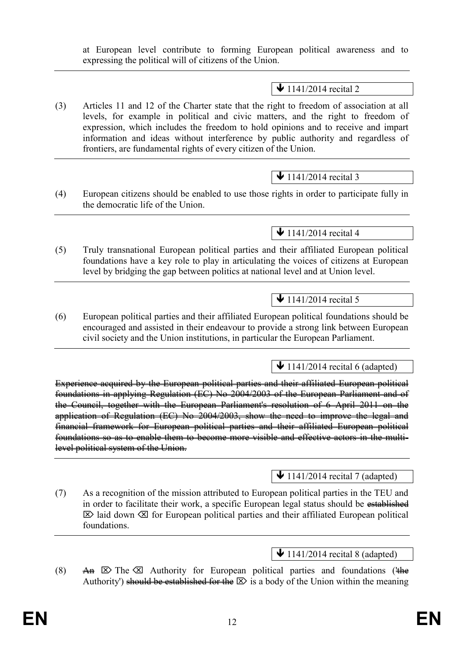at European level contribute to forming European political awareness and to expressing the political will of citizens of the Union.

 $\blacktriangleright$  1141/2014 recital 2

 $\bigvee$  1141/2014 recital 3

 $\bigvee$  1141/2014 recital 4

- (3) Articles 11 and 12 of the Charter state that the right to freedom of association at all levels, for example in political and civic matters, and the right to freedom of expression, which includes the freedom to hold opinions and to receive and impart information and ideas without interference by public authority and regardless of frontiers, are fundamental rights of every citizen of the Union.
- (4) European citizens should be enabled to use those rights in order to participate fully in the democratic life of the Union.
- (5) Truly transnational European political parties and their affiliated European political foundations have a key role to play in articulating the voices of citizens at European level by bridging the gap between politics at national level and at Union level.

(6) European political parties and their affiliated European political foundations should be encouraged and assisted in their endeavour to provide a strong link between European civil society and the Union institutions, in particular the European Parliament.

 $\blacktriangleright$  1141/2014 recital 6 (adapted)

Experience acquired by the European political parties and their affiliated European political foundations in applying Regulation (EC) No 2004/2003 of the European Parliament and of the Council, together with the European Parliament's resolution of 6 April 2011 on the application of Regulation (EC) No 2004/2003, show the need to improve the legal and financial framework for European political parties and their affiliated European political foundations so as to enable them to become more visible and effective actors in the multilevel political system of the Union.

(7) As a recognition of the mission attributed to European political parties in the TEU and in order to facilitate their work, a specific European legal status should be established  $\boxtimes$  laid down  $\boxtimes$  for European political parties and their affiliated European political foundations.

 $\bigvee$  1141/2014 recital 8 (adapted)

(8)  $\overline{A}$   $\overline{B}$  The  $\overline{C}$  Authority for European political parties and foundations (the Authority') should be established for the  $\boxtimes$  is a body of the Union within the meaning

 $\bigvee$  1141/2014 recital 7 (adapted)

 $\bigvee$  1141/2014 recital 5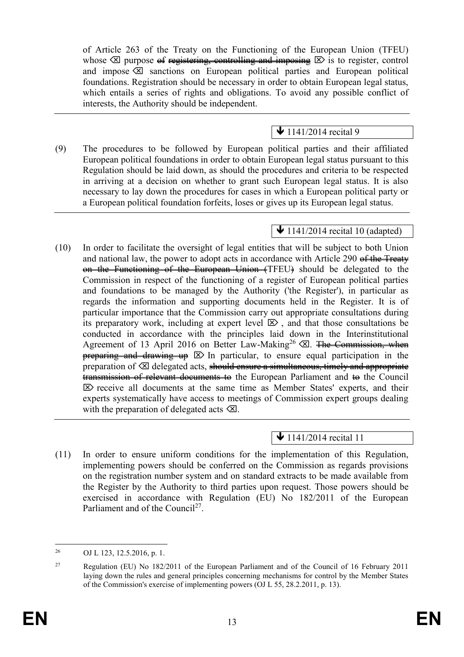of Article 263 of the Treaty on the Functioning of the European Union (TFEU) whose  $\otimes$  purpose <del>of registering, controlling and imposing</del>  $\otimes$  is to register, control and impose  $\otimes$  sanctions on European political parties and European political foundations. Registration should be necessary in order to obtain European legal status, which entails a series of rights and obligations. To avoid any possible conflict of interests, the Authority should be independent.

(9) The procedures to be followed by European political parties and their affiliated European political foundations in order to obtain European legal status pursuant to this Regulation should be laid down, as should the procedures and criteria to be respected in arriving at a decision on whether to grant such European legal status. It is also necessary to lay down the procedures for cases in which a European political party or a European political foundation forfeits, loses or gives up its European legal status.

## $\bigvee$  1141/2014 recital 10 (adapted)

 $\bigvee$  1141/2014 recital 9

(10) In order to facilitate the oversight of legal entities that will be subject to both Union and national law, the power to adopt acts in accordance with Article 290 of the Treaty on the Functioning of the European Union (TFEU) should be delegated to the Commission in respect of the functioning of a register of European political parties and foundations to be managed by the Authority ('the Register'), in particular as regards the information and supporting documents held in the Register. It is of particular importance that the Commission carry out appropriate consultations during its preparatory work, including at expert level  $\boxtimes$ , and that those consultations be conducted in accordance with the principles laid down in the Interinstitutional Agreement of 13 April 2016 on Better Law-Making<sup>26</sup>  $\boxtimes$ . The Commission, when preparing and drawing up  $\boxtimes$  In particular, to ensure equal participation in the preparation of  $\otimes$  delegated acts, should ensure a simultaneous, timely and appropriate transmission of relevant documents to the European Parliament and to the Council  $\mathbb{Z}$  receive all documents at the same time as Member States' experts, and their experts systematically have access to meetings of Commission expert groups dealing with the preparation of delegated acts  $\otimes$ .

## $\bigvee$  1141/2014 recital 11

(11) In order to ensure uniform conditions for the implementation of this Regulation, implementing powers should be conferred on the Commission as regards provisions on the registration number system and on standard extracts to be made available from the Register by the Authority to third parties upon request. Those powers should be exercised in accordance with Regulation (EU) No 182/2011 of the European Parliament and of the Council<sup>27</sup>.

 $\overline{a}$ <sup>26</sup> OJ L 123, 12.5.2016, p. 1.

<sup>&</sup>lt;sup>27</sup> Regulation (EU) No 182/2011 of the European Parliament and of the Council of 16 February 2011 laying down the rules and general principles concerning mechanisms for control by the Member States of the Commission's exercise of implementing powers (OJ L 55, 28.2.2011, p. 13).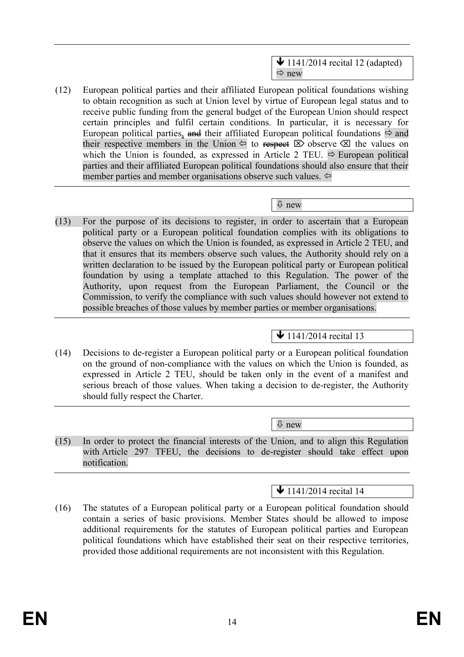$\blacktriangleright$  1141/2014 recital 12 (adapted)  $\Rightarrow$  new

(12) European political parties and their affiliated European political foundations wishing to obtain recognition as such at Union level by virtue of European legal status and to receive public funding from the general budget of the European Union should respect certain principles and fulfil certain conditions. In particular, it is necessary for European political parties,  $\theta$  and their affiliated European political foundations  $\Rightarrow$  and their respective members in the Union  $\Leftrightarrow$  to respect  $\boxtimes$  observe  $\boxtimes$  the values on which the Union is founded, as expressed in Article 2 TEU.  $\Rightarrow$  European political parties and their affiliated European political foundations should also ensure that their member parties and member organisations observe such values.  $\Leftrightarrow$ 

#### new

(13) For the purpose of its decisions to register, in order to ascertain that a European political party or a European political foundation complies with its obligations to observe the values on which the Union is founded, as expressed in Article 2 TEU, and that it ensures that its members observe such values, the Authority should rely on a written declaration to be issued by the European political party or European political foundation by using a template attached to this Regulation. The power of the Authority, upon request from the European Parliament, the Council or the Commission, to verify the compliance with such values should however not extend to possible breaches of those values by member parties or member organisations.

## $\bigvee$  1141/2014 recital 13

(14) Decisions to de-register a European political party or a European political foundation on the ground of non-compliance with the values on which the Union is founded, as expressed in Article 2 TEU, should be taken only in the event of a manifest and serious breach of those values. When taking a decision to de-register, the Authority should fully respect the Charter.

new

(15) In order to protect the financial interests of the Union, and to align this Regulation with Article 297 TFEU, the decisions to de-register should take effect upon notification.

# $\bigvee$  1141/2014 recital 14

(16) The statutes of a European political party or a European political foundation should contain a series of basic provisions. Member States should be allowed to impose additional requirements for the statutes of European political parties and European political foundations which have established their seat on their respective territories, provided those additional requirements are not inconsistent with this Regulation.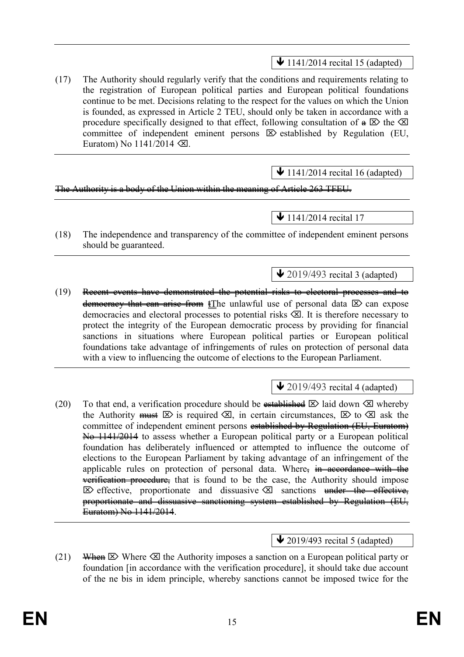$\bigvee$  1141/2014 recital 15 (adapted)

(17) The Authority should regularly verify that the conditions and requirements relating to the registration of European political parties and European political foundations continue to be met. Decisions relating to the respect for the values on which the Union is founded, as expressed in Article 2 TEU, should only be taken in accordance with a procedure specifically designed to that effect, following consultation of  $\ast \boxtimes$  the  $\boxtimes$ committee of independent eminent persons  $\boxtimes$  established by Regulation (EU, Euratom) No  $1141/2014 \times$ 

 $\bigvee$  1141/2014 recital 16 (adapted)

The Authority is a body of the Union within the meaning of Article 263 TFEU.

# $\bigvee$  1141/2014 recital 17

(18) The independence and transparency of the committee of independent eminent persons should be guaranteed.

 $\triangle$  2019/493 recital 3 (adapted)

(19) Recent events have demonstrated the potential risks to electoral processes and to democracy that can arise from tThe unlawful use of personal data  $\boxtimes$  can expose democracies and electoral processes to potential risks  $\otimes$ . It is therefore necessary to protect the integrity of the European democratic process by providing for financial sanctions in situations where European political parties or European political foundations take advantage of infringements of rules on protection of personal data with a view to influencing the outcome of elections to the European Parliament.

 $\triangle$  2019/493 recital 4 (adapted)

(20) To that end, a verification procedure should be established  $\boxtimes$  laid down  $\boxtimes$  whereby the Authority must  $\boxtimes$  is required  $\boxtimes$ , in certain circumstances,  $\boxtimes$  to  $\boxtimes$  ask the committee of independent eminent persons established by Regulation (EU, Euratom) No 1141/2014 to assess whether a European political party or a European political foundation has deliberately influenced or attempted to influence the outcome of elections to the European Parliament by taking advantage of an infringement of the applicable rules on protection of personal data. Where,  $\frac{1}{2}$  in accordance with the verification procedure, that is found to be the case, the Authority should impose  $\boxtimes$  effective, proportionate and dissuasive  $\boxtimes$  sanctions under the effective, proportionate and dissuasive sanctioning system established by Regulation (EU, Euratom) No 1141/2014.

## $\bigvee$  2019/493 recital 5 (adapted)

(21) When  $\boxtimes$  Where  $\boxtimes$  the Authority imposes a sanction on a European political party or foundation [in accordance with the verification procedure], it should take due account of the ne bis in idem principle, whereby sanctions cannot be imposed twice for the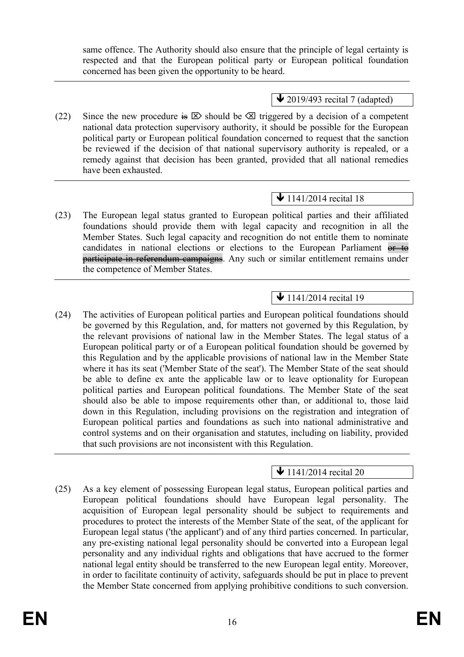same offence. The Authority should also ensure that the principle of legal certainty is respected and that the European political party or European political foundation concerned has been given the opportunity to be heard.

 $\bigvee$  2019/493 recital 7 (adapted)

(22) Since the new procedure  $\frac{1}{5}$   $\boxtimes$  should be  $\boxtimes$  triggered by a decision of a competent national data protection supervisory authority, it should be possible for the European political party or European political foundation concerned to request that the sanction be reviewed if the decision of that national supervisory authority is repealed, or a remedy against that decision has been granted, provided that all national remedies have been exhausted.

## $\bigvee$  1141/2014 recital 18

(23) The European legal status granted to European political parties and their affiliated foundations should provide them with legal capacity and recognition in all the Member States. Such legal capacity and recognition do not entitle them to nominate candidates in national elections or elections to the European Parliament  $er$  to participate in referendum campaigns. Any such or similar entitlement remains under the competence of Member States.

# $\blacktriangleright$  1141/2014 recital 19

(24) The activities of European political parties and European political foundations should be governed by this Regulation, and, for matters not governed by this Regulation, by the relevant provisions of national law in the Member States. The legal status of a European political party or of a European political foundation should be governed by this Regulation and by the applicable provisions of national law in the Member State where it has its seat ('Member State of the seat'). The Member State of the seat should be able to define ex ante the applicable law or to leave optionality for European political parties and European political foundations. The Member State of the seat should also be able to impose requirements other than, or additional to, those laid down in this Regulation, including provisions on the registration and integration of European political parties and foundations as such into national administrative and control systems and on their organisation and statutes, including on liability, provided that such provisions are not inconsistent with this Regulation.

 $\bigvee$  1141/2014 recital 20

(25) As a key element of possessing European legal status, European political parties and European political foundations should have European legal personality. The acquisition of European legal personality should be subject to requirements and procedures to protect the interests of the Member State of the seat, of the applicant for European legal status ('the applicant') and of any third parties concerned. In particular, any pre-existing national legal personality should be converted into a European legal personality and any individual rights and obligations that have accrued to the former national legal entity should be transferred to the new European legal entity. Moreover, in order to facilitate continuity of activity, safeguards should be put in place to prevent the Member State concerned from applying prohibitive conditions to such conversion.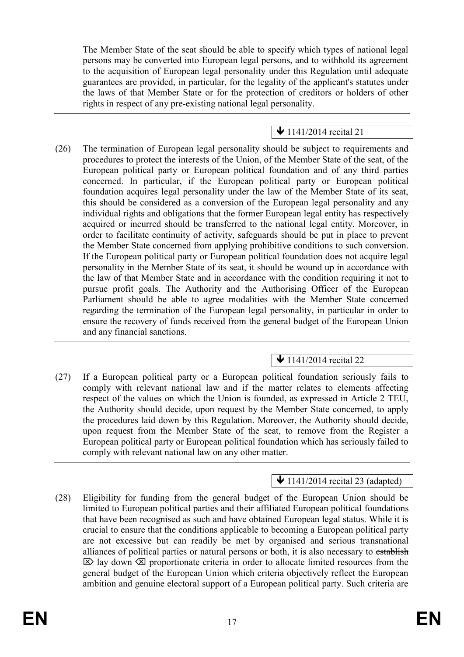The Member State of the seat should be able to specify which types of national legal persons may be converted into European legal persons, and to withhold its agreement to the acquisition of European legal personality under this Regulation until adequate guarantees are provided, in particular, for the legality of the applicant's statutes under the laws of that Member State or for the protection of creditors or holders of other rights in respect of any pre-existing national legal personality.

## $\bigvee$  1141/2014 recital 21

(26) The termination of European legal personality should be subject to requirements and procedures to protect the interests of the Union, of the Member State of the seat, of the European political party or European political foundation and of any third parties concerned. In particular, if the European political party or European political foundation acquires legal personality under the law of the Member State of its seat, this should be considered as a conversion of the European legal personality and any individual rights and obligations that the former European legal entity has respectively acquired or incurred should be transferred to the national legal entity. Moreover, in order to facilitate continuity of activity, safeguards should be put in place to prevent the Member State concerned from applying prohibitive conditions to such conversion. If the European political party or European political foundation does not acquire legal personality in the Member State of its seat, it should be wound up in accordance with the law of that Member State and in accordance with the condition requiring it not to pursue profit goals. The Authority and the Authorising Officer of the European Parliament should be able to agree modalities with the Member State concerned regarding the termination of the European legal personality, in particular in order to ensure the recovery of funds received from the general budget of the European Union and any financial sanctions.

## $\bigvee$  1141/2014 recital 22

(27) If a European political party or a European political foundation seriously fails to comply with relevant national law and if the matter relates to elements affecting respect of the values on which the Union is founded, as expressed in Article 2 TEU, the Authority should decide, upon request by the Member State concerned, to apply the procedures laid down by this Regulation. Moreover, the Authority should decide, upon request from the Member State of the seat, to remove from the Register a European political party or European political foundation which has seriously failed to comply with relevant national law on any other matter.

 $\bigvee$  1141/2014 recital 23 (adapted)

(28) Eligibility for funding from the general budget of the European Union should be limited to European political parties and their affiliated European political foundations that have been recognised as such and have obtained European legal status. While it is crucial to ensure that the conditions applicable to becoming a European political party are not excessive but can readily be met by organised and serious transnational alliances of political parties or natural persons or both, it is also necessary to establish  $\boxtimes$  lay down  $\boxtimes$  proportionate criteria in order to allocate limited resources from the general budget of the European Union which criteria objectively reflect the European ambition and genuine electoral support of a European political party. Such criteria are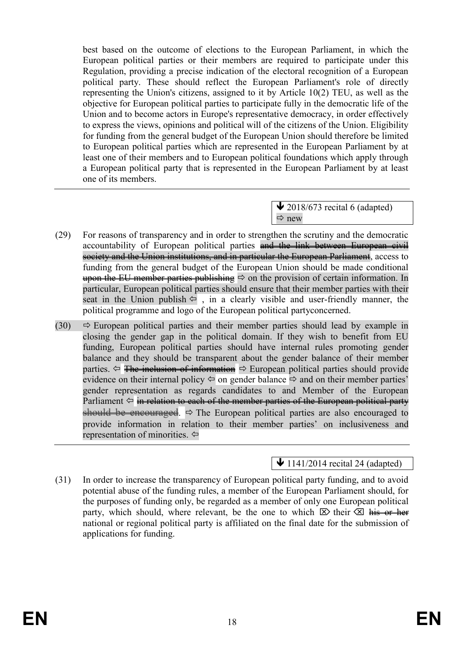best based on the outcome of elections to the European Parliament, in which the European political parties or their members are required to participate under this Regulation, providing a precise indication of the electoral recognition of a European political party. These should reflect the European Parliament's role of directly representing the Union's citizens, assigned to it by Article 10(2) TEU, as well as the objective for European political parties to participate fully in the democratic life of the Union and to become actors in Europe's representative democracy, in order effectively to express the views, opinions and political will of the citizens of the Union. Eligibility for funding from the general budget of the European Union should therefore be limited to European political parties which are represented in the European Parliament by at least one of their members and to European political foundations which apply through a European political party that is represented in the European Parliament by at least one of its members.

> $\triangle$  2018/673 recital 6 (adapted)  $\Rightarrow$  new

- (29) For reasons of transparency and in order to strengthen the scrutiny and the democratic accountability of European political parties and the link between European civil society and the Union institutions, and in particular the European Parliament, access to funding from the general budget of the European Union should be made conditional upon the EU member parties publishing  $\Rightarrow$  on the provision of certain information. In particular, European political parties should ensure that their member parties with their seat in the Union publish  $\Leftrightarrow$ , in a clearly visible and user-friendly manner, the political programme and logo of the European political partyconcerned.
- (30)  $\Rightarrow$  European political parties and their member parties should lead by example in closing the gender gap in the political domain. If they wish to benefit from EU funding, European political parties should have internal rules promoting gender balance and they should be transparent about the gender balance of their member parties.  $\Leftarrow$  The inclusion of information  $\Rightarrow$  European political parties should provide evidence on their internal policy  $\Leftrightarrow$  on gender balance  $\Leftrightarrow$  and on their member parties' gender representation as regards candidates to and Member of the European Parliament  $\Leftrightarrow$  in relation to each of the member parties of the European political party should be encouraged.  $\Rightarrow$  The European political parties are also encouraged to provide information in relation to their member parties' on inclusiveness and representation of minorities.  $\Leftrightarrow$

 $\bigvee$  1141/2014 recital 24 (adapted)

(31) In order to increase the transparency of European political party funding, and to avoid potential abuse of the funding rules, a member of the European Parliament should, for the purposes of funding only, be regarded as a member of only one European political party, which should, where relevant, be the one to which  $\boxtimes$  their  $\boxtimes$  his or her national or regional political party is affiliated on the final date for the submission of applications for funding.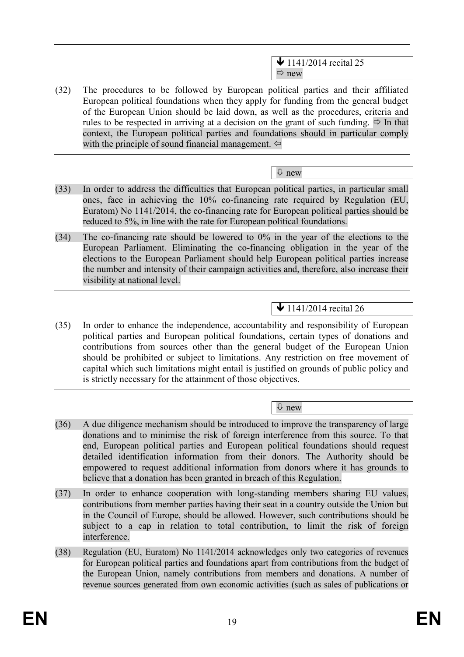$\bigvee$  1141/2014 recital 25  $\Rightarrow$  new

(32) The procedures to be followed by European political parties and their affiliated European political foundations when they apply for funding from the general budget of the European Union should be laid down, as well as the procedures, criteria and rules to be respected in arriving at a decision on the grant of such funding.  $\Rightarrow$  In that context, the European political parties and foundations should in particular comply with the principle of sound financial management.  $\Leftrightarrow$ 

new

- (33) In order to address the difficulties that European political parties, in particular small ones, face in achieving the 10% co-financing rate required by Regulation (EU, Euratom) No 1141/2014, the co-financing rate for European political parties should be reduced to 5%, in line with the rate for European political foundations.
- (34) The co-financing rate should be lowered to 0% in the year of the elections to the European Parliament. Eliminating the co-financing obligation in the year of the elections to the European Parliament should help European political parties increase the number and intensity of their campaign activities and, therefore, also increase their visibility at national level.

# $\bigvee$  1141/2014 recital 26

(35) In order to enhance the independence, accountability and responsibility of European political parties and European political foundations, certain types of donations and contributions from sources other than the general budget of the European Union should be prohibited or subject to limitations. Any restriction on free movement of capital which such limitations might entail is justified on grounds of public policy and is strictly necessary for the attainment of those objectives.

new

- (36) A due diligence mechanism should be introduced to improve the transparency of large donations and to minimise the risk of foreign interference from this source. To that end, European political parties and European political foundations should request detailed identification information from their donors. The Authority should be empowered to request additional information from donors where it has grounds to believe that a donation has been granted in breach of this Regulation.
- (37) In order to enhance cooperation with long-standing members sharing EU values, contributions from member parties having their seat in a country outside the Union but in the Council of Europe, should be allowed. However, such contributions should be subject to a cap in relation to total contribution, to limit the risk of foreign interference.
- (38) Regulation (EU, Euratom) No 1141/2014 acknowledges only two categories of revenues for European political parties and foundations apart from contributions from the budget of the European Union, namely contributions from members and donations. A number of revenue sources generated from own economic activities (such as sales of publications or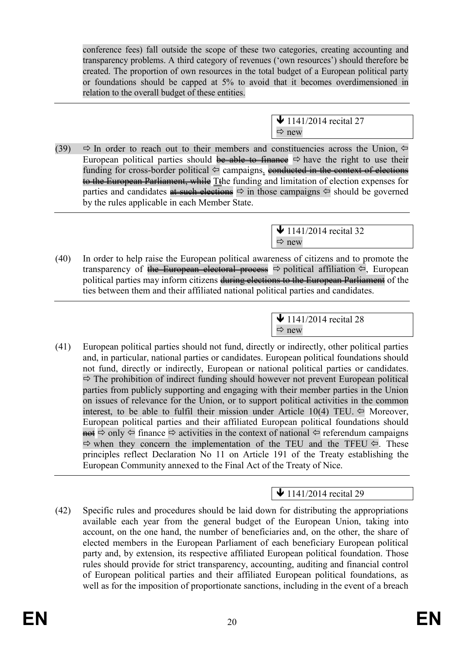conference fees) fall outside the scope of these two categories, creating accounting and transparency problems. A third category of revenues ('own resources') should therefore be created. The proportion of own resources in the total budget of a European political party or foundations should be capped at 5% to avoid that it becomes overdimensioned in relation to the overall budget of these entities.

> $\blacktriangleright$  1141/2014 recital 27  $\Rightarrow$  new

(39)  $\Rightarrow$  In order to reach out to their members and constituencies across the Union,  $\Leftarrow$ European political parties should be able to finance  $\Rightarrow$  have the right to use their funding for cross-border political  $\Leftrightarrow$  campaigns. conducted in the context of elections to the European Parliament, while Tthe funding and limitation of election expenses for parties and candidates at such elections  $\Rightarrow$  in those campaigns  $\Leftarrow$  should be governed by the rules applicable in each Member State.

> $\blacktriangleright$  1141/2014 recital 32  $\Rightarrow$  new

(40) In order to help raise the European political awareness of citizens and to promote the transparency of the European electoral process  $\Rightarrow$  political affiliation  $\Leftarrow$ , European political parties may inform citizens during elections to the European Parliament of the ties between them and their affiliated national political parties and candidates.

> $\bigvee$  1141/2014 recital 28  $Arr$  new

(41) European political parties should not fund, directly or indirectly, other political parties and, in particular, national parties or candidates. European political foundations should not fund, directly or indirectly, European or national political parties or candidates.  $\Rightarrow$  The prohibition of indirect funding should however not prevent European political parties from publicly supporting and engaging with their member parties in the Union on issues of relevance for the Union, or to support political activities in the common interest, to be able to fulfil their mission under Article 10(4) TEU.  $\Leftrightarrow$  Moreover, European political parties and their affiliated European political foundations should  $\theta$  only  $\Leftrightarrow$  finance  $\Leftrightarrow$  activities in the context of national  $\Leftrightarrow$  referendum campaigns  $\Rightarrow$  when they concern the implementation of the TEU and the TFEU  $\Leftarrow$ . These principles reflect Declaration No 11 on Article 191 of the Treaty establishing the European Community annexed to the Final Act of the Treaty of Nice.

# $\bigvee$  1141/2014 recital 29

(42) Specific rules and procedures should be laid down for distributing the appropriations available each year from the general budget of the European Union, taking into account, on the one hand, the number of beneficiaries and, on the other, the share of elected members in the European Parliament of each beneficiary European political party and, by extension, its respective affiliated European political foundation. Those rules should provide for strict transparency, accounting, auditing and financial control of European political parties and their affiliated European political foundations, as well as for the imposition of proportionate sanctions, including in the event of a breach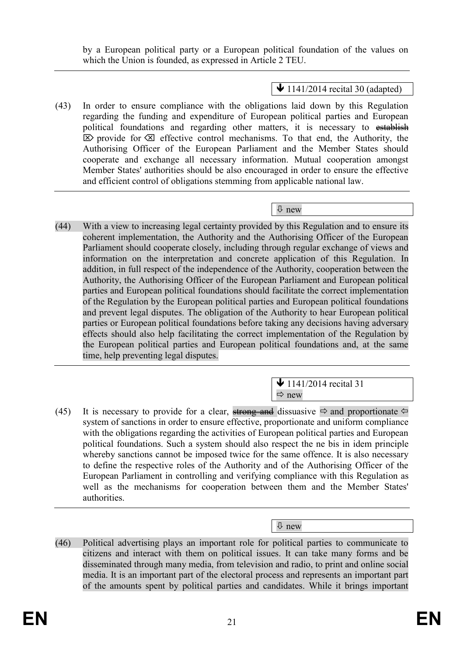by a European political party or a European political foundation of the values on which the Union is founded, as expressed in Article 2 TEU.

## $\blacktriangleright$  1141/2014 recital 30 (adapted)

(43) In order to ensure compliance with the obligations laid down by this Regulation regarding the funding and expenditure of European political parties and European political foundations and regarding other matters, it is necessary to establish  $\boxtimes$  provide for  $\boxtimes$  effective control mechanisms. To that end, the Authority, the Authorising Officer of the European Parliament and the Member States should cooperate and exchange all necessary information. Mutual cooperation amongst Member States' authorities should be also encouraged in order to ensure the effective and efficient control of obligations stemming from applicable national law.

#### new

(44) With a view to increasing legal certainty provided by this Regulation and to ensure its coherent implementation, the Authority and the Authorising Officer of the European Parliament should cooperate closely, including through regular exchange of views and information on the interpretation and concrete application of this Regulation. In addition, in full respect of the independence of the Authority, cooperation between the Authority, the Authorising Officer of the European Parliament and European political parties and European political foundations should facilitate the correct implementation of the Regulation by the European political parties and European political foundations and prevent legal disputes. The obligation of the Authority to hear European political parties or European political foundations before taking any decisions having adversary effects should also help facilitating the correct implementation of the Regulation by the European political parties and European political foundations and, at the same time, help preventing legal disputes.

> $\bigvee$  1141/2014 recital 31  $\Rightarrow$  new

(45) It is necessary to provide for a clear, strong and dissuasive  $\Rightarrow$  and proportionate  $\Leftrightarrow$ system of sanctions in order to ensure effective, proportionate and uniform compliance with the obligations regarding the activities of European political parties and European political foundations. Such a system should also respect the ne bis in idem principle whereby sanctions cannot be imposed twice for the same offence. It is also necessary to define the respective roles of the Authority and of the Authorising Officer of the European Parliament in controlling and verifying compliance with this Regulation as well as the mechanisms for cooperation between them and the Member States' authorities.

new

(46) Political advertising plays an important role for political parties to communicate to citizens and interact with them on political issues. It can take many forms and be disseminated through many media, from television and radio, to print and online social media. It is an important part of the electoral process and represents an important part of the amounts spent by political parties and candidates. While it brings important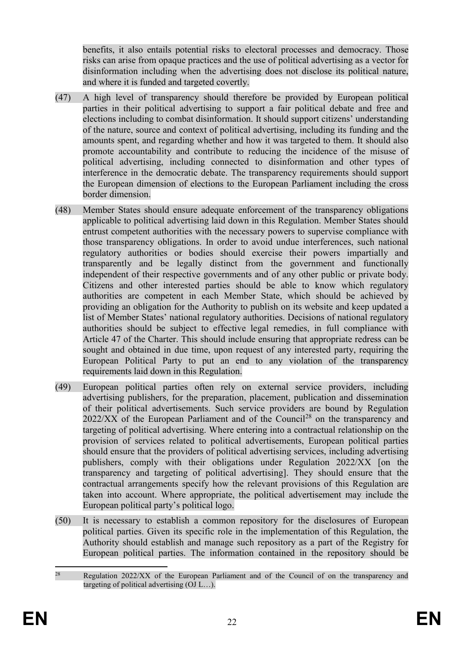benefits, it also entails potential risks to electoral processes and democracy. Those risks can arise from opaque practices and the use of political advertising as a vector for disinformation including when the advertising does not disclose its political nature, and where it is funded and targeted covertly.

- (47) A high level of transparency should therefore be provided by European political parties in their political advertising to support a fair political debate and free and elections including to combat disinformation. It should support citizens' understanding of the nature, source and context of political advertising, including its funding and the amounts spent, and regarding whether and how it was targeted to them. It should also promote accountability and contribute to reducing the incidence of the misuse of political advertising, including connected to disinformation and other types of interference in the democratic debate. The transparency requirements should support the European dimension of elections to the European Parliament including the cross border dimension.
- (48) Member States should ensure adequate enforcement of the transparency obligations applicable to political advertising laid down in this Regulation. Member States should entrust competent authorities with the necessary powers to supervise compliance with those transparency obligations. In order to avoid undue interferences, such national regulatory authorities or bodies should exercise their powers impartially and transparently and be legally distinct from the government and functionally independent of their respective governments and of any other public or private body. Citizens and other interested parties should be able to know which regulatory authorities are competent in each Member State, which should be achieved by providing an obligation for the Authority to publish on its website and keep updated a list of Member States' national regulatory authorities. Decisions of national regulatory authorities should be subject to effective legal remedies, in full compliance with Article 47 of the Charter. This should include ensuring that appropriate redress can be sought and obtained in due time, upon request of any interested party, requiring the European Political Party to put an end to any violation of the transparency requirements laid down in this Regulation.
- (49) European political parties often rely on external service providers, including advertising publishers, for the preparation, placement, publication and dissemination of their political advertisements. Such service providers are bound by Regulation  $2022/XX$  of the European Parliament and of the Council<sup>28</sup> on the transparency and targeting of political advertising. Where entering into a contractual relationship on the provision of services related to political advertisements, European political parties should ensure that the providers of political advertising services, including advertising publishers, comply with their obligations under Regulation 2022/XX [on the transparency and targeting of political advertising]. They should ensure that the contractual arrangements specify how the relevant provisions of this Regulation are taken into account. Where appropriate, the political advertisement may include the European political party's political logo.
- (50) It is necessary to establish a common repository for the disclosures of European political parties. Given its specific role in the implementation of this Regulation, the Authority should establish and manage such repository as a part of the Registry for European political parties. The information contained in the repository should be

 $\overline{a}$  $28$  Regulation 2022/XX of the European Parliament and of the Council of on the transparency and targeting of political advertising (OJ L…).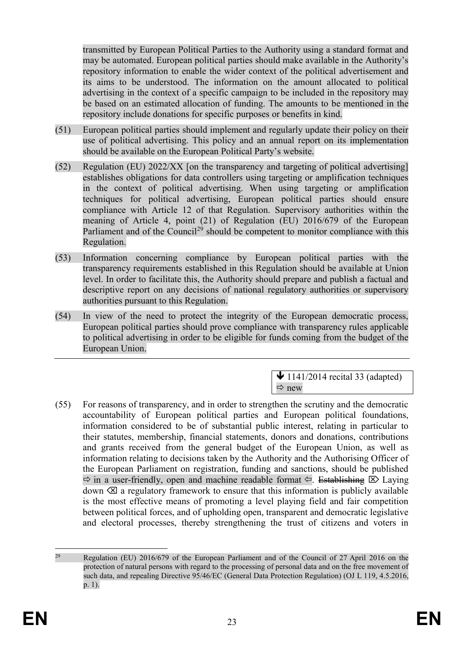transmitted by European Political Parties to the Authority using a standard format and may be automated. European political parties should make available in the Authority's repository information to enable the wider context of the political advertisement and its aims to be understood. The information on the amount allocated to political advertising in the context of a specific campaign to be included in the repository may be based on an estimated allocation of funding. The amounts to be mentioned in the repository include donations for specific purposes or benefits in kind.

- (51) European political parties should implement and regularly update their policy on their use of political advertising. This policy and an annual report on its implementation should be available on the European Political Party's website.
- (52) Regulation (EU) 2022/XX [on the transparency and targeting of political advertising] establishes obligations for data controllers using targeting or amplification techniques in the context of political advertising. When using targeting or amplification techniques for political advertising, European political parties should ensure compliance with Article 12 of that Regulation. Supervisory authorities within the meaning of Article 4, point (21) of Regulation (EU) 2016/679 of the European Parliament and of the Council<sup>29</sup> should be competent to monitor compliance with this Regulation.
- (53) Information concerning compliance by European political parties with the transparency requirements established in this Regulation should be available at Union level. In order to facilitate this, the Authority should prepare and publish a factual and descriptive report on any decisions of national regulatory authorities or supervisory authorities pursuant to this Regulation.
- (54) In view of the need to protect the integrity of the European democratic process, European political parties should prove compliance with transparency rules applicable to political advertising in order to be eligible for funds coming from the budget of the European Union.

 $\bigvee$  1141/2014 recital 33 (adapted)  $\Rightarrow$  new

(55) For reasons of transparency, and in order to strengthen the scrutiny and the democratic accountability of European political parties and European political foundations, information considered to be of substantial public interest, relating in particular to their statutes, membership, financial statements, donors and donations, contributions and grants received from the general budget of the European Union, as well as information relating to decisions taken by the Authority and the Authorising Officer of the European Parliament on registration, funding and sanctions, should be published  $\Rightarrow$  in a user-friendly, open and machine readable format  $\Leftarrow$ . Establishing  $\boxtimes$  Laying  $down \otimes a$  regulatory framework to ensure that this information is publicly available is the most effective means of promoting a level playing field and fair competition between political forces, and of upholding open, transparent and democratic legislative and electoral processes, thereby strengthening the trust of citizens and voters in

 $\overline{a}$ <sup>29</sup> Regulation (EU) 2016/679 of the European Parliament and of the Council of 27 April 2016 on the protection of natural persons with regard to the processing of personal data and on the free movement of such data, and repealing Directive 95/46/EC (General Data Protection Regulation) (OJ L 119, 4.5.2016, p. 1).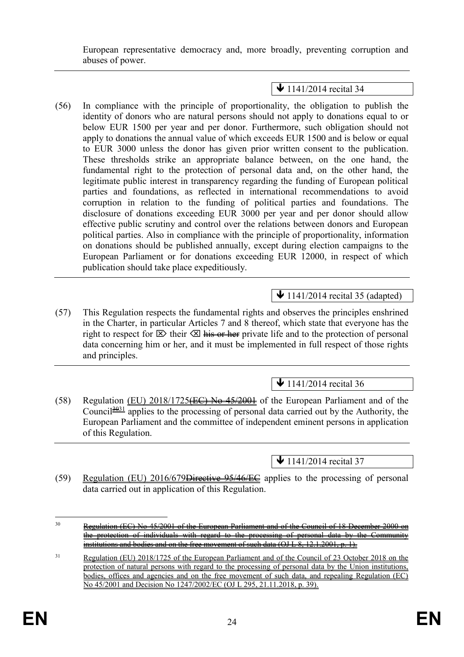European representative democracy and, more broadly, preventing corruption and abuses of power.

 $\bigvee$  1141/2014 recital 34

(56) In compliance with the principle of proportionality, the obligation to publish the identity of donors who are natural persons should not apply to donations equal to or below EUR 1500 per year and per donor. Furthermore, such obligation should not apply to donations the annual value of which exceeds EUR 1500 and is below or equal to EUR 3000 unless the donor has given prior written consent to the publication. These thresholds strike an appropriate balance between, on the one hand, the fundamental right to the protection of personal data and, on the other hand, the legitimate public interest in transparency regarding the funding of European political parties and foundations, as reflected in international recommendations to avoid corruption in relation to the funding of political parties and foundations. The disclosure of donations exceeding EUR 3000 per year and per donor should allow effective public scrutiny and control over the relations between donors and European political parties. Also in compliance with the principle of proportionality, information on donations should be published annually, except during election campaigns to the European Parliament or for donations exceeding EUR 12000, in respect of which publication should take place expeditiously.

 $\bigvee$  1141/2014 recital 35 (adapted)

(57) This Regulation respects the fundamental rights and observes the principles enshrined in the Charter, in particular Articles 7 and 8 thereof, which state that everyone has the right to respect for  $\boxtimes$  their  $\boxtimes$  his or her private life and to the protection of personal data concerning him or her, and it must be implemented in full respect of those rights and principles.

 $\bigvee$  1141/2014 recital 36

(58) Regulation (EU) 2018/1725(EC) No 45/2001 of the European Parliament and of the Council<sup> $\frac{3031}{2021}$ </sup> applies to the processing of personal data carried out by the Authority, the European Parliament and the committee of independent eminent persons in application of this Regulation.

 $\bigvee$  1141/2014 recital 37

(59) Regulation (EU) 2016/679Directive 95/46/EC applies to the processing of personal data carried out in application of this Regulation.

 $30$ Regulation (EC) No 45/2001 of the European Parliament the protection of individuals with regard to the processing of personal data by the Community institutions and bodies and on the free movement of such data (OJ 1

<sup>&</sup>lt;sup>31</sup> Regulation (EU) 2018/1725 of the European Parliament and of the Council of 23 October 2018 on the protection of natural persons with regard to the processing of personal data by the Union institutions, bodies, offices and agencies and on the free movement of such data, and repealing Regulation (EC) No 45/2001 and Decision No 1247/2002/EC (OJ L 295, 21.11.2018, p. 39).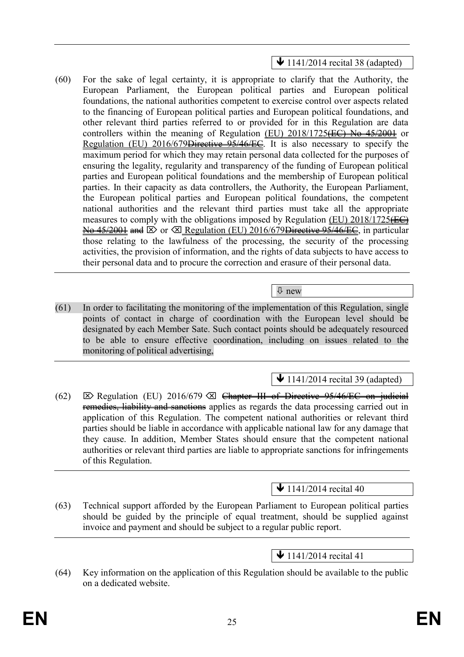$\bigvee$  1141/2014 recital 38 (adapted)

(60) For the sake of legal certainty, it is appropriate to clarify that the Authority, the European Parliament, the European political parties and European political foundations, the national authorities competent to exercise control over aspects related to the financing of European political parties and European political foundations, and other relevant third parties referred to or provided for in this Regulation are data controllers within the meaning of Regulation (EU) 2018/1725(EC) No 45/2001 or Regulation (EU) 2016/679Directive 95/46/EC. It is also necessary to specify the maximum period for which they may retain personal data collected for the purposes of ensuring the legality, regularity and transparency of the funding of European political parties and European political foundations and the membership of European political parties. In their capacity as data controllers, the Authority, the European Parliament, the European political parties and European political foundations, the competent national authorities and the relevant third parties must take all the appropriate measures to comply with the obligations imposed by Regulation (EU)  $2018/1725 \times C$ No 45/2001 and  $\infty$  or  $\infty$  Regulation (EU) 2016/679Directive 95/46/EC, in particular those relating to the lawfulness of the processing, the security of the processing activities, the provision of information, and the rights of data subjects to have access to their personal data and to procure the correction and erasure of their personal data.

new

(61) In order to facilitating the monitoring of the implementation of this Regulation, single points of contact in charge of coordination with the European level should be designated by each Member Sate. Such contact points should be adequately resourced to be able to ensure effective coordination, including on issues related to the monitoring of political advertising,

 $\bigvee$  1141/2014 recital 39 (adapted)

(62)  $\boxtimes$  Regulation (EU) 2016/679  $\boxtimes$  Chapter III of Directive 95/46/EC on judicial remedies, liability and sanctions applies as regards the data processing carried out in application of this Regulation. The competent national authorities or relevant third parties should be liable in accordance with applicable national law for any damage that they cause. In addition, Member States should ensure that the competent national authorities or relevant third parties are liable to appropriate sanctions for infringements of this Regulation.

 $\bigvee$  1141/2014 recital 40

(63) Technical support afforded by the European Parliament to European political parties should be guided by the principle of equal treatment, should be supplied against invoice and payment and should be subject to a regular public report.

# $\bigvee$  1141/2014 recital 41

(64) Key information on the application of this Regulation should be available to the public on a dedicated website.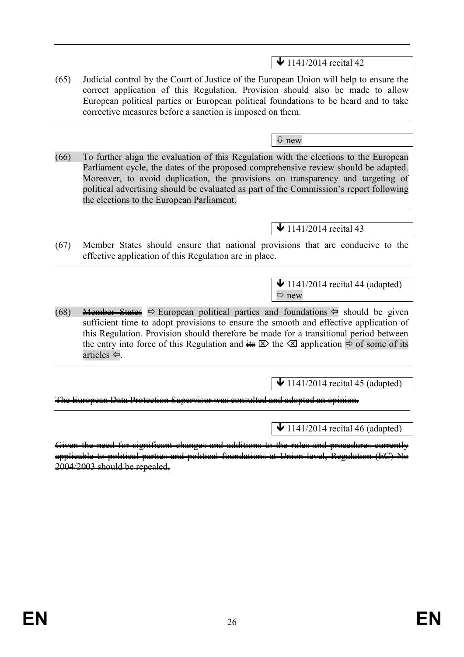$\bigvee$  1141/2014 recital 42

- (65) Judicial control by the Court of Justice of the European Union will help to ensure the correct application of this Regulation. Provision should also be made to allow European political parties or European political foundations to be heard and to take corrective measures before a sanction is imposed on them.
	- $\overline{\psi}$  new
- (66) To further align the evaluation of this Regulation with the elections to the European Parliament cycle, the dates of the proposed comprehensive review should be adapted. Moreover, to avoid duplication, the provisions on transparency and targeting of political advertising should be evaluated as part of the Commission's report following the elections to the European Parliament.

 $\bigvee$  1141/2014 recital 43

(67) Member States should ensure that national provisions that are conducive to the effective application of this Regulation are in place.

> $\bigvee$  1141/2014 recital 44 (adapted)  $\Rightarrow$  new

(68) Member States  $\Rightarrow$  European political parties and foundations  $\Leftarrow$  should be given sufficient time to adopt provisions to ensure the smooth and effective application of this Regulation. Provision should therefore be made for a transitional period between the entry into force of this Regulation and  $\# \mathbb{Z}$  the  $\boxtimes$  application  $\Rightarrow$  of some of its articles  $\Leftrightarrow$ .

 $\blacktriangleright$  1141/2014 recital 45 (adapted)

The European Data Protection Supervisor was consulted and adopted an opinion.

 $\bigvee$  1141/2014 recital 46 (adapted)

Given the need for significant changes and additions to the rules and procedures currently applicable to political parties and political foundations at Union level, Regulation (EC) No 2004/2003 should be repealed,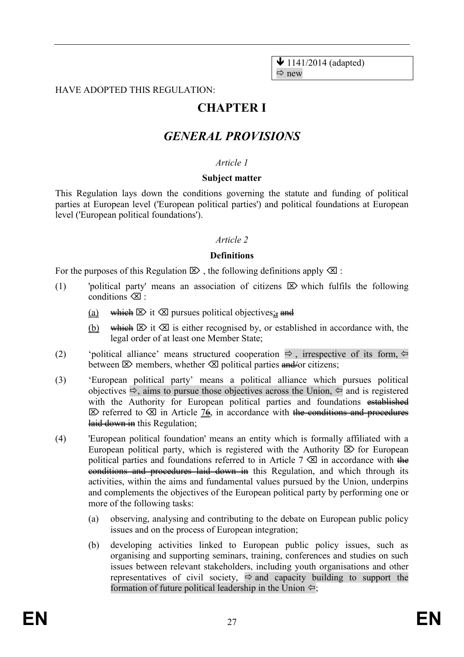#### HAVE ADOPTED THIS REGULATION:

# **CHAPTER I**

# *GENERAL PROVISIONS*

#### *Article 1*

#### **Subject matter**

This Regulation lays down the conditions governing the statute and funding of political parties at European level ('European political parties') and political foundations at European level ('European political foundations').

#### *Article 2*

#### **Definitions**

For the purposes of this Regulation  $\boxtimes$ , the following definitions apply  $\boxtimes$ :

- (1) 'political party' means an association of citizens  $\boxtimes$  which fulfils the following conditions  $\overline{\otimes}$ 
	- (a) which  $\boxtimes$  it  $\boxtimes$  pursues political objectives;
	- (b) which  $\boxtimes$  it  $\boxtimes$  is either recognised by, or established in accordance with, the legal order of at least one Member State;
- (2) 'political alliance' means structured cooperation  $\Rightarrow$ , irrespective of its form,  $\Leftarrow$ between  $\boxtimes$  members, whether  $\boxtimes$  political parties and/or citizens;
- (3) 'European political party' means a political alliance which pursues political objectives  $\Rightarrow$ , aims to pursue those objectives across the Union,  $\Leftarrow$  and is registered with the Authority for European political parties and foundations established  $\boxtimes$  referred to  $\boxtimes$  in Article 76, in accordance with the conditions and procedures laid down in this Regulation;
- (4) 'European political foundation' means an entity which is formally affiliated with a European political party, which is registered with the Authority  $\boxtimes$  for European political parties and foundations referred to in Article 7  $\otimes$  in accordance with the **conditions and procedures laid down in** this Regulation, and which through its activities, within the aims and fundamental values pursued by the Union, underpins and complements the objectives of the European political party by performing one or more of the following tasks:
	- (a) observing, analysing and contributing to the debate on European public policy issues and on the process of European integration;
	- (b) developing activities linked to European public policy issues, such as organising and supporting seminars, training, conferences and studies on such issues between relevant stakeholders, including youth organisations and other representatives of civil society,  $\Rightarrow$  and capacity building to support the formation of future political leadership in the Union  $\Leftrightarrow$ ;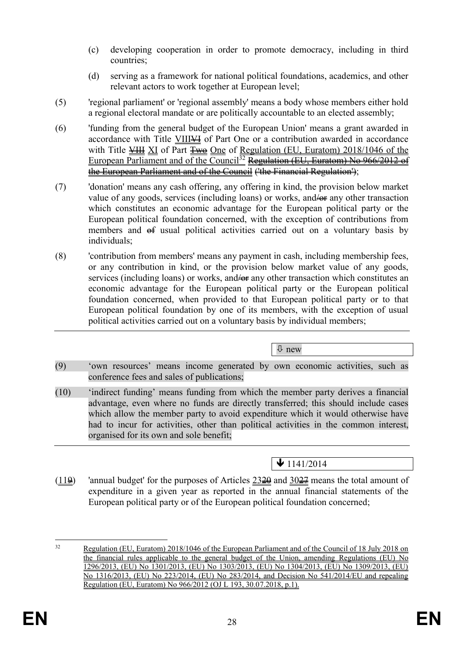- (c) developing cooperation in order to promote democracy, including in third countries;
- (d) serving as a framework for national political foundations, academics, and other relevant actors to work together at European level;
- (5) 'regional parliament' or 'regional assembly' means a body whose members either hold a regional electoral mandate or are politically accountable to an elected assembly;
- (6) 'funding from the general budget of the European Union' means a grant awarded in accordance with Title VIII<sup>I</sup> of Part One or a contribution awarded in accordance with Title  $\frac{1}{1}$  XI of Part  $\frac{1}{1}$   $\frac{1}{1}$   $\frac{1}{1}$   $\frac{1}{1}$   $\frac{1}{1}$   $\frac{1}{1}$   $\frac{1}{1}$   $\frac{1}{1}$   $\frac{1}{1}$   $\frac{1}{1}$   $\frac{1}{1}$   $\frac{1}{1}$   $\frac{1}{1}$   $\frac{1}{1}$   $\frac{1}{1}$   $\frac{1}{1}$   $\frac{1}{1}$   $\frac{1}{1}$   $\frac{1}{1}$ European Parliament and of the Council<sup>32</sup> Regulation (EU, Euratom) No 966/2012 of the European Parliament and of the Council ('the Financial Regulation');
- (7) 'donation' means any cash offering, any offering in kind, the provision below market value of any goods, services (including loans) or works, and  $\theta$  any other transaction which constitutes an economic advantage for the European political party or the European political foundation concerned, with the exception of contributions from members and  $\theta$  usual political activities carried out on a voluntary basis by individuals;
- (8) 'contribution from members' means any payment in cash, including membership fees, or any contribution in kind, or the provision below market value of any goods, services (including loans) or works, and  $\theta$  any other transaction which constitutes an economic advantage for the European political party or the European political foundation concerned, when provided to that European political party or to that European political foundation by one of its members, with the exception of usual political activities carried out on a voluntary basis by individual members;

new

- (9) 'own resources' means income generated by own economic activities, such as conference fees and sales of publications;
- (10) 'indirect funding' means funding from which the member party derives a financial advantage, even where no funds are directly transferred; this should include cases which allow the member party to avoid expenditure which it would otherwise have had to incur for activities, other than political activities in the common interest, organised for its own and sole benefit;

 $\bigvee$  1141/2014

 $(119)$  'annual budget' for the purposes of Articles  $2320$  and  $3027$  means the total amount of expenditure in a given year as reported in the annual financial statements of the European political party or of the European political foundation concerned;

 $\overline{a}$ <sup>32</sup> Regulation (EU, Euratom) 2018/1046 of the European Parliament and of the Council of 18 July 2018 on the financial rules applicable to the general budget of the Union, amending Regulations (EU) No 1296/2013, (EU) No 1301/2013, (EU) No 1303/2013, (EU) No 1304/2013, (EU) No 1309/2013, (EU) No 1316/2013, (EU) No 223/2014, (EU) No 283/2014, and Decision No 541/2014/EU and repealing Regulation (EU, Euratom) No 966/2012 (OJ L 193, 30.07.2018, p.1).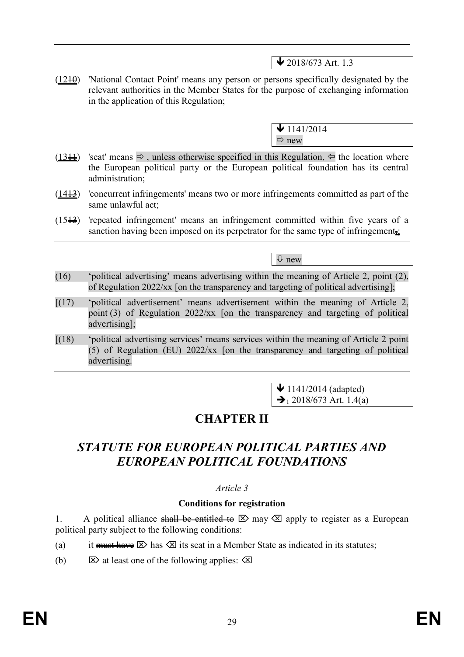#### $\bigvee$  2018/673 Art. 1.3

 $(12~~10~~)$  'National Contact Point' means any person or persons specifically designated by the relevant authorities in the Member States for the purpose of exchanging information in the application of this Regulation;

> $\bigvee$  1141/2014  $\Rightarrow$  new

new

- (13<del>11</del>) 'seat' means  $\Rightarrow$ , unless otherwise specified in this Regulation,  $\Leftrightarrow$  the location where the European political party or the European political foundation has its central administration;
- (1413) 'concurrent infringements' means two or more infringements committed as part of the same unlawful act;
- (1513) 'repeated infringement' means an infringement committed within five years of a sanction having been imposed on its perpetrator for the same type of infringement $\equiv$
- (16) 'political advertising' means advertising within the meaning of Article 2, point (2), of Regulation 2022/xx [on the transparency and targeting of political advertising];
- [(17) 'political advertisement' means advertisement within the meaning of Article 2, point  $(3)$  of Regulation 2022/xx [on the transparency and targeting of political advertising];
- [(18) 'political advertising services' means services within the meaning of Article 2 point (5) of Regulation (EU) 2022/xx [on the transparency and targeting of political advertising.

 $\bigvee$  1141/2014 (adapted)  $\rightarrow$  1 2018/673 Art. 1.4(a)

# **CHAPTER II**

# *STATUTE FOR EUROPEAN POLITICAL PARTIES AND EUROPEAN POLITICAL FOUNDATIONS*

*Article 3*

#### **Conditions for registration**

1. A political alliance shall be entitled to  $\boxtimes$  may  $\boxtimes$  apply to register as a European political party subject to the following conditions:

- (a) it must have  $\boxtimes$  has  $\boxtimes$  its seat in a Member State as indicated in its statutes;
- (b)  $\boxtimes$  at least one of the following applies:  $\boxtimes$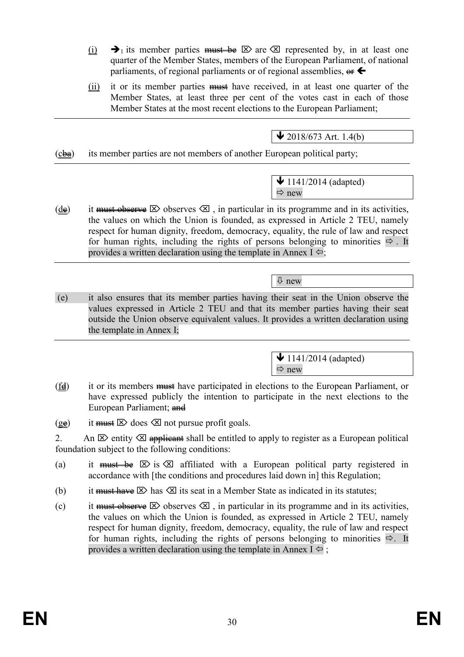- (i)  $\rightarrow$  its member parties must be  $\boxtimes$  are  $\boxtimes$  represented by, in at least one quarter of the Member States, members of the European Parliament, of national parliaments, of regional parliaments or of regional assemblies,  $\leftrightarrow$
- (ii) it or its member parties must have received, in at least one quarter of the Member States, at least three per cent of the votes cast in each of those Member States at the most recent elections to the European Parliament;

 $\blacktriangleright$  2018/673 Art. 1.4(b)

 $(cba)$  its member parties are not members of another European political party;

 $\bigvee$  1141/2014 (adapted)  $\Rightarrow$  new

(de) it must observe  $\boxtimes$  observes  $\boxtimes$ , in particular in its programme and in its activities, the values on which the Union is founded, as expressed in Article 2 TEU, namely respect for human dignity, freedom, democracy, equality, the rule of law and respect for human rights, including the rights of persons belonging to minorities  $\Rightarrow$ . It provides a written declaration using the template in Annex I  $\Leftrightarrow$ ;

new

(e) it also ensures that its member parties having their seat in the Union observe the values expressed in Article 2 TEU and that its member parties having their seat outside the Union observe equivalent values. It provides a written declaration using the template in Annex I;

> $\bigvee$  1141/2014 (adapted)  $\Rightarrow$  new

- $(f~~d~~)$  it or its members <del>must</del> have participated in elections to the European Parliament, or have expressed publicly the intention to participate in the next elections to the European Parliament; and
- $(g_{\frac{\theta}{2}})$  it must  $\boxtimes$  does  $\boxtimes$  not pursue profit goals.

2. An  $\boxtimes$  entity  $\boxtimes$  applicant shall be entitled to apply to register as a European political foundation subject to the following conditions:

- (a) it must be  $\boxtimes$  is  $\boxtimes$  affiliated with a European political party registered in accordance with [the conditions and procedures laid down in] this Regulation;
- (b) it must have  $\boxtimes$  has  $\boxtimes$  its seat in a Member State as indicated in its statutes;
- (c) it must observe  $\boxtimes$  observes  $\boxtimes$ , in particular in its programme and in its activities, the values on which the Union is founded, as expressed in Article 2 TEU, namely respect for human dignity, freedom, democracy, equality, the rule of law and respect for human rights, including the rights of persons belonging to minorities  $\Rightarrow$ . It provides a written declaration using the template in Annex I  $\Leftarrow$ ;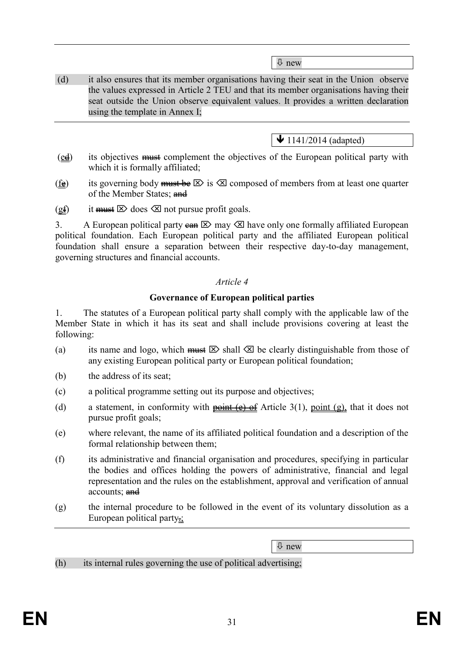new

(d) it also ensures that its member organisations having their seat in the Union observe the values expressed in Article 2 TEU and that its member organisations having their seat outside the Union observe equivalent values. It provides a written declaration using the template in Annex I;

 $\bigvee$  1141/2014 (adapted)

- $\left(\frac{\text{ed}}{\text{ed}}\right)$  its objectives must complement the objectives of the European political party with which it is formally affiliated:
- $(\underline{f}\underline{e})$  its governing body must be  $\boxtimes$  is  $\boxtimes$  composed of members from at least one quarter of the Member States; and
- (gf) it must  $\boxtimes$  does  $\boxtimes$  not pursue profit goals.

3. A European political party  $\theta$  and  $\otimes$  may  $\otimes$  have only one formally affiliated European political foundation. Each European political party and the affiliated European political foundation shall ensure a separation between their respective day-to-day management, governing structures and financial accounts.

#### *Article 4*

#### **Governance of European political parties**

1. The statutes of a European political party shall comply with the applicable law of the Member State in which it has its seat and shall include provisions covering at least the following:

- (a) its name and logo, which must  $\boxtimes$  shall  $\boxtimes$  be clearly distinguishable from those of any existing European political party or European political foundation;
- (b) the address of its seat;
- (c) a political programme setting out its purpose and objectives;
- (d) a statement, in conformity with point  $(e)$  of Article 3(1), point (g), that it does not pursue profit goals;
- (e) where relevant, the name of its affiliated political foundation and a description of the formal relationship between them;
- (f) its administrative and financial organisation and procedures, specifying in particular the bodies and offices holding the powers of administrative, financial and legal representation and the rules on the establishment, approval and verification of annual accounts; and
- (g) the internal procedure to be followed in the event of its voluntary dissolution as a European political party.

new

(h) its internal rules governing the use of political advertising;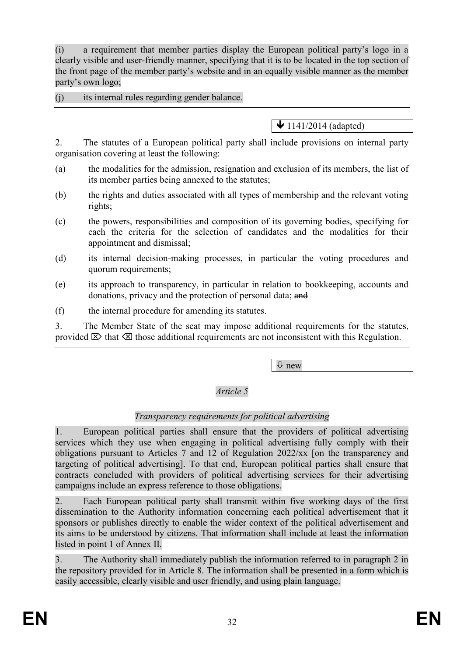(i) a requirement that member parties display the European political party's logo in a clearly visible and user-friendly manner, specifying that it is to be located in the top section of the front page of the member party's website and in an equally visible manner as the member party's own logo;

(j) its internal rules regarding gender balance.

 $\bigvee$  1141/2014 (adapted)

2. The statutes of a European political party shall include provisions on internal party organisation covering at least the following:

- (a) the modalities for the admission, resignation and exclusion of its members, the list of its member parties being annexed to the statutes;
- (b) the rights and duties associated with all types of membership and the relevant voting rights;
- (c) the powers, responsibilities and composition of its governing bodies, specifying for each the criteria for the selection of candidates and the modalities for their appointment and dismissal;
- (d) its internal decision-making processes, in particular the voting procedures and quorum requirements;
- (e) its approach to transparency, in particular in relation to bookkeeping, accounts and donations, privacy and the protection of personal data; and
- (f) the internal procedure for amending its statutes.

3. The Member State of the seat may impose additional requirements for the statutes, provided  $\boxtimes$  that  $\boxtimes$  those additional requirements are not inconsistent with this Regulation.

new

## *Article 5*

#### *Transparency requirements for political advertising*

1. European political parties shall ensure that the providers of political advertising services which they use when engaging in political advertising fully comply with their obligations pursuant to Articles 7 and 12 of Regulation 2022/xx [on the transparency and targeting of political advertising]. To that end, European political parties shall ensure that contracts concluded with providers of political advertising services for their advertising campaigns include an express reference to those obligations.

2. Each European political party shall transmit within five working days of the first dissemination to the Authority information concerning each political advertisement that it sponsors or publishes directly to enable the wider context of the political advertisement and its aims to be understood by citizens. That information shall include at least the information listed in point 1 of Annex II.

3. The Authority shall immediately publish the information referred to in paragraph 2 in the repository provided for in Article 8. The information shall be presented in a form which is easily accessible, clearly visible and user friendly, and using plain language.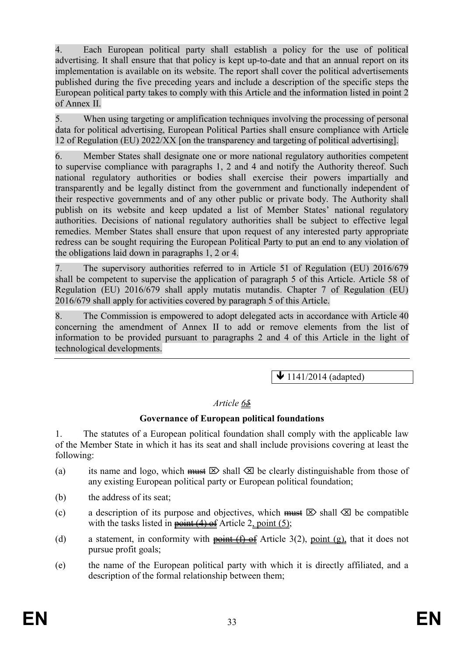4. Each European political party shall establish a policy for the use of political advertising. It shall ensure that that policy is kept up-to-date and that an annual report on its implementation is available on its website. The report shall cover the political advertisements published during the five preceding years and include a description of the specific steps the European political party takes to comply with this Article and the information listed in point 2 of Annex II.

5. When using targeting or amplification techniques involving the processing of personal data for political advertising, European Political Parties shall ensure compliance with Article 12 of Regulation (EU) 2022/XX [on the transparency and targeting of political advertising].

6. Member States shall designate one or more national regulatory authorities competent to supervise compliance with paragraphs 1, 2 and 4 and notify the Authority thereof. Such national regulatory authorities or bodies shall exercise their powers impartially and transparently and be legally distinct from the government and functionally independent of their respective governments and of any other public or private body. The Authority shall publish on its website and keep updated a list of Member States' national regulatory authorities. Decisions of national regulatory authorities shall be subject to effective legal remedies. Member States shall ensure that upon request of any interested party appropriate redress can be sought requiring the European Political Party to put an end to any violation of the obligations laid down in paragraphs 1, 2 or 4.

7. The supervisory authorities referred to in Article 51 of Regulation (EU) 2016/679 shall be competent to supervise the application of paragraph 5 of this Article. Article 58 of Regulation (EU) 2016/679 shall apply mutatis mutandis. Chapter 7 of Regulation (EU) 2016/679 shall apply for activities covered by paragraph 5 of this Article.

8. The Commission is empowered to adopt delegated acts in accordance with Article 40 concerning the amendment of Annex II to add or remove elements from the list of information to be provided pursuant to paragraphs 2 and 4 of this Article in the light of technological developments.

 $\bigvee$  1141/2014 (adapted)

## *Article 65*

## **Governance of European political foundations**

1. The statutes of a European political foundation shall comply with the applicable law of the Member State in which it has its seat and shall include provisions covering at least the following:

- (a) its name and logo, which must  $\boxtimes$  shall  $\boxtimes$  be clearly distinguishable from those of any existing European political party or European political foundation;
- (b) the address of its seat;
- (c) a description of its purpose and objectives, which must  $\boxtimes$  shall  $\boxtimes$  be compatible with the tasks listed in  $\frac{\text{point}(4) \cdot \text{of}}{\text{Article 2, point (5)}}$ ;
- (d) a statement, in conformity with point  $(f)$  of Article 3(2), point (g), that it does not pursue profit goals;
- (e) the name of the European political party with which it is directly affiliated, and a description of the formal relationship between them;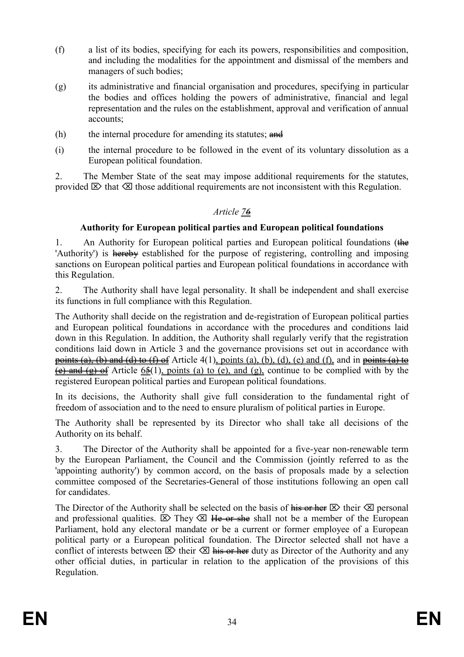- (f) a list of its bodies, specifying for each its powers, responsibilities and composition, and including the modalities for the appointment and dismissal of the members and managers of such bodies;
- (g) its administrative and financial organisation and procedures, specifying in particular the bodies and offices holding the powers of administrative, financial and legal representation and the rules on the establishment, approval and verification of annual accounts;
- $(h)$  the internal procedure for amending its statutes; and
- (i) the internal procedure to be followed in the event of its voluntary dissolution as a European political foundation.

2. The Member State of the seat may impose additional requirements for the statutes, provided  $\boxtimes$  that  $\boxtimes$  those additional requirements are not inconsistent with this Regulation.

## *Article 76*

#### **Authority for European political parties and European political foundations**

1. An Authority for European political parties and European political foundations (the 'Authority') is  $\frac{1}{\text{hereby}}$  established for the purpose of registering, controlling and imposing sanctions on European political parties and European political foundations in accordance with this Regulation.

2. The Authority shall have legal personality. It shall be independent and shall exercise its functions in full compliance with this Regulation.

The Authority shall decide on the registration and de-registration of European political parties and European political foundations in accordance with the procedures and conditions laid down in this Regulation. In addition, the Authority shall regularly verify that the registration conditions laid down in Article 3 and the governance provisions set out in accordance with points (a), (b) and (d) to (f) of Article 4(1), points (a), (b), (d), (e) and (f), and in points (a) to  $(e)$  and  $(g)$  of Article  $6\frac{5}{9}(1)$ , points (a) to (e), and (g), continue to be complied with by the registered European political parties and European political foundations.

In its decisions, the Authority shall give full consideration to the fundamental right of freedom of association and to the need to ensure pluralism of political parties in Europe.

The Authority shall be represented by its Director who shall take all decisions of the Authority on its behalf.

3. The Director of the Authority shall be appointed for a five-year non-renewable term by the European Parliament, the Council and the Commission (jointly referred to as the 'appointing authority') by common accord, on the basis of proposals made by a selection committee composed of the Secretaries-General of those institutions following an open call for candidates.

The Director of the Authority shall be selected on the basis of  $\overline{h}$  as  $\overline{h}$  their  $\otimes$  personal and professional qualities.  $\boxtimes$  They  $\boxtimes$  He or she shall not be a member of the European Parliament, hold any electoral mandate or be a current or former employee of a European political party or a European political foundation. The Director selected shall not have a conflict of interests between  $\boxtimes$  their  $\boxtimes$  his or her duty as Director of the Authority and any other official duties, in particular in relation to the application of the provisions of this Regulation.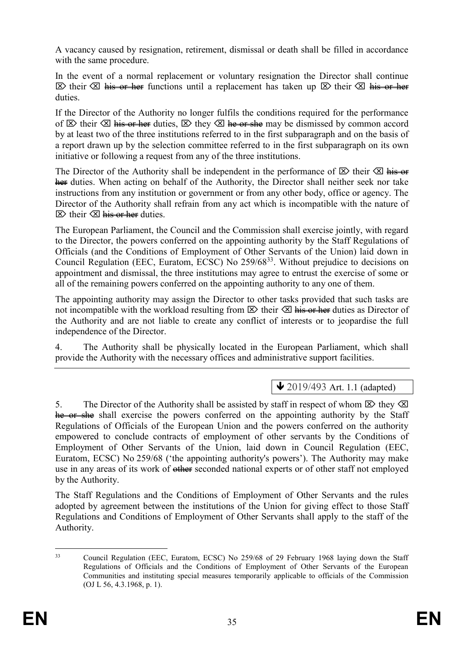A vacancy caused by resignation, retirement, dismissal or death shall be filled in accordance with the same procedure.

In the event of a normal replacement or voluntary resignation the Director shall continue  $\boxtimes$  their  $\boxtimes$  his or her functions until a replacement has taken up  $\boxtimes$  their  $\boxtimes$  his or her duties.

If the Director of the Authority no longer fulfils the conditions required for the performance of  $\boxtimes$  their  $\boxtimes$  his or her duties,  $\boxtimes$  they  $\boxtimes$  he or she may be dismissed by common accord by at least two of the three institutions referred to in the first subparagraph and on the basis of a report drawn up by the selection committee referred to in the first subparagraph on its own initiative or following a request from any of the three institutions.

The Director of the Authority shall be independent in the performance of  $\boxtimes$  their  $\boxtimes$  his or her duties. When acting on behalf of the Authority, the Director shall neither seek nor take instructions from any institution or government or from any other body, office or agency. The Director of the Authority shall refrain from any act which is incompatible with the nature of  $\boxtimes$  their  $\boxtimes$  his or her duties.

The European Parliament, the Council and the Commission shall exercise jointly, with regard to the Director, the powers conferred on the appointing authority by the Staff Regulations of Officials (and the Conditions of Employment of Other Servants of the Union) laid down in Council Regulation (EEC, Euratom, ECSC) No 259/68<sup>33</sup>. Without prejudice to decisions on appointment and dismissal, the three institutions may agree to entrust the exercise of some or all of the remaining powers conferred on the appointing authority to any one of them.

The appointing authority may assign the Director to other tasks provided that such tasks are not incompatible with the workload resulting from  $\boxtimes$  their  $\boxtimes$  his or her duties as Director of the Authority and are not liable to create any conflict of interests or to jeopardise the full independence of the Director.

4. The Authority shall be physically located in the European Parliament, which shall provide the Authority with the necessary offices and administrative support facilities.

 $\blacktriangleright$  2019/493 Art. 1.1 (adapted)

5. The Director of the Authority shall be assisted by staff in respect of whom  $\boxtimes$  they  $\boxtimes$ he or she shall exercise the powers conferred on the appointing authority by the Staff Regulations of Officials of the European Union and the powers conferred on the authority empowered to conclude contracts of employment of other servants by the Conditions of Employment of Other Servants of the Union, laid down in Council Regulation (EEC, Euratom, ECSC) No 259/68 ('the appointing authority's powers'). The Authority may make use in any areas of its work of  $\theta$  other seconded national experts or of other staff not employed by the Authority.

The Staff Regulations and the Conditions of Employment of Other Servants and the rules adopted by agreement between the institutions of the Union for giving effect to those Staff Regulations and Conditions of Employment of Other Servants shall apply to the staff of the Authority.

 $33$ <sup>33</sup> Council Regulation (EEC, Euratom, ECSC) No 259/68 of 29 February 1968 laying down the Staff Regulations of Officials and the Conditions of Employment of Other Servants of the European Communities and instituting special measures temporarily applicable to officials of the Commission (OJ L 56, 4.3.1968, p. 1).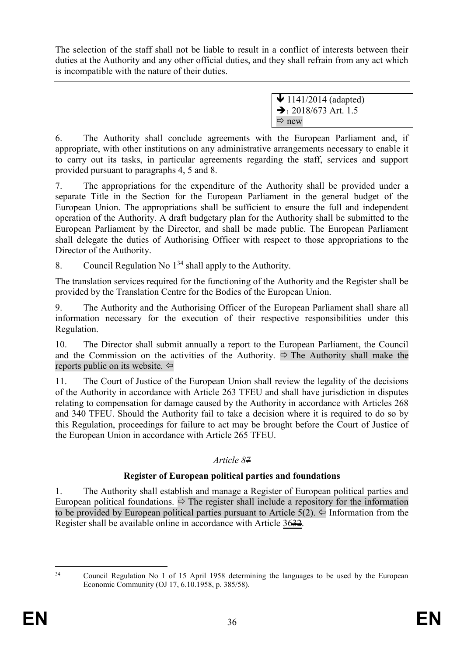The selection of the staff shall not be liable to result in a conflict of interests between their duties at the Authority and any other official duties, and they shall refrain from any act which is incompatible with the nature of their duties.

> $\bigvee$  1141/2014 (adapted)  $\rightarrow$  1 2018/673 Art. 1.5  $\Rightarrow$  new

6. The Authority shall conclude agreements with the European Parliament and, if appropriate, with other institutions on any administrative arrangements necessary to enable it to carry out its tasks, in particular agreements regarding the staff, services and support provided pursuant to paragraphs 4, 5 and 8.

7. The appropriations for the expenditure of the Authority shall be provided under a separate Title in the Section for the European Parliament in the general budget of the European Union. The appropriations shall be sufficient to ensure the full and independent operation of the Authority. A draft budgetary plan for the Authority shall be submitted to the European Parliament by the Director, and shall be made public. The European Parliament shall delegate the duties of Authorising Officer with respect to those appropriations to the Director of the Authority.

8. Council Regulation No  $1<sup>34</sup>$  shall apply to the Authority.

The translation services required for the functioning of the Authority and the Register shall be provided by the Translation Centre for the Bodies of the European Union.

9. The Authority and the Authorising Officer of the European Parliament shall share all information necessary for the execution of their respective responsibilities under this Regulation.

10. The Director shall submit annually a report to the European Parliament, the Council and the Commission on the activities of the Authority.  $\Rightarrow$  The Authority shall make the reports public on its website.  $\Leftrightarrow$ 

11. The Court of Justice of the European Union shall review the legality of the decisions of the Authority in accordance with Article 263 TFEU and shall have jurisdiction in disputes relating to compensation for damage caused by the Authority in accordance with Articles 268 and 340 TFEU. Should the Authority fail to take a decision where it is required to do so by this Regulation, proceedings for failure to act may be brought before the Court of Justice of the European Union in accordance with Article 265 TFEU.

# *Article 87*

## **Register of European political parties and foundations**

1. The Authority shall establish and manage a Register of European political parties and European political foundations.  $\Rightarrow$  The register shall include a repository for the information to be provided by European political parties pursuant to Article  $5(2)$ .  $\Leftarrow$  Information from the Register shall be available online in accordance with Article 3632.

 $34$ <sup>34</sup> Council Regulation No 1 of 15 April 1958 determining the languages to be used by the European Economic Community (OJ 17, 6.10.1958, p. 385/58).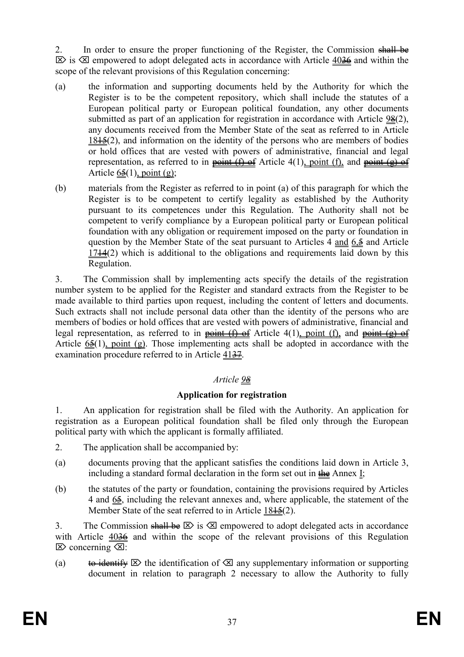2. In order to ensure the proper functioning of the Register, the Commission shall be  $\boxtimes$  is  $\boxtimes$  empowered to adopt delegated acts in accordance with Article  $40\frac{36}{36}$  and within the scope of the relevant provisions of this Regulation concerning:

- (a) the information and supporting documents held by the Authority for which the Register is to be the competent repository, which shall include the statutes of a European political party or European political foundation, any other documents submitted as part of an application for registration in accordance with Article  $9\frac{9}{6}(2)$ , any documents received from the Member State of the seat as referred to in Article  $1845(2)$ , and information on the identity of the persons who are members of bodies or hold offices that are vested with powers of administrative, financial and legal representation, as referred to in  $\frac{\text{point}(\text{f})}{\text{point}(\text{f})}$ ,  $\frac{\text{point}(\text{f})}{\text{point}(\text{f})}$ , and  $\frac{\text{point}(\text{g})}{\text{point}(\text{g})}$ Article  $6\frac{5}{2}(1)$ , point (g);
- (b) materials from the Register as referred to in point (a) of this paragraph for which the Register is to be competent to certify legality as established by the Authority pursuant to its competences under this Regulation. The Authority shall not be competent to verify compliance by a European political party or European political foundation with any obligation or requirement imposed on the party or foundation in question by the Member State of the seat pursuant to Articles 4 and  $6.5$  and Article 1714(2) which is additional to the obligations and requirements laid down by this Regulation.

3. The Commission shall by implementing acts specify the details of the registration number system to be applied for the Register and standard extracts from the Register to be made available to third parties upon request, including the content of letters and documents. Such extracts shall not include personal data other than the identity of the persons who are members of bodies or hold offices that are vested with powers of administrative, financial and legal representation, as referred to in point  $(f)$  of Article 4(1), point  $(f)$ , and point  $(g)$  of Article  $6\frac{5}{3}$ (1), point (g). Those implementing acts shall be adopted in accordance with the examination procedure referred to in Article  $41\frac{27}{2}$ .

## *Article 98*

## **Application for registration**

1. An application for registration shall be filed with the Authority. An application for registration as a European political foundation shall be filed only through the European political party with which the applicant is formally affiliated.

- 2. The application shall be accompanied by:
- (a) documents proving that the applicant satisfies the conditions laid down in Article 3, including a standard formal declaration in the form set out in the Annex I;
- (b) the statutes of the party or foundation, containing the provisions required by Articles 4 and 65, including the relevant annexes and, where applicable, the statement of the Member State of the seat referred to in Article  $1845(2)$ .

3. The Commission shall be  $\boxtimes$  is  $\boxtimes$  empowered to adopt delegated acts in accordance with Article 40<del>36</del> and within the scope of the relevant provisions of this Regulation  $\otimes$  concerning  $\otimes$ :

(a) to identify  $\boxtimes$  the identification of  $\boxtimes$  any supplementary information or supporting document in relation to paragraph 2 necessary to allow the Authority to fully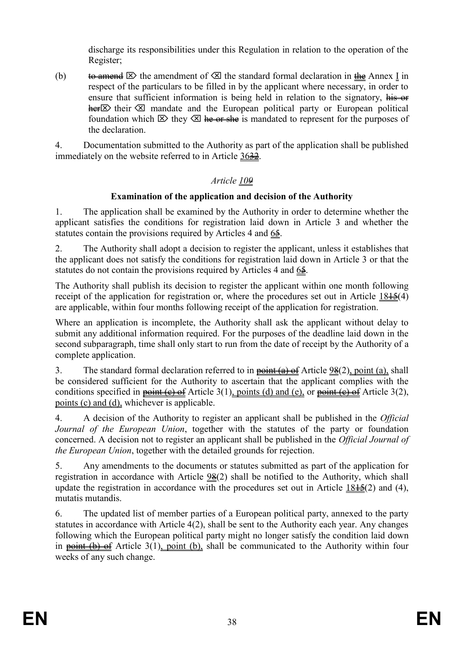discharge its responsibilities under this Regulation in relation to the operation of the Register;

(b) to a to a mendment of  $\boxtimes$  the standard formal declaration in the Annex I in respect of the particulars to be filled in by the applicant where necessary, in order to ensure that sufficient information is being held in relation to the signatory, his or  $\overline{\text{heff}}$  their  $\otimes$  mandate and the European political party or European political foundation which  $\boxtimes$  they  $\boxtimes$  he or she is mandated to represent for the purposes of the declaration.

4. Documentation submitted to the Authority as part of the application shall be published immediately on the website referred to in Article 3632.

## *Article 109*

## **Examination of the application and decision of the Authority**

1. The application shall be examined by the Authority in order to determine whether the applicant satisfies the conditions for registration laid down in Article 3 and whether the statutes contain the provisions required by Articles 4 and 6.5.

2. The Authority shall adopt a decision to register the applicant, unless it establishes that the applicant does not satisfy the conditions for registration laid down in Article 3 or that the statutes do not contain the provisions required by Articles 4 and 65.

The Authority shall publish its decision to register the applicant within one month following receipt of the application for registration or, where the procedures set out in Article  $1845(4)$ are applicable, within four months following receipt of the application for registration.

Where an application is incomplete, the Authority shall ask the applicant without delay to submit any additional information required. For the purposes of the deadline laid down in the second subparagraph, time shall only start to run from the date of receipt by the Authority of a complete application.

3. The standard formal declaration referred to in  $\frac{\pi}{12}$  point (a), shall  $\frac{\pi}{12}$  point (a), shall be considered sufficient for the Authority to ascertain that the applicant complies with the conditions specified in  $\frac{\text{point}}{\text{left}}$  (e) of Article 3(1), points (d) and (e), or  $\frac{\text{point}}{\text{left}}$  (e) of Article 3(2), points (c) and (d), whichever is applicable.

4. A decision of the Authority to register an applicant shall be published in the *Official Journal of the European Union*, together with the statutes of the party or foundation concerned. A decision not to register an applicant shall be published in the *Official Journal of the European Union*, together with the detailed grounds for rejection.

5. Any amendments to the documents or statutes submitted as part of the application for registration in accordance with Article  $9\frac{9}{6}$ (2) shall be notified to the Authority, which shall update the registration in accordance with the procedures set out in Article  $184\frac{1}{2}(2)$  and (4), mutatis mutandis.

6. The updated list of member parties of a European political party, annexed to the party statutes in accordance with Article 4(2), shall be sent to the Authority each year. Any changes following which the European political party might no longer satisfy the condition laid down in point  $(b)$  of Article 3(1), point (b), shall be communicated to the Authority within four weeks of any such change.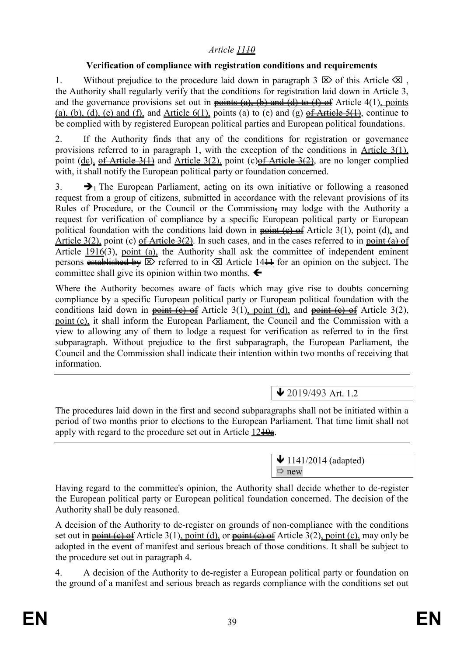## *Article* 11<del>10</del>

#### **Verification of compliance with registration conditions and requirements**

1. Without prejudice to the procedure laid down in paragraph 3  $\boxtimes$  of this Article  $\boxtimes$ , the Authority shall regularly verify that the conditions for registration laid down in Article 3, and the governance provisions set out in points (a), (b) and (d) to (f) of Article 4(1), points (a), (b), (d), (e) and (f), and Article  $6(1)$ , points (a) to (e) and (g)  $\frac{6f \text{ Article } 5(1)}{2}$ , continue to be complied with by registered European political parties and European political foundations.

2. If the Authority finds that any of the conditions for registration or governance provisions referred to in paragraph 1, with the exception of the conditions in Article 3(1), point (de), of Article  $3(1)$  and Article 3(2), point (c) of Article  $3(2)$ , are no longer complied with, it shall notify the European political party or foundation concerned.

3.  $\rightarrow$  The European Parliament, acting on its own initiative or following a reasoned request from a group of citizens, submitted in accordance with the relevant provisions of its Rules of Procedure, or the Council or the Commission<sub> $\overline{z}$ </sub> may lodge with the Authority a request for verification of compliance by a specific European political party or European political foundation with the conditions laid down in  $\frac{\partial u}{\partial x} + \frac{\partial u}{\partial y} + \frac{\partial u}{\partial z} + \frac{\partial u}{\partial x} + \frac{\partial u}{\partial y} + \frac{\partial u}{\partial z} + \frac{\partial u}{\partial x} + \frac{\partial u}{\partial y} + \frac{\partial u}{\partial y} + \frac{\partial u}{\partial z} + \frac{\partial u}{\partial y} + \frac{\partial u}{\partial z} + \frac{\partial u}{\partial x} + \frac{\partial u}{\partial y} + \frac{\partial u}{\partial z} + \$ Article 3(2), point (c)  $\frac{\theta f \cdot$  Article 3(2). In such cases, and in the cases referred to in point (a) of Article  $1946(3)$ , point (a), the Authority shall ask the committee of independent eminent persons established by  $\boxtimes$  referred to in  $\boxtimes$  Article 14<del>11</del> for an opinion on the subject. The committee shall give its opinion within two months.  $\leftarrow$ 

Where the Authority becomes aware of facts which may give rise to doubts concerning compliance by a specific European political party or European political foundation with the conditions laid down in point (e) of Article 3(1), point (d), and point (e) of Article 3(2), point (c), it shall inform the European Parliament, the Council and the Commission with a view to allowing any of them to lodge a request for verification as referred to in the first subparagraph. Without prejudice to the first subparagraph, the European Parliament, the Council and the Commission shall indicate their intention within two months of receiving that information.

 $\triangle$  2019/493 Art. 1.2

The procedures laid down in the first and second subparagraphs shall not be initiated within a period of two months prior to elections to the European Parliament. That time limit shall not apply with regard to the procedure set out in Article  $12\frac{10a}{100}$ .

> $\bigvee$  1141/2014 (adapted)  $\Rightarrow$  new

Having regard to the committee's opinion, the Authority shall decide whether to de-register the European political party or European political foundation concerned. The decision of the Authority shall be duly reasoned.

A decision of the Authority to de-register on grounds of non-compliance with the conditions set out in point (e) of Article 3(1), point (d), or point (e) of Article 3(2), point (c), may only be adopted in the event of manifest and serious breach of those conditions. It shall be subject to the procedure set out in paragraph 4.

4. A decision of the Authority to de-register a European political party or foundation on the ground of a manifest and serious breach as regards compliance with the conditions set out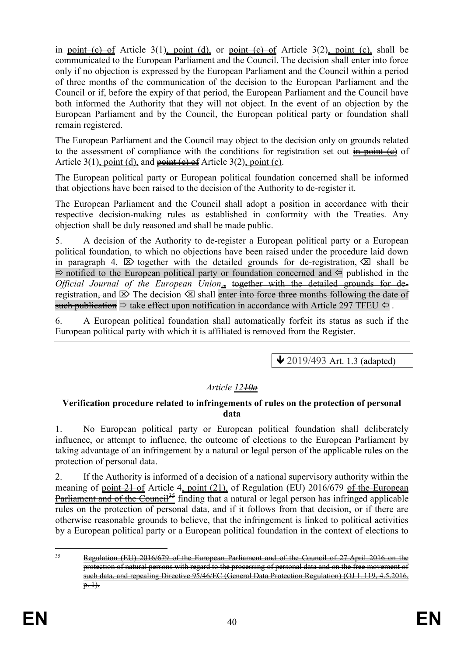in point (c) of Article 3(1), point (d), or point  $(e)$  of Article 3(2), point (c), shall be communicated to the European Parliament and the Council. The decision shall enter into force only if no objection is expressed by the European Parliament and the Council within a period of three months of the communication of the decision to the European Parliament and the Council or if, before the expiry of that period, the European Parliament and the Council have both informed the Authority that they will not object. In the event of an objection by the European Parliament and by the Council, the European political party or foundation shall remain registered.

The European Parliament and the Council may object to the decision only on grounds related to the assessment of compliance with the conditions for registration set out  $\frac{d}{dx}$  point  $\left(\frac{e}{c}\right)$  of Article 3(1), point (d), and  $\frac{\pi}{\pi}$  article 3(2), point (c).

The European political party or European political foundation concerned shall be informed that objections have been raised to the decision of the Authority to de-register it.

The European Parliament and the Council shall adopt a position in accordance with their respective decision-making rules as established in conformity with the Treaties. Any objection shall be duly reasoned and shall be made public.

5. A decision of the Authority to de-register a European political party or a European political foundation, to which no objections have been raised under the procedure laid down in paragraph 4,  $\boxtimes$  together with the detailed grounds for de-registration,  $\boxtimes$  shall be  $\Rightarrow$  notified to the European political party or foundation concerned and  $\Leftrightarrow$  published in the *Official Journal of the European Union*<sub>5</sub> together with the detailed grounds for deregistration, and  $\boxtimes$  The decision  $\boxtimes$  shall enter into force three months following the date of such publication  $\Rightarrow$  take effect upon notification in accordance with Article 297 TFEU  $\Leftrightarrow$ .

6. A European political foundation shall automatically forfeit its status as such if the European political party with which it is affiliated is removed from the Register.

 $\bigvee$  2019/493 Art. 1.3 (adapted)

# *Article 1210a*

#### **Verification procedure related to infringements of rules on the protection of personal data**

1. No European political party or European political foundation shall deliberately influence, or attempt to influence, the outcome of elections to the European Parliament by taking advantage of an infringement by a natural or legal person of the applicable rules on the protection of personal data.

2. If the Authority is informed of a decision of a national supervisory authority within the meaning of point 21 of Article 4, point (21), of Regulation (EU) 2016/679 of the European **Parliament and of the Council**<sup>35</sup> finding that a natural or legal person has infringed applicable rules on the protection of personal data, and if it follows from that decision, or if there are otherwise reasonable grounds to believe, that the infringement is linked to political activities by a European political party or a European political foundation in the context of elections to

 $35$ Regulation (EU) 2016/679 of the European Parliament and of the Council of 27 April protection of natural persons with regard to the processing of personal data and on the free movement of such data, and repealing Directive 95/46/EC (General Data Protection Regulation) (QJ L 119, 4.5  $\frac{\rho_1}{\rho_2}$ .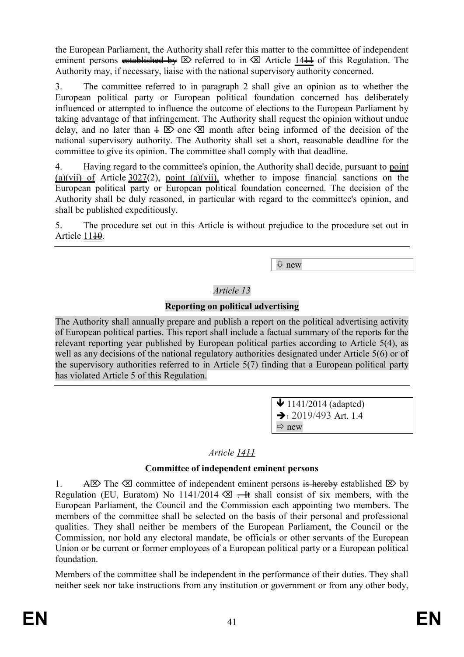the European Parliament, the Authority shall refer this matter to the committee of independent eminent persons established by  $\boxtimes$  referred to in  $\boxtimes$  Article 14<sup>11</sup> of this Regulation. The Authority may, if necessary, liaise with the national supervisory authority concerned.

3. The committee referred to in paragraph 2 shall give an opinion as to whether the European political party or European political foundation concerned has deliberately influenced or attempted to influence the outcome of elections to the European Parliament by taking advantage of that infringement. The Authority shall request the opinion without undue delay, and no later than  $\pm \boxtimes$  one  $\boxtimes$  month after being informed of the decision of the national supervisory authority. The Authority shall set a short, reasonable deadline for the committee to give its opinion. The committee shall comply with that deadline.

4. Having regard to the committee's opinion, the Authority shall decide, pursuant to point  $\frac{1}{2}$  (a)(vii) of Article 3027(2), point (a)(vii), whether to impose financial sanctions on the European political party or European political foundation concerned. The decision of the Authority shall be duly reasoned, in particular with regard to the committee's opinion, and shall be published expeditiously.

5. The procedure set out in this Article is without prejudice to the procedure set out in Article  $1110$ .

new

## *Article 13*

## **Reporting on political advertising**

The Authority shall annually prepare and publish a report on the political advertising activity of European political parties. This report shall include a factual summary of the reports for the relevant reporting year published by European political parties according to Article 5(4), as well as any decisions of the national regulatory authorities designated under Article 5(6) or of the supervisory authorities referred to in Article 5(7) finding that a European political party has violated Article 5 of this Regulation.

> $\bigvee$  1141/2014 (adapted)  $\rightarrow$  1 2019/493 Art. 1.4  $\Rightarrow$  new

## *Article 1411*

## **Committee of independent eminent persons**

1. A  $\overline{\triangle}$  The  $\overline{\triangle}$  committee of independent eminent persons is hereby established  $\overline{\triangle}$  by Regulation (EU, Euratom) No 1141/2014  $\otimes$   $\rightarrow$  shall consist of six members, with the European Parliament, the Council and the Commission each appointing two members. The members of the committee shall be selected on the basis of their personal and professional qualities. They shall neither be members of the European Parliament, the Council or the Commission, nor hold any electoral mandate, be officials or other servants of the European Union or be current or former employees of a European political party or a European political foundation.

Members of the committee shall be independent in the performance of their duties. They shall neither seek nor take instructions from any institution or government or from any other body,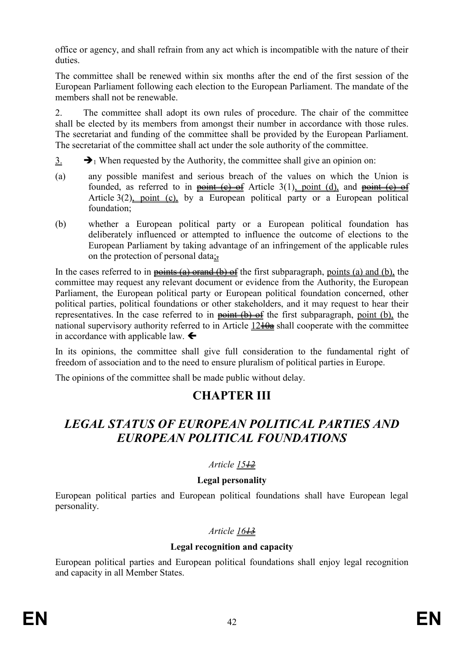office or agency, and shall refrain from any act which is incompatible with the nature of their duties.

The committee shall be renewed within six months after the end of the first session of the European Parliament following each election to the European Parliament. The mandate of the members shall not be renewable.

2. The committee shall adopt its own rules of procedure. The chair of the committee shall be elected by its members from amongst their number in accordance with those rules. The secretariat and funding of the committee shall be provided by the European Parliament. The secretariat of the committee shall act under the sole authority of the committee.

- $\frac{3}{2}$   $\rightarrow$  When requested by the Authority, the committee shall give an opinion on:
- (a) any possible manifest and serious breach of the values on which the Union is founded, as referred to in point  $(e)$  of Article 3(1), point (d), and point  $(e)$  of Article 3(2), point (c), by a European political party or a European political foundation;
- (b) whether a European political party or a European political foundation has deliberately influenced or attempted to influence the outcome of elections to the European Parliament by taking advantage of an infringement of the applicable rules on the protection of personal data;

In the cases referred to in points  $(a)$  orand  $(b)$  of the first subparagraph, points  $(a)$  and  $(b)$ , the committee may request any relevant document or evidence from the Authority, the European Parliament, the European political party or European political foundation concerned, other political parties, political foundations or other stakeholders, and it may request to hear their representatives. In the case referred to in  $\frac{\text{point}(\mathbf{b}) - \mathbf{f}}{\mathbf{b}}$  the first subparagraph, point (b), the national supervisory authority referred to in Article  $12 + \theta$  shall cooperate with the committee in accordance with applicable law.  $\blacktriangleleft$ 

In its opinions, the committee shall give full consideration to the fundamental right of freedom of association and to the need to ensure pluralism of political parties in Europe.

The opinions of the committee shall be made public without delay.

# **CHAPTER III**

# *LEGAL STATUS OF EUROPEAN POLITICAL PARTIES AND EUROPEAN POLITICAL FOUNDATIONS*

## *Article 1512*

## **Legal personality**

European political parties and European political foundations shall have European legal personality.

# *Article 1613*

## **Legal recognition and capacity**

European political parties and European political foundations shall enjoy legal recognition and capacity in all Member States.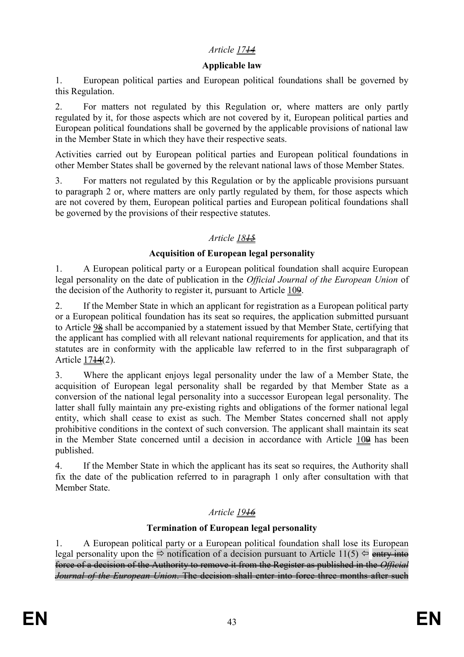## *Article 1714*

#### **Applicable law**

1. European political parties and European political foundations shall be governed by this Regulation.

2. For matters not regulated by this Regulation or, where matters are only partly regulated by it, for those aspects which are not covered by it, European political parties and European political foundations shall be governed by the applicable provisions of national law in the Member State in which they have their respective seats.

Activities carried out by European political parties and European political foundations in other Member States shall be governed by the relevant national laws of those Member States.

3. For matters not regulated by this Regulation or by the applicable provisions pursuant to paragraph 2 or, where matters are only partly regulated by them, for those aspects which are not covered by them, European political parties and European political foundations shall be governed by the provisions of their respective statutes.

## *Article 1815*

#### **Acquisition of European legal personality**

1. A European political party or a European political foundation shall acquire European legal personality on the date of publication in the *Official Journal of the European Union* of the decision of the Authority to register it, pursuant to Article 109.

2. If the Member State in which an applicant for registration as a European political party or a European political foundation has its seat so requires, the application submitted pursuant to Article 98 shall be accompanied by a statement issued by that Member State, certifying that the applicant has complied with all relevant national requirements for application, and that its statutes are in conformity with the applicable law referred to in the first subparagraph of Article  $1744(2)$ .

3. Where the applicant enjoys legal personality under the law of a Member State, the acquisition of European legal personality shall be regarded by that Member State as a conversion of the national legal personality into a successor European legal personality. The latter shall fully maintain any pre-existing rights and obligations of the former national legal entity, which shall cease to exist as such. The Member States concerned shall not apply prohibitive conditions in the context of such conversion. The applicant shall maintain its seat in the Member State concerned until a decision in accordance with Article 109 has been published.

4. If the Member State in which the applicant has its seat so requires, the Authority shall fix the date of the publication referred to in paragraph 1 only after consultation with that Member State.

## *Article 1916*

## **Termination of European legal personality**

1. A European political party or a European political foundation shall lose its European legal personality upon the  $\Rightarrow$  notification of a decision pursuant to Article 11(5)  $\Leftrightarrow$  entry into force of a decision of the Authority to remove it from the Register as published in the *Official Journal of the European Union*. The decision shall enter into force three months after such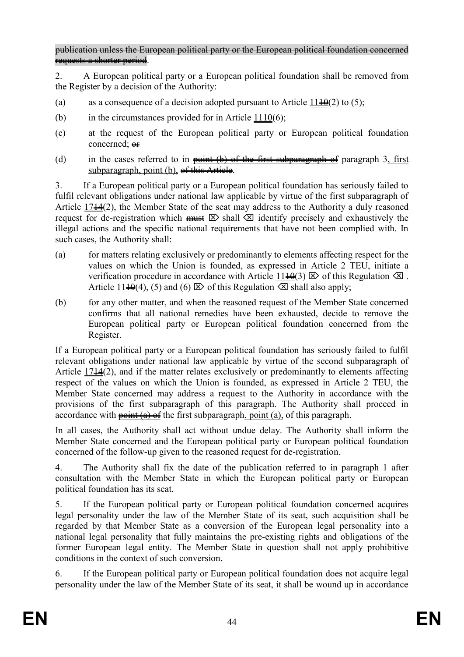publication unless the European political party or the European political foundation concerned requests a shorter period.

2. A European political party or a European political foundation shall be removed from the Register by a decision of the Authority:

- (a) as a consequence of a decision adopted pursuant to Article 11 $\pm \theta$ (2) to (5);
- (b) in the circumstances provided for in Article  $11\overline{40(6)}$ ;
- (c) at the request of the European political party or European political foundation concerned;  $\Theta$ **F**
- (d) in the cases referred to in point  $(b)$  of the first subparagraph of paragraph 3, first subparagraph, point  $(b)$ , of this Article.

3. If a European political party or a European political foundation has seriously failed to fulfil relevant obligations under national law applicable by virtue of the first subparagraph of Article  $17\frac{14}{12}$ , the Member State of the seat may address to the Authority a duly reasoned request for de-registration which  $\frac{m}{m}$   $\boxtimes$  shall  $\boxtimes$  identify precisely and exhaustively the illegal actions and the specific national requirements that have not been complied with. In such cases, the Authority shall:

- (a) for matters relating exclusively or predominantly to elements affecting respect for the values on which the Union is founded, as expressed in Article 2 TEU, initiate a verification procedure in accordance with Article  $11\overline{40}(3)$   $\boxtimes$  of this Regulation  $\boxtimes$ . Article 1140(4), (5) and (6)  $\boxtimes$  of this Regulation  $\boxtimes$  shall also apply;
- (b) for any other matter, and when the reasoned request of the Member State concerned confirms that all national remedies have been exhausted, decide to remove the European political party or European political foundation concerned from the Register.

If a European political party or a European political foundation has seriously failed to fulfil relevant obligations under national law applicable by virtue of the second subparagraph of Article 1744(2), and if the matter relates exclusively or predominantly to elements affecting respect of the values on which the Union is founded, as expressed in Article 2 TEU, the Member State concerned may address a request to the Authority in accordance with the provisions of the first subparagraph of this paragraph. The Authority shall proceed in accordance with  $\frac{\theta}{\theta}$  filest subparagraph, point (a), of this paragraph.

In all cases, the Authority shall act without undue delay. The Authority shall inform the Member State concerned and the European political party or European political foundation concerned of the follow-up given to the reasoned request for de-registration.

4. The Authority shall fix the date of the publication referred to in paragraph 1 after consultation with the Member State in which the European political party or European political foundation has its seat.

5. If the European political party or European political foundation concerned acquires legal personality under the law of the Member State of its seat, such acquisition shall be regarded by that Member State as a conversion of the European legal personality into a national legal personality that fully maintains the pre-existing rights and obligations of the former European legal entity. The Member State in question shall not apply prohibitive conditions in the context of such conversion.

6. If the European political party or European political foundation does not acquire legal personality under the law of the Member State of its seat, it shall be wound up in accordance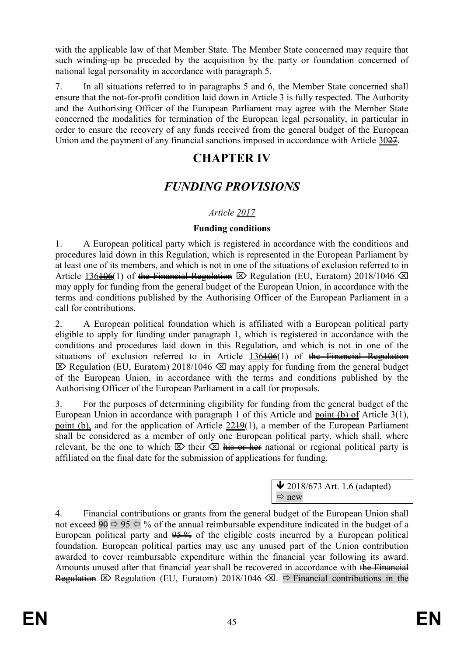with the applicable law of that Member State. The Member State concerned may require that such winding-up be preceded by the acquisition by the party or foundation concerned of national legal personality in accordance with paragraph 5.

7. In all situations referred to in paragraphs 5 and 6, the Member State concerned shall ensure that the not-for-profit condition laid down in Article 3 is fully respected. The Authority and the Authorising Officer of the European Parliament may agree with the Member State concerned the modalities for termination of the European legal personality, in particular in order to ensure the recovery of any funds received from the general budget of the European Union and the payment of any financial sanctions imposed in accordance with Article 3027.

# **CHAPTER IV**

# *FUNDING PROVISIONS*

# *Article 2017*

#### **Funding conditions**

1. A European political party which is registered in accordance with the conditions and procedures laid down in this Regulation, which is represented in the European Parliament by at least one of its members, and which is not in one of the situations of exclusion referred to in Article 136<del>106</del>(1) of the Financial Regulation  $\boxtimes$  Regulation (EU, Euratom) 2018/1046  $\boxtimes$ may apply for funding from the general budget of the European Union, in accordance with the terms and conditions published by the Authorising Officer of the European Parliament in a call for contributions.

2. A European political foundation which is affiliated with a European political party eligible to apply for funding under paragraph 1, which is registered in accordance with the conditions and procedures laid down in this Regulation, and which is not in one of the situations of exclusion referred to in Article  $136406(1)$  of the Financial Regulation  $\boxtimes$  Regulation (EU, Euratom) 2018/1046  $\boxtimes$  may apply for funding from the general budget of the European Union, in accordance with the terms and conditions published by the Authorising Officer of the European Parliament in a call for proposals.

3. For the purposes of determining eligibility for funding from the general budget of the European Union in accordance with paragraph 1 of this Article and point  $(b)$  of Article 3(1), point (b), and for the application of Article  $22 + 9(1)$ , a member of the European Parliament shall be considered as a member of only one European political party, which shall, where relevant, be the one to which  $\boxtimes$  their  $\boxtimes$  his or her national or regional political party is affiliated on the final date for the submission of applications for funding.

> $\bigvee$  2018/673 Art. 1.6 (adapted)  $\Rightarrow$  new

4. Financial contributions or grants from the general budget of the European Union shall not exceed  $90 \Rightarrow 95 \Leftrightarrow$  % of the annual reimbursable expenditure indicated in the budget of a European political party and  $95\%$  of the eligible costs incurred by a European political foundation. European political parties may use any unused part of the Union contribution awarded to cover reimbursable expenditure within the financial year following its award. Amounts unused after that financial year shall be recovered in accordance with the Financial Regulation  $\boxtimes$  Regulation (EU, Euratom) 2018/1046  $\boxtimes$ .  $\Rightarrow$  Financial contributions in the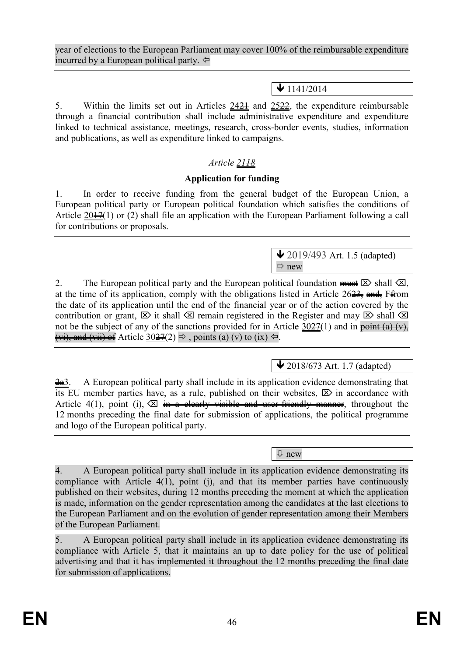year of elections to the European Parliament may cover 100% of the reimbursable expenditure incurred by a European political party.  $\Leftrightarrow$ 

## $\bigvee$  1141/2014

5. Within the limits set out in Articles  $242\pm 1$  and  $252\pm 2$ , the expenditure reimbursable through a financial contribution shall include administrative expenditure and expenditure linked to technical assistance, meetings, research, cross-border events, studies, information and publications, as well as expenditure linked to campaigns.

#### *Article* 21<del>18</del>

#### **Application for funding**

1. In order to receive funding from the general budget of the European Union, a European political party or European political foundation which satisfies the conditions of Article  $20\frac{17}{1}$  or (2) shall file an application with the European Parliament following a call for contributions or proposals.

> $\bigvee$  2019/493 Art. 1.5 (adapted)  $\Rightarrow$  new

2. The European political party and the European political foundation  $\frac{m}{m}$   $\boxtimes$  shall  $\boxtimes$ , at the time of its application, comply with the obligations listed in Article  $2623$ , and, Figrom the date of its application until the end of the financial year or of the action covered by the contribution or grant,  $\boxtimes$  it shall  $\boxtimes$  remain registered in the Register and  $\text{max } \boxtimes$  shall  $\boxtimes$ not be the subject of any of the sanctions provided for in Article  $3027(1)$  and in point (a) (v),  $(vi)$ , and  $(vii)$  of Article 3027(2)  $\Rightarrow$ , points (a) (v) to (ix)  $\Leftarrow$ .

 $\bigvee$  2018/673 Art. 1.7 (adapted)

 $\frac{2a}{3}$ . A European political party shall include in its application evidence demonstrating that its EU member parties have, as a rule, published on their websites,  $\boxtimes$  in accordance with Article 4(1), point (i),  $\otimes$  in a clearly visible and user-friendly manner, throughout the 12 months preceding the final date for submission of applications, the political programme and logo of the European political party.

new

4. A European political party shall include in its application evidence demonstrating its compliance with Article 4(1), point (j), and that its member parties have continuously published on their websites, during 12 months preceding the moment at which the application is made, information on the gender representation among the candidates at the last elections to the European Parliament and on the evolution of gender representation among their Members of the European Parliament.

5. A European political party shall include in its application evidence demonstrating its compliance with Article 5, that it maintains an up to date policy for the use of political advertising and that it has implemented it throughout the 12 months preceding the final date for submission of applications.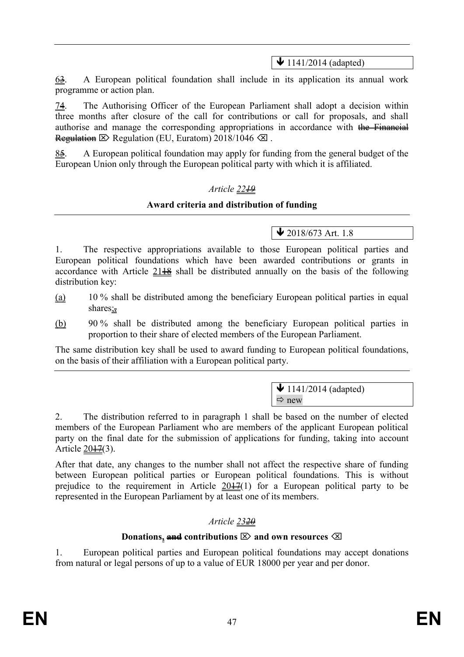$\bigvee$  1141/2014 (adapted)

 $\blacktriangleright$  2018/673 Art. 1.8

 $6\frac{3}{2}$ . A European political foundation shall include in its application its annual work programme or action plan.

74. The Authorising Officer of the European Parliament shall adopt a decision within three months after closure of the call for contributions or call for proposals, and shall authorise and manage the corresponding appropriations in accordance with the Financial Regulation  $\boxtimes$  Regulation (EU, Euratom) 2018/1046  $\boxtimes$ .

85. A European political foundation may apply for funding from the general budget of the European Union only through the European political party with which it is affiliated.

## *Article 2219*

#### **Award criteria and distribution of funding**

1. The respective appropriations available to those European political parties and European political foundations which have been awarded contributions or grants in accordance with Article 21<sup>18</sup> shall be distributed annually on the basis of the following distribution key:

- (a) 10 % shall be distributed among the beneficiary European political parties in equal shares;,
- (b) 90 % shall be distributed among the beneficiary European political parties in proportion to their share of elected members of the European Parliament.

The same distribution key shall be used to award funding to European political foundations, on the basis of their affiliation with a European political party.

> $\bigvee$  1141/2014 (adapted)  $\Rightarrow$  new

2. The distribution referred to in paragraph 1 shall be based on the number of elected members of the European Parliament who are members of the applicant European political party on the final date for the submission of applications for funding, taking into account Article  $20\frac{17}{3}$ .

After that date, any changes to the number shall not affect the respective share of funding between European political parties or European political foundations. This is without prejudice to the requirement in Article  $20\frac{17}{11}$  for a European political party to be represented in the European Parliament by at least one of its members.

# *Article 2320*

## **Donations, and contributions**  $\mathbb{Z}$  **and own resources**  $\mathbb{Z}$

1. European political parties and European political foundations may accept donations from natural or legal persons of up to a value of EUR 18000 per year and per donor.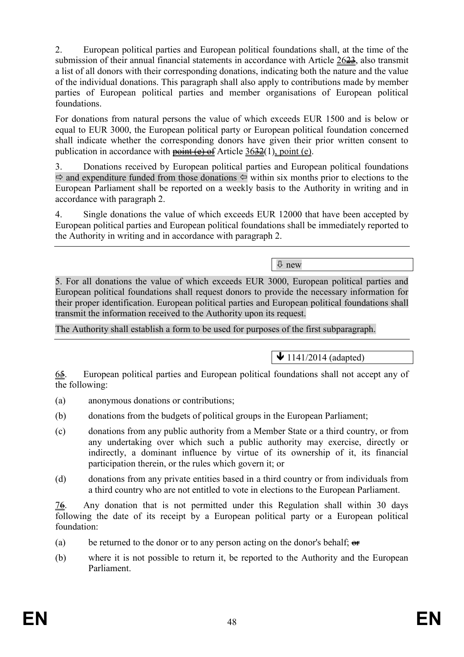2. European political parties and European political foundations shall, at the time of the submission of their annual financial statements in accordance with Article  $2623$ , also transmit a list of all donors with their corresponding donations, indicating both the nature and the value of the individual donations. This paragraph shall also apply to contributions made by member parties of European political parties and member organisations of European political foundations.

For donations from natural persons the value of which exceeds EUR 1500 and is below or equal to EUR 3000, the European political party or European political foundation concerned shall indicate whether the corresponding donors have given their prior written consent to publication in accordance with  $\frac{\pi}{12}$   $\frac{\pi}{12}$  Article 3632(1), point (e).

3. Donations received by European political parties and European political foundations  $\Rightarrow$  and expenditure funded from those donations  $\Leftrightarrow$  within six months prior to elections to the European Parliament shall be reported on a weekly basis to the Authority in writing and in accordance with paragraph 2.

4. Single donations the value of which exceeds EUR 12000 that have been accepted by European political parties and European political foundations shall be immediately reported to the Authority in writing and in accordance with paragraph 2.

new

5. For all donations the value of which exceeds EUR 3000, European political parties and European political foundations shall request donors to provide the necessary information for their proper identification. European political parties and European political foundations shall transmit the information received to the Authority upon its request.

The Authority shall establish a form to be used for purposes of the first subparagraph.

 $\bigvee$  1141/2014 (adapted)

65. European political parties and European political foundations shall not accept any of the following:

- (a) anonymous donations or contributions;
- (b) donations from the budgets of political groups in the European Parliament;
- (c) donations from any public authority from a Member State or a third country, or from any undertaking over which such a public authority may exercise, directly or indirectly, a dominant influence by virtue of its ownership of it, its financial participation therein, or the rules which govern it; or
- (d) donations from any private entities based in a third country or from individuals from a third country who are not entitled to vote in elections to the European Parliament.

76. Any donation that is not permitted under this Regulation shall within 30 days following the date of its receipt by a European political party or a European political foundation:

- (a) be returned to the donor or to any person acting on the donor's behalf;  $\theta$
- (b) where it is not possible to return it, be reported to the Authority and the European Parliament.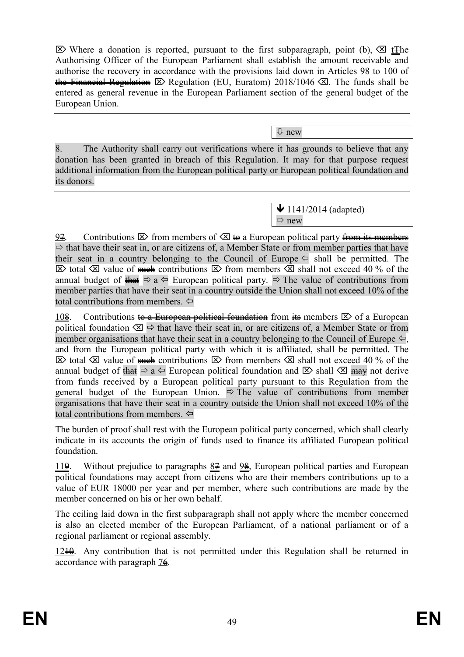$\boxtimes$  Where a donation is reported, pursuant to the first subparagraph, point (b),  $\boxtimes$  t#he Authorising Officer of the European Parliament shall establish the amount receivable and authorise the recovery in accordance with the provisions laid down in Articles 98 to 100 of the Financial Regulation  $\boxtimes$  Regulation (EU, Euratom) 2018/1046  $\boxtimes$ . The funds shall be entered as general revenue in the European Parliament section of the general budget of the European Union.

8. The Authority shall carry out verifications where it has grounds to believe that any donation has been granted in breach of this Regulation. It may for that purpose request additional information from the European political party or European political foundation and its donors.

> $\bigvee$  1141/2014 (adapted)  $\Rightarrow$  new

new

97. Contributions  $\boxtimes$  from members of  $\boxtimes$  to a European political party from its members  $\Rightarrow$  that have their seat in, or are citizens of, a Member State or from member parties that have their seat in a country belonging to the Council of Europe  $\Leftrightarrow$  shall be permitted. The  $\boxtimes$  total  $\boxtimes$  value of such contributions  $\boxtimes$  from members  $\boxtimes$  shall not exceed 40 % of the annual budget of that  $\Rightarrow$  a  $\Leftarrow$  European political party.  $\Rightarrow$  The value of contributions from member parties that have their seat in a country outside the Union shall not exceed 10% of the total contributions from members.

108. Contributions to a European political foundation from its members  $\boxtimes$  of a European political foundation  $\otimes \Rightarrow$  that have their seat in, or are citizens of, a Member State or from member organisations that have their seat in a country belonging to the Council of Europe  $\Leftarrow$ . and from the European political party with which it is affiliated, shall be permitted. The  $\boxtimes$  total  $\boxtimes$  value of such contributions  $\boxtimes$  from members  $\boxtimes$  shall not exceed 40 % of the annual budget of that  $\Rightarrow$  a  $\Leftarrow$  European political foundation and  $\boxtimes$  shall  $\boxtimes$  may not derive from funds received by a European political party pursuant to this Regulation from the general budget of the European Union.  $\Rightarrow$  The value of contributions from member organisations that have their seat in a country outside the Union shall not exceed 10% of the total contributions from members.  $\Leftarrow$ 

The burden of proof shall rest with the European political party concerned, which shall clearly indicate in its accounts the origin of funds used to finance its affiliated European political foundation.

119. Without prejudice to paragraphs 87 and 98, European political parties and European political foundations may accept from citizens who are their members contributions up to a value of EUR 18000 per year and per member, where such contributions are made by the member concerned on his or her own behalf.

The ceiling laid down in the first subparagraph shall not apply where the member concerned is also an elected member of the European Parliament, of a national parliament or of a regional parliament or regional assembly.

 $12<sub>10</sub>$ . Any contribution that is not permitted under this Regulation shall be returned in accordance with paragraph 76.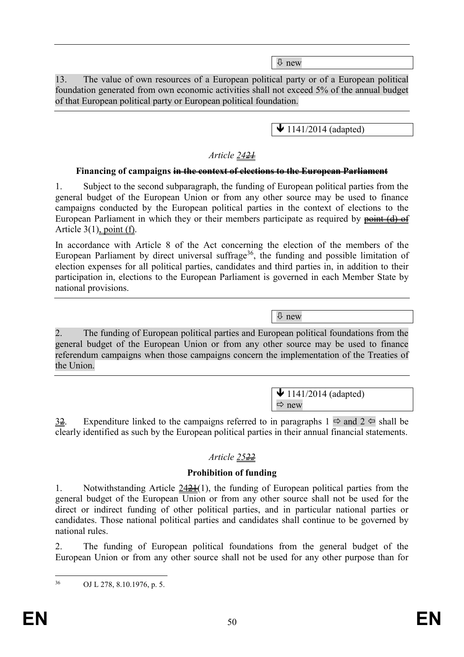new

13. The value of own resources of a European political party or of a European political foundation generated from own economic activities shall not exceed 5% of the annual budget of that European political party or European political foundation.

 $\blacktriangleright$  1141/2014 (adapted)

# *Article 2421*

## **Financing of campaigns in the context of elections to the European Parliament**

1. Subject to the second subparagraph, the funding of European political parties from the general budget of the European Union or from any other source may be used to finance campaigns conducted by the European political parties in the context of elections to the European Parliament in which they or their members participate as required by point (d) of Article  $3(1)$ , point  $(f)$ .

In accordance with Article 8 of the Act concerning the election of the members of the European Parliament by direct universal suffrage<sup>36</sup>, the funding and possible limitation of election expenses for all political parties, candidates and third parties in, in addition to their participation in, elections to the European Parliament is governed in each Member State by national provisions.

new

2. The funding of European political parties and European political foundations from the general budget of the European Union or from any other source may be used to finance referendum campaigns when those campaigns concern the implementation of the Treaties of the Union.

> $\bigvee$  1141/2014 (adapted)  $Arr$  new

32. Expenditure linked to the campaigns referred to in paragraphs  $1 \Rightarrow$  and  $2 \Leftrightarrow$  shall be clearly identified as such by the European political parties in their annual financial statements.

# *Article 2522*

## **Prohibition of funding**

1. Notwithstanding Article  $242+(1)$ , the funding of European political parties from the general budget of the European Union or from any other source shall not be used for the direct or indirect funding of other political parties, and in particular national parties or candidates. Those national political parties and candidates shall continue to be governed by national rules.

2. The funding of European political foundations from the general budget of the European Union or from any other source shall not be used for any other purpose than for

 $\overline{a}$ <sup>36</sup> OJ L 278, 8.10.1976, p. 5.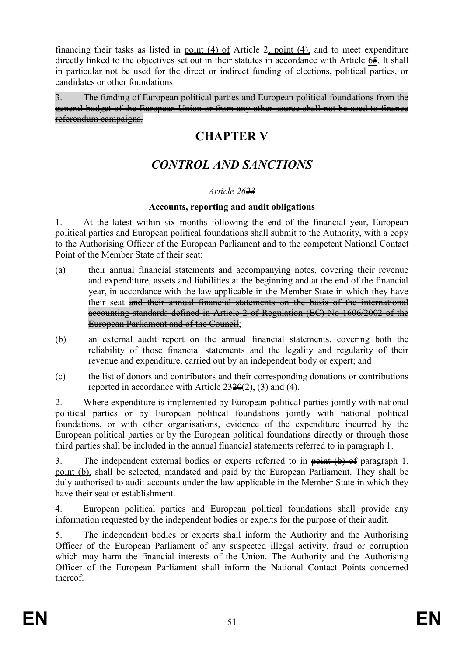financing their tasks as listed in  $\frac{\text{point}(4) \cdot \text{of}}{\text{orbit}(2) \cdot \text{point}(4)}$  and to meet expenditure directly linked to the objectives set out in their statutes in accordance with Article  $6\frac{5}{2}$ . It shall in particular not be used for the direct or indirect funding of elections, political parties, or candidates or other foundations.

3. The funding of European political parties and European political foundations from the general budget of the European Union or from any other source shall not be used to finance referendum campaigns.

# **CHAPTER V**

# *CONTROL AND SANCTIONS*

## *Article 2623*

#### **Accounts, reporting and audit obligations**

1. At the latest within six months following the end of the financial year, European political parties and European political foundations shall submit to the Authority, with a copy to the Authorising Officer of the European Parliament and to the competent National Contact Point of the Member State of their seat:

- (a) their annual financial statements and accompanying notes, covering their revenue and expenditure, assets and liabilities at the beginning and at the end of the financial year, in accordance with the law applicable in the Member State in which they have their seat and their annual financial statements on the basis of the international accounting standards defined in Article 2 of Regulation (EC) No 1606/2002 of the European Parliament and of the Council:
- (b) an external audit report on the annual financial statements, covering both the reliability of those financial statements and the legality and regularity of their revenue and expenditure, carried out by an independent body or expert; and
- (c) the list of donors and contributors and their corresponding donations or contributions reported in accordance with Article  $2320(2)$ , (3) and (4).

2. Where expenditure is implemented by European political parties jointly with national political parties or by European political foundations jointly with national political foundations, or with other organisations, evidence of the expenditure incurred by the European political parties or by the European political foundations directly or through those third parties shall be included in the annual financial statements referred to in paragraph 1.

3. The independent external bodies or experts referred to in  $\frac{\text{point}(\text{b}) - \text{of}}{\text{point}(\text{b}) - \text{of}}}$  paragraph 1, point (b), shall be selected, mandated and paid by the European Parliament. They shall be duly authorised to audit accounts under the law applicable in the Member State in which they have their seat or establishment.

4. European political parties and European political foundations shall provide any information requested by the independent bodies or experts for the purpose of their audit.

5. The independent bodies or experts shall inform the Authority and the Authorising Officer of the European Parliament of any suspected illegal activity, fraud or corruption which may harm the financial interests of the Union. The Authority and the Authorising Officer of the European Parliament shall inform the National Contact Points concerned thereof.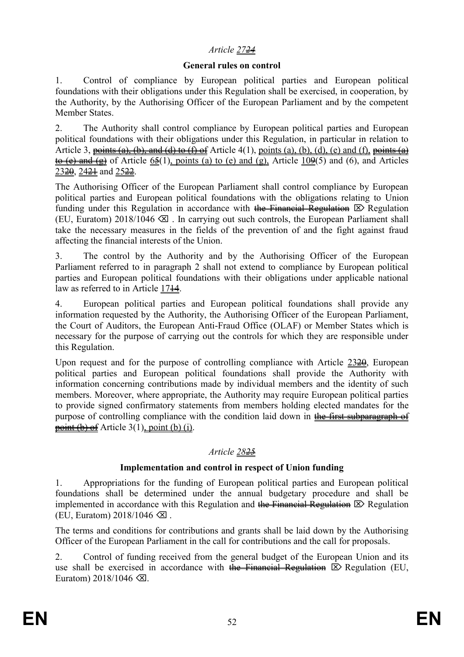#### *Article 2724*

#### **General rules on control**

1. Control of compliance by European political parties and European political foundations with their obligations under this Regulation shall be exercised, in cooperation, by the Authority, by the Authorising Officer of the European Parliament and by the competent Member States.

2. The Authority shall control compliance by European political parties and European political foundations with their obligations under this Regulation, in particular in relation to Article 3, points (a), (b), and (d) to (f) of Article 4(1), points (a), (b), (d), (e) and (f), points (a) to (e) and (g) of Article  $6\frac{5}{1}$ , points (a) to (e) and (g), Article 10 $\frac{9}{5}$  and (6), and Articles  $2320, 2421$  and  $2522$ .

The Authorising Officer of the European Parliament shall control compliance by European political parties and European political foundations with the obligations relating to Union funding under this Regulation in accordance with the Financial Regulation  $\boxtimes$  Regulation (EU, Euratom)  $2018/1046 \leq$  In carrying out such controls, the European Parliament shall take the necessary measures in the fields of the prevention of and the fight against fraud affecting the financial interests of the Union.

3. The control by the Authority and by the Authorising Officer of the European Parliament referred to in paragraph 2 shall not extend to compliance by European political parties and European political foundations with their obligations under applicable national law as referred to in Article 1744.

4. European political parties and European political foundations shall provide any information requested by the Authority, the Authorising Officer of the European Parliament, the Court of Auditors, the European Anti-Fraud Office (OLAF) or Member States which is necessary for the purpose of carrying out the controls for which they are responsible under this Regulation.

Upon request and for the purpose of controlling compliance with Article  $2320$ , European political parties and European political foundations shall provide the Authority with information concerning contributions made by individual members and the identity of such members. Moreover, where appropriate, the Authority may require European political parties to provide signed confirmatory statements from members holding elected mandates for the purpose of controlling compliance with the condition laid down in the first subparagraph of  $point$  (b) of Article 3(1), point (b) (i).

#### *Article 2825*

## **Implementation and control in respect of Union funding**

1. Appropriations for the funding of European political parties and European political foundations shall be determined under the annual budgetary procedure and shall be implemented in accordance with this Regulation and the Financial Regulation  $\boxtimes$  Regulation (EU, Euratom)  $2018/1046 \text{ } \textcircled{x}$ .

The terms and conditions for contributions and grants shall be laid down by the Authorising Officer of the European Parliament in the call for contributions and the call for proposals.

2. Control of funding received from the general budget of the European Union and its use shall be exercised in accordance with the Financial Regulation  $\mathbb{Z}$  Regulation (EU, Euratom)  $2018/1046 \text{ } \textcircled{}$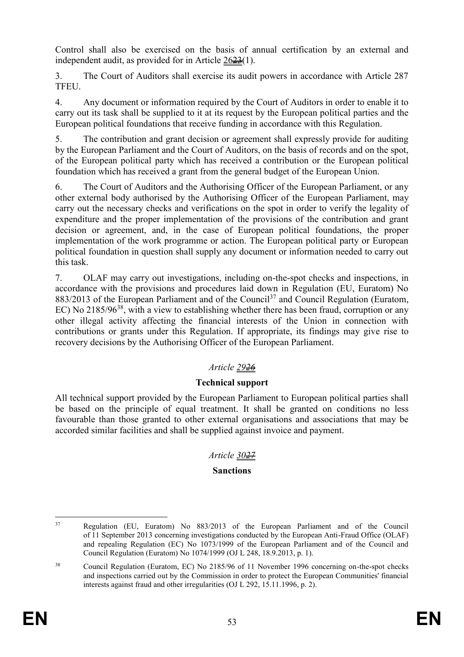Control shall also be exercised on the basis of annual certification by an external and independent audit, as provided for in Article  $2622(1)$ .

3. The Court of Auditors shall exercise its audit powers in accordance with Article 287 **TFEU** 

4. Any document or information required by the Court of Auditors in order to enable it to carry out its task shall be supplied to it at its request by the European political parties and the European political foundations that receive funding in accordance with this Regulation.

5. The contribution and grant decision or agreement shall expressly provide for auditing by the European Parliament and the Court of Auditors, on the basis of records and on the spot, of the European political party which has received a contribution or the European political foundation which has received a grant from the general budget of the European Union.

6. The Court of Auditors and the Authorising Officer of the European Parliament, or any other external body authorised by the Authorising Officer of the European Parliament, may carry out the necessary checks and verifications on the spot in order to verify the legality of expenditure and the proper implementation of the provisions of the contribution and grant decision or agreement, and, in the case of European political foundations, the proper implementation of the work programme or action. The European political party or European political foundation in question shall supply any document or information needed to carry out this task.

7. OLAF may carry out investigations, including on-the-spot checks and inspections, in accordance with the provisions and procedures laid down in Regulation (EU, Euratom) No 883/2013 of the European Parliament and of the Council<sup>37</sup> and Council Regulation (Euratom, EC) No  $2185/96^{38}$ , with a view to establishing whether there has been fraud, corruption or any other illegal activity affecting the financial interests of the Union in connection with contributions or grants under this Regulation. If appropriate, its findings may give rise to recovery decisions by the Authorising Officer of the European Parliament.

# *Article 2926*

## **Technical support**

All technical support provided by the European Parliament to European political parties shall be based on the principle of equal treatment. It shall be granted on conditions no less favourable than those granted to other external organisations and associations that may be accorded similar facilities and shall be supplied against invoice and payment.

## *Article 3027*

## **Sanctions**

 $37$ <sup>37</sup> Regulation (EU, Euratom) No 883/2013 of the European Parliament and of the Council of 11 September 2013 concerning investigations conducted by the European Anti-Fraud Office (OLAF) and repealing Regulation (EC) No 1073/1999 of the European Parliament and of the Council and Council Regulation (Euratom) No 1074/1999 (OJ L 248, 18.9.2013, p. 1).

<sup>38</sup> Council Regulation (Euratom, EC) No 2185/96 of 11 November 1996 concerning on-the-spot checks and inspections carried out by the Commission in order to protect the European Communities' financial interests against fraud and other irregularities (OJ L 292, 15.11.1996, p. 2).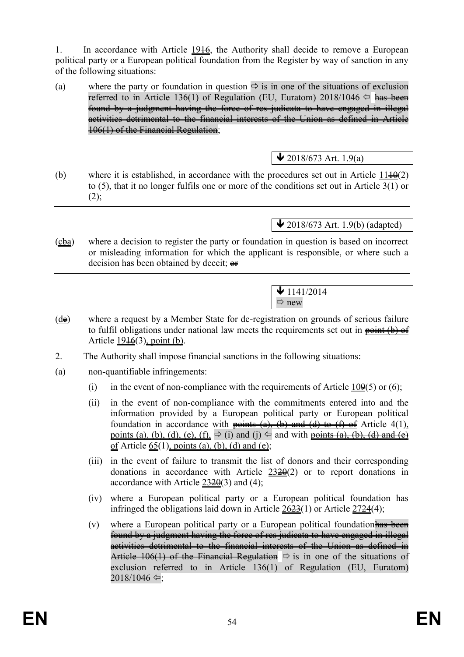1. In accordance with Article 1916, the Authority shall decide to remove a European political party or a European political foundation from the Register by way of sanction in any of the following situations:

(a) where the party or foundation in question  $\Rightarrow$  is in one of the situations of exclusion referred to in Article 136(1) of Regulation (EU, Euratom) 2018/1046  $\Leftrightarrow$  has been found by a judgment having the force of res judicata to have engaged in illegal activities detrimental to the financial interests of the Union as defined in Article 106(1) of the Financial Regulation;

 $\triangle$  2018/673 Art. 1.9(a)

(b) where it is established, in accordance with the procedures set out in Article  $11\overline{40}(2)$ to (5), that it no longer fulfils one or more of the conditions set out in Article 3(1) or  $(2)$ ;

## $\blacktriangleright$  2018/673 Art. 1.9(b) (adapted)

 $(cba)$  where a decision to register the party or foundation in question is based on incorrect or misleading information for which the applicant is responsible, or where such a decision has been obtained by deceit;  $\theta$ 

> $\bigvee$  1141/2014  $\Rightarrow$  new

- $(d\mathbf{e})$  where a request by a Member State for de-registration on grounds of serious failure to fulfil obligations under national law meets the requirements set out in point (b) of Article  $1946(3)$ , point (b).
- 2. The Authority shall impose financial sanctions in the following situations:
- (a) non-quantifiable infringements:
	- (i) in the event of non-compliance with the requirements of Article  $109(5)$  or (6);
	- (ii) in the event of non-compliance with the commitments entered into and the information provided by a European political party or European political foundation in accordance with points  $(a)$ ,  $(b)$  and  $(d)$  to  $(f)$  of Article 4(1), points (a), (b), (d), (e), (f),  $\Rightarrow$  (i) and (j)  $\Leftrightarrow$  and with points (a), (b), (d) and (e)  $\frac{f}{f}$  Article  $\frac{f}{f}$  Article  $\frac{f}{f}$  (1), points (a), (b), (d) and (e);
	- (iii) in the event of failure to transmit the list of donors and their corresponding donations in accordance with Article  $2320(2)$  or to report donations in accordance with Article  $2320(3)$  and (4);
	- (iv) where a European political party or a European political foundation has infringed the obligations laid down in Article  $26~~23~~(1)$  or Article  $27~~24~~(4)$ ;
	- (v) where a European political party or a European political foundation has been found by a judgment having the force of res judicata to have engaged in illegal activities detrimental to the financial interests of the Union as defined in Article 106(1) of the Financial Regulation  $\Rightarrow$  is in one of the situations of exclusion referred to in Article 136(1) of Regulation (EU, Euratom)  $2018/1046 \Leftrightarrow$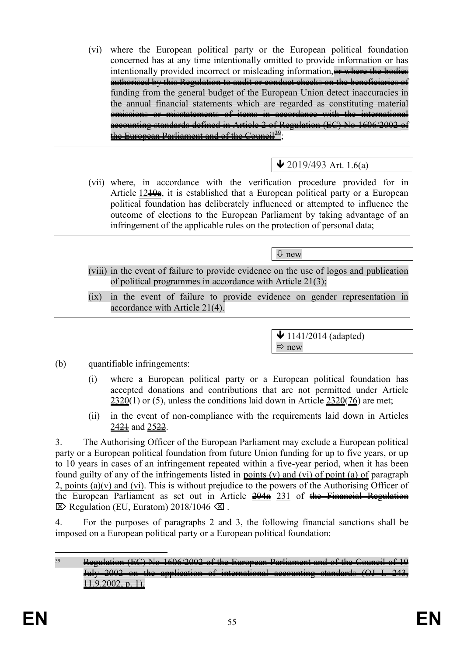(vi) where the European political party or the European political foundation concerned has at any time intentionally omitted to provide information or has intentionally provided incorrect or misleading information, or where the bodies authorised by this Regulation to audit or conduct checks on the beneficiaries of funding from the general budget of the European Union detect inaccuracies in the annual financial statements which are regarded as constituting material omissions or misstatements of items in accordance with the international accounting standards defined in Article 2 of Regulation (EC) No 1606/2002 of the European Parliament and of the Council<sup>39</sup>;

# $\triangle$  2019/493 Art. 1.6(a)

(vii) where, in accordance with the verification procedure provided for in Article  $12+0a$ , it is established that a European political party or a European political foundation has deliberately influenced or attempted to influence the outcome of elections to the European Parliament by taking advantage of an infringement of the applicable rules on the protection of personal data;

new

- (viii) in the event of failure to provide evidence on the use of logos and publication of political programmes in accordance with Article 21(3);
- (ix) in the event of failure to provide evidence on gender representation in accordance with Article 21(4).

 $\bigvee$  1141/2014 (adapted)  $\Rightarrow$  new

- (b) quantifiable infringements:
	- (i) where a European political party or a European political foundation has accepted donations and contributions that are not permitted under Article  $2320(1)$  or (5), unless the conditions laid down in Article  $2320(76)$  are met;
	- (ii) in the event of non-compliance with the requirements laid down in Articles  $242+$  and  $2522$ .

3. The Authorising Officer of the European Parliament may exclude a European political party or a European political foundation from future Union funding for up to five years, or up to 10 years in cases of an infringement repeated within a five-year period, when it has been found guilty of any of the infringements listed in  $\frac{\partial u}{\partial x} + \frac{\partial u}{\partial y} + \frac{\partial u}{\partial z} + \frac{\partial u}{\partial z} + \frac{\partial u}{\partial x} + \frac{\partial u}{\partial y} + \frac{\partial u}{\partial z} + \frac{\partial u}{\partial x} + \frac{\partial u}{\partial y} + \frac{\partial u}{\partial z} + \frac{\partial u}{\partial x} + \frac{\partial u}{\partial y} + \frac{\partial u}{\partial y} + \frac{\partial u}{\partial z} + \frac{\partial u}{\partial y} + \frac{\partial$ 2, points  $(a)(v)$  and  $(vi)$ . This is without prejudice to the powers of the Authorising Officer of the European Parliament as set out in Article  $\frac{204n}{1231}$  of the Financial Regulation  $\boxtimes$  Regulation (EU, Euratom) 2018/1046  $\boxtimes$ .

4. For the purposes of paragraphs 2 and 3, the following financial sanctions shall be imposed on a European political party or a European political foundation:

 <sup>39</sup> Regulation (EC) No 1606/2002 of the European Parliament and of the Council of July 2002 on the application of international accounting standards (OJ L 243,  $11.9.2002, p.1$ .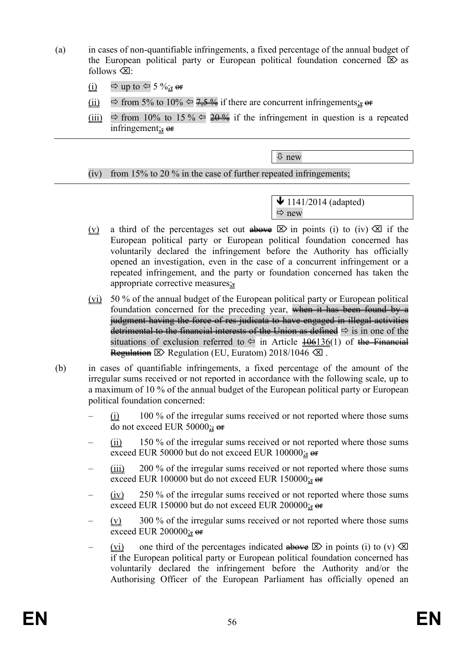- (a) in cases of non-quantifiable infringements, a fixed percentage of the annual budget of the European political party or European political foundation concerned  $\boxtimes$  as follows  $\mathfrak{D}$ :
	- (i)  $\Rightarrow$  up to  $\Leftarrow$  5 %; or
	- (ii)  $\Rightarrow$  from 5% to 10%  $\Leftrightarrow$  7.5% if there are concurrent infringements;
	- (iii)  $\Rightarrow$  from 10% to 15 %  $\Leftarrow$  20 % if the infringement in question is a repeated infringement; $\div$

new

(iv) from 15% to 20 % in the case of further repeated infringements;

 $\bigvee$  1141/2014 (adapted)  $Arr$  new

- (v) a third of the percentages set out above  $\boxtimes$  in points (i) to (iv)  $\boxtimes$  if the European political party or European political foundation concerned has voluntarily declared the infringement before the Authority has officially opened an investigation, even in the case of a concurrent infringement or a repeated infringement, and the party or foundation concerned has taken the appropriate corrective measures;,
- (vi) 50 % of the annual budget of the European political party or European political foundation concerned for the preceding year, when it has been found by a judgment having the force of res judicata to have engaged in illegal activities detrimental to the financial interests of the Union as defined  $\Rightarrow$  is in one of the situations of exclusion referred to  $\Leftrightarrow$  in Article  $\frac{106136}{100}$  of the Financial Regulation  $\boxtimes$  Regulation (EU, Euratom) 2018/1046  $\boxtimes$ .
- (b) in cases of quantifiable infringements, a fixed percentage of the amount of the irregular sums received or not reported in accordance with the following scale, up to a maximum of 10 % of the annual budget of the European political party or European political foundation concerned:
	- $(i)$  100 % of the irregular sums received or not reported where those sums do not exceed EUR  $50000$ ;
	- $(iii)$  150 % of the irregular sums received or not reported where those sums exceed EUR 50000 but do not exceed EUR  $100000$ ;
	- $(iii)$  200 % of the irregular sums received or not reported where those sums exceed EUR 100000 but do not exceed EUR 150000 $\frac{1}{25}$  or
	- $(iv)$  250 % of the irregular sums received or not reported where those sums exceed EUR 150000 but do not exceed EUR 200000 $\frac{1}{2}$  <del>or</del>
	- $(v)$  300 % of the irregular sums received or not reported where those sums exceed EUR 200000;
	- (vi) one third of the percentages indicated above  $\mathbb{Z}$  in points (i) to (v)  $\mathbb{Z}$ if the European political party or European political foundation concerned has voluntarily declared the infringement before the Authority and/or the Authorising Officer of the European Parliament has officially opened an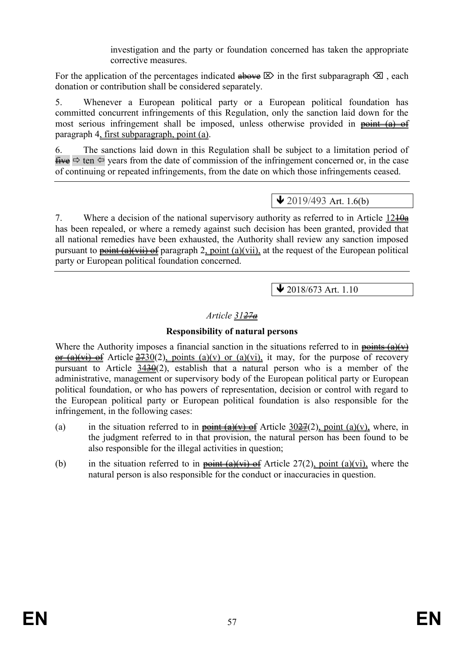investigation and the party or foundation concerned has taken the appropriate corrective measures.

For the application of the percentages indicated  $\theta$  above  $\boxtimes$  in the first subparagraph  $\boxtimes$ , each donation or contribution shall be considered separately.

5. Whenever a European political party or a European political foundation has committed concurrent infringements of this Regulation, only the sanction laid down for the most serious infringement shall be imposed, unless otherwise provided in  $\frac{\text{point}}{\text{point}}$  (a) of paragraph 4, first subparagraph, point (a).

6. The sanctions laid down in this Regulation shall be subject to a limitation period of  $f_{\text{true}} \Rightarrow$  ten  $\Leftarrow$  years from the date of commission of the infringement concerned or, in the case of continuing or repeated infringements, from the date on which those infringements ceased.

## $\triangle$  2019/493 Art. 1.6(b)

7. Where a decision of the national supervisory authority as referred to in Article  $12\frac{10a}{12}$ has been repealed, or where a remedy against such decision has been granted, provided that all national remedies have been exhausted, the Authority shall review any sanction imposed pursuant to **point (a)(vii) of** paragraph 2, point (a)(vii), at the request of the European political party or European political foundation concerned.

 $\sqrt{2018/673 \text{ Art.} 1.10}$ 

## *Article 3127a*

#### **Responsibility of natural persons**

Where the Authority imposes a financial sanction in the situations referred to in  $\frac{\text{points (a)}}{\text{points (a)}}$  $r_{\text{eff}}(a)(\overrightarrow{vi})$  of Article  $\frac{2730(2)}{2730(2)}$ , points  $(a)(v)$  or  $(a)(vi)$ , it may, for the purpose of recovery pursuant to Article  $3430(2)$ , establish that a natural person who is a member of the administrative, management or supervisory body of the European political party or European political foundation, or who has powers of representation, decision or control with regard to the European political party or European political foundation is also responsible for the infringement, in the following cases:

- (a) in the situation referred to in point  $(a)(v)$  of Article 3027(2), point (a)(v), where, in the judgment referred to in that provision, the natural person has been found to be also responsible for the illegal activities in question;
- (b) in the situation referred to in point  $(a)(vi)$  of Article 27(2), point (a)(vi), where the natural person is also responsible for the conduct or inaccuracies in question.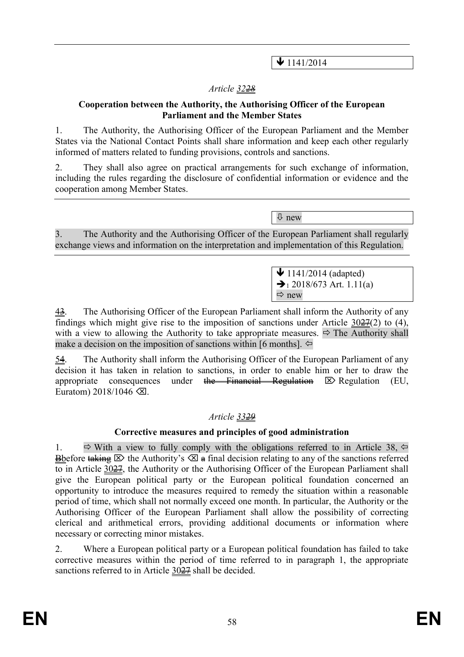$\bigvee$  1141/2014

## *Article 3228*

#### **Cooperation between the Authority, the Authorising Officer of the European Parliament and the Member States**

1. The Authority, the Authorising Officer of the European Parliament and the Member States via the National Contact Points shall share information and keep each other regularly informed of matters related to funding provisions, controls and sanctions.

2. They shall also agree on practical arrangements for such exchange of information, including the rules regarding the disclosure of confidential information or evidence and the cooperation among Member States.

new

3. The Authority and the Authorising Officer of the European Parliament shall regularly exchange views and information on the interpretation and implementation of this Regulation.

> $\blacktriangleright$  1141/2014 (adapted)  $\rightarrow$  1 2018/673 Art. 1.11(a)  $Arr$  new

43. The Authorising Officer of the European Parliament shall inform the Authority of any findings which might give rise to the imposition of sanctions under Article  $30\frac{27}{2}$  to (4), with a view to allowing the Authority to take appropriate measures.  $\Rightarrow$  The Authority shall make a decision on the imposition of sanctions within [6 months].  $\Leftrightarrow$ 

54. The Authority shall inform the Authorising Officer of the European Parliament of any decision it has taken in relation to sanctions, in order to enable him or her to draw the appropriate consequences under the Financial Regulation  $\boxtimes$  Regulation (EU, Euratom) 2018/1046  $\&$ .

# *Article 3329*

## **Corrective measures and principles of good administration**

1.  $\Rightarrow$  With a view to fully comply with the obligations referred to in Article 38,  $\Leftrightarrow$ Boefore taking  $\boxtimes$  the Authority's  $\boxtimes$  a final decision relating to any of the sanctions referred to in Article 3027, the Authority or the Authorising Officer of the European Parliament shall give the European political party or the European political foundation concerned an opportunity to introduce the measures required to remedy the situation within a reasonable period of time, which shall not normally exceed one month. In particular, the Authority or the Authorising Officer of the European Parliament shall allow the possibility of correcting clerical and arithmetical errors, providing additional documents or information where necessary or correcting minor mistakes.

2. Where a European political party or a European political foundation has failed to take corrective measures within the period of time referred to in paragraph 1, the appropriate sanctions referred to in Article 3027 shall be decided.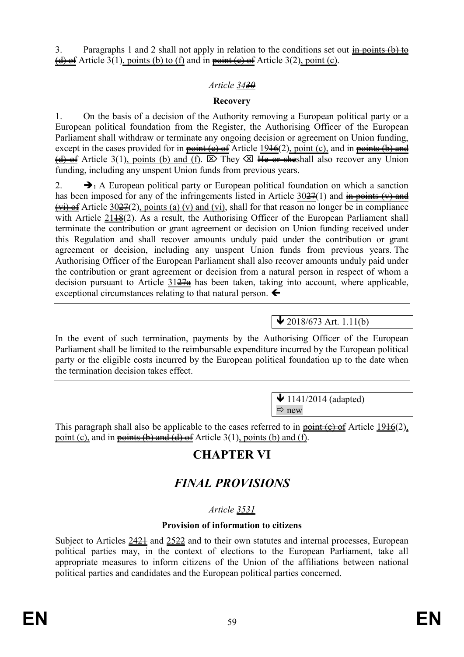3. Paragraphs 1 and 2 shall not apply in relation to the conditions set out  $\frac{1}{2}$  points (b) to  $\overline{(d)}$  of Article 3(1), points (b) to (f) and in point  $\overline{(e)}$  af Article 3(2), point (c).

## *Article 3430*

# **Recovery**

1. On the basis of a decision of the Authority removing a European political party or a European political foundation from the Register, the Authorising Officer of the European Parliament shall withdraw or terminate any ongoing decision or agreement on Union funding, except in the cases provided for in **point (e) of** Article  $1916(2)$ , point (c), and in points (b) and  $\overline{(d)}$  of Article 3(1), points (b) and (f).  $\overline{D}$  They  $\overline{D}$  He or sheshall also recover any Union funding, including any unspent Union funds from previous years.

2.  $\rightarrow$  1 A European political party or European political foundation on which a sanction has been imposed for any of the infringements listed in Article  $3027(1)$  and in points (v) and  $\overline{(vi) \text{ of } }$  Article 3027(2), points (a) (v) and (vi), shall for that reason no longer be in compliance with Article 21<del>18</del>(2). As a result, the Authorising Officer of the European Parliament shall terminate the contribution or grant agreement or decision on Union funding received under this Regulation and shall recover amounts unduly paid under the contribution or grant agreement or decision, including any unspent Union funds from previous years. The Authorising Officer of the European Parliament shall also recover amounts unduly paid under the contribution or grant agreement or decision from a natural person in respect of whom a decision pursuant to Article  $31\frac{27}{9}$  has been taken, taking into account, where applicable, exceptional circumstances relating to that natural person.  $\blacktriangleleft$ 

# $\sqrt{2018/673 \text{ Art.} 1.11(b)}$

In the event of such termination, payments by the Authorising Officer of the European Parliament shall be limited to the reimbursable expenditure incurred by the European political party or the eligible costs incurred by the European political foundation up to the date when the termination decision takes effect.

> $\bigvee$  1141/2014 (adapted)  $\Rightarrow$  new

This paragraph shall also be applicable to the cases referred to in point (e) of Article 1946(2), point (c), and in points (b) and (d) of Article  $3(1)$ , points (b) and (f).

# **CHAPTER VI**

# *FINAL PROVISIONS*

# *Article 3531*

# **Provision of information to citizens**

Subject to Articles  $242\pm 1$  and  $252\pm 2$  and to their own statutes and internal processes, European political parties may, in the context of elections to the European Parliament, take all appropriate measures to inform citizens of the Union of the affiliations between national political parties and candidates and the European political parties concerned.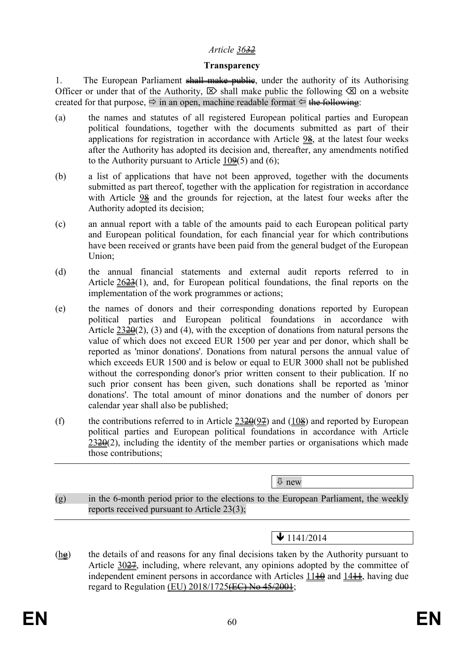#### *Article 3632*

#### **Transparency**

1. The European Parliament shall make public, under the authority of its Authorising Officer or under that of the Authority,  $\boxtimes$  shall make public the following  $\boxtimes$  on a website created for that purpose,  $\Rightarrow$  in an open, machine readable format  $\Leftarrow$  the following:

- (a) the names and statutes of all registered European political parties and European political foundations, together with the documents submitted as part of their applications for registration in accordance with Article  $9\frac{9}{10}$ , at the latest four weeks after the Authority has adopted its decision and, thereafter, any amendments notified to the Authority pursuant to Article  $10\frac{9}{5}$  and (6);
- (b) a list of applications that have not been approved, together with the documents submitted as part thereof, together with the application for registration in accordance with Article 9<del>8</del> and the grounds for rejection, at the latest four weeks after the Authority adopted its decision;
- (c) an annual report with a table of the amounts paid to each European political party and European political foundation, for each financial year for which contributions have been received or grants have been paid from the general budget of the European Union;
- (d) the annual financial statements and external audit reports referred to in Article  $2622(1)$ , and, for European political foundations, the final reports on the implementation of the work programmes or actions;
- (e) the names of donors and their corresponding donations reported by European political parties and European political foundations in accordance with Article  $2320(2)$ , (3) and (4), with the exception of donations from natural persons the value of which does not exceed EUR 1500 per year and per donor, which shall be reported as 'minor donations'. Donations from natural persons the annual value of which exceeds EUR 1500 and is below or equal to EUR 3000 shall not be published without the corresponding donor's prior written consent to their publication. If no such prior consent has been given, such donations shall be reported as 'minor donations'. The total amount of minor donations and the number of donors per calendar year shall also be published;
- (f) the contributions referred to in Article  $2320(97)$  and  $(108)$  and reported by European political parties and European political foundations in accordance with Article  $2320(2)$ , including the identity of the member parties or organisations which made those contributions;

new

(g) in the 6-month period prior to the elections to the European Parliament, the weekly reports received pursuant to Article 23(3);

 $\bigvee$  1141/2014

 $(\underline{h}\underline{\mathbf{e}})$  the details of and reasons for any final decisions taken by the Authority pursuant to Article 3027, including, where relevant, any opinions adopted by the committee of independent eminent persons in accordance with Articles  $11\overline{49}$  and  $14\overline{41}$ , having due regard to Regulation (EU)  $2018/1725$ <del>(EC) No 45/2001</del>;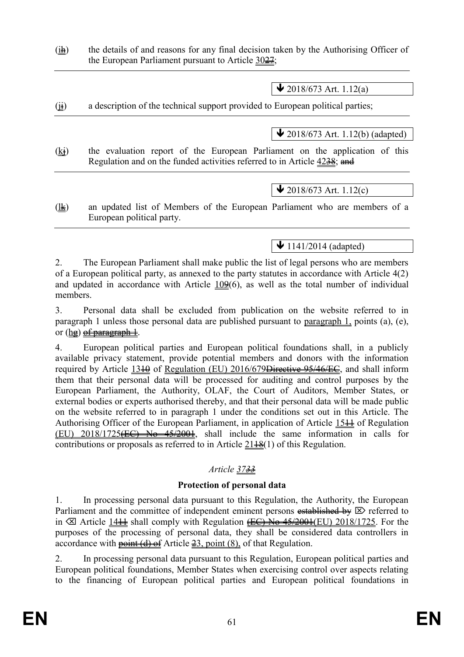$(i)$  the details of and reasons for any final decision taken by the Authorising Officer of the European Parliament pursuant to Article  $3027$ ;

 $\bigvee$  2018/673 Art. 1.12(a)

 $(i<sub>i</sub>)$  a description of the technical support provided to European political parties;

# $\bigvee$  2018/673 Art. 1.12(b) (adapted)

 $(k<sub>i</sub>)$  the evaluation report of the European Parliament on the application of this Regulation and on the funded activities referred to in Article 42<del>38</del>; and

 $\bigvee$  2018/673 Art. 1.12(c)

 $(\underline{k})$  an updated list of Members of the European Parliament who are members of a European political party.

 $\bigvee$  1141/2014 (adapted)

2. The European Parliament shall make public the list of legal persons who are members of a European political party, as annexed to the party statutes in accordance with Article 4(2) and updated in accordance with Article  $10\frac{9}{6}$ , as well as the total number of individual members.

3. Personal data shall be excluded from publication on the website referred to in paragraph 1 unless those personal data are published pursuant to paragraph 1, points (a), (e), or  $(h\mathbf{e})$  of paragraph 1.

4. European political parties and European political foundations shall, in a publicly available privacy statement, provide potential members and donors with the information required by Article 13<sup>10</sup> of Regulation (EU) 2016/679Directive 95/46/EC, and shall inform them that their personal data will be processed for auditing and control purposes by the European Parliament, the Authority, OLAF, the Court of Auditors, Member States, or external bodies or experts authorised thereby, and that their personal data will be made public on the website referred to in paragraph 1 under the conditions set out in this Article. The Authorising Officer of the European Parliament, in application of Article 15<sup>11</sup> of Regulation (EU) 2018/1725(EC) No 45/2001, shall include the same information in calls for contributions or proposals as referred to in Article  $21\frac{18}{10}$  of this Regulation.

# *Article 3733*

## **Protection of personal data**

1. In processing personal data pursuant to this Regulation, the Authority, the European Parliament and the committee of independent eminent persons established by  $\boxtimes$  referred to in  $\otimes$  Article 14<sup>11</sup> shall comply with Regulation (EC) No 45/2001(EU) 2018/1725. For the purposes of the processing of personal data, they shall be considered data controllers in accordance with point  $(d)$  of Article  $\geq 3$ , point (8), of that Regulation.

2. In processing personal data pursuant to this Regulation, European political parties and European political foundations, Member States when exercising control over aspects relating to the financing of European political parties and European political foundations in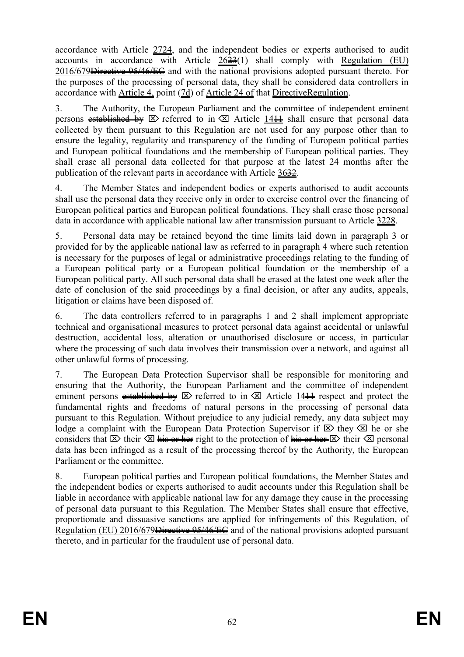accordance with Article  $2724$ , and the independent bodies or experts authorised to audit accounts in accordance with Article  $2622(1)$  shall comply with Regulation (EU) 2016/679<del>Directive 95/46/EC</del> and with the national provisions adopted pursuant thereto. For the purposes of the processing of personal data, they shall be considered data controllers in accordance with Article 4, point  $(7\frac{d}{ } )$  of  $\frac{4\pi}{100}$  of  $\frac{4\pi}{100}$  and  $\frac{4\pi}{100}$  and  $\frac{4\pi}{100}$  and  $\frac{4\pi}{100}$  and  $\frac{4\pi}{100}$  are  $\frac{4\pi}{100}$  and  $\frac{4\pi}{100}$  and  $\frac{4\pi}{100}$  are  $\frac{4\pi}{100}$ 

3. The Authority, the European Parliament and the committee of independent eminent persons established by  $\boxtimes$  referred to in  $\boxtimes$  Article 14<sup>11</sup> shall ensure that personal data collected by them pursuant to this Regulation are not used for any purpose other than to ensure the legality, regularity and transparency of the funding of European political parties and European political foundations and the membership of European political parties. They shall erase all personal data collected for that purpose at the latest 24 months after the publication of the relevant parts in accordance with Article 3632.

4. The Member States and independent bodies or experts authorised to audit accounts shall use the personal data they receive only in order to exercise control over the financing of European political parties and European political foundations. They shall erase those personal data in accordance with applicable national law after transmission pursuant to Article 3228.

5. Personal data may be retained beyond the time limits laid down in paragraph 3 or provided for by the applicable national law as referred to in paragraph 4 where such retention is necessary for the purposes of legal or administrative proceedings relating to the funding of a European political party or a European political foundation or the membership of a European political party. All such personal data shall be erased at the latest one week after the date of conclusion of the said proceedings by a final decision, or after any audits, appeals, litigation or claims have been disposed of.

6. The data controllers referred to in paragraphs 1 and 2 shall implement appropriate technical and organisational measures to protect personal data against accidental or unlawful destruction, accidental loss, alteration or unauthorised disclosure or access, in particular where the processing of such data involves their transmission over a network, and against all other unlawful forms of processing.

7. The European Data Protection Supervisor shall be responsible for monitoring and ensuring that the Authority, the European Parliament and the committee of independent eminent persons established by  $\boxtimes$  referred to in  $\boxtimes$  Article 14<sup>11</sup> respect and protect the fundamental rights and freedoms of natural persons in the processing of personal data pursuant to this Regulation. Without prejudice to any judicial remedy, any data subject may lodge a complaint with the European Data Protection Supervisor if  $\boxtimes$  they  $\boxtimes$  he or she considers that  $\boxtimes$  their  $\boxtimes$  his or her right to the protection of his or her  $\boxtimes$  their  $\boxtimes$  personal data has been infringed as a result of the processing thereof by the Authority, the European Parliament or the committee.

8. European political parties and European political foundations, the Member States and the independent bodies or experts authorised to audit accounts under this Regulation shall be liable in accordance with applicable national law for any damage they cause in the processing of personal data pursuant to this Regulation. The Member States shall ensure that effective, proportionate and dissuasive sanctions are applied for infringements of this Regulation, of Regulation (EU) 2016/679<del>Directive 95/46/EC</del> and of the national provisions adopted pursuant thereto, and in particular for the fraudulent use of personal data.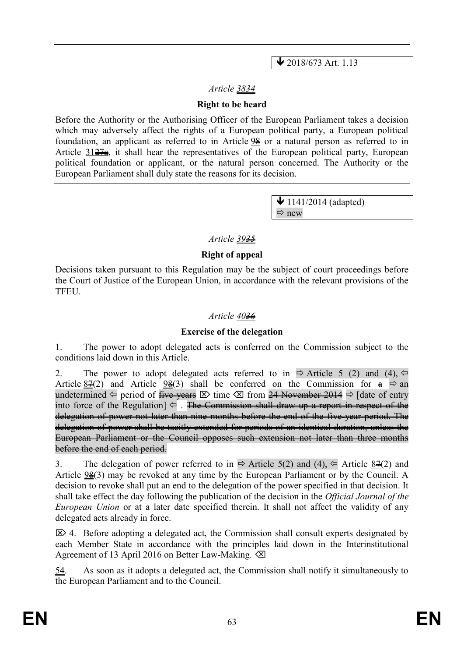$\bigvee$  2018/673 Art. 1.13

# *Article 3834*

## **Right to be heard**

Before the Authority or the Authorising Officer of the European Parliament takes a decision which may adversely affect the rights of a European political party, a European political foundation, an applicant as referred to in Article 98 or a natural person as referred to in Article  $3127a$ , it shall hear the representatives of the European political party, European political foundation or applicant, or the natural person concerned. The Authority or the European Parliament shall duly state the reasons for its decision.

> $\blacktriangleright$  1141/2014 (adapted)  $\Rightarrow$  new

## *Article 3935*

## **Right of appeal**

Decisions taken pursuant to this Regulation may be the subject of court proceedings before the Court of Justice of the European Union, in accordance with the relevant provisions of the TFEU.

## *Article 4036*

# **Exercise of the delegation**

1. The power to adopt delegated acts is conferred on the Commission subject to the conditions laid down in this Article.

2. The power to adopt delegated acts referred to in  $\Rightarrow$  Article 5 (2) and (4),  $\Leftarrow$ Article  $8\frac{1}{2}(2)$  and Article  $9\frac{8}{3}$ ) shall be conferred on the Commission for  $\theta \Rightarrow$  and undetermined  $\Leftarrow$  period of  $\overline{f_{\text{i}}\text{w_{e}}}$  years  $\boxtimes$  time  $\boxtimes$  from 24 November 2014  $\Leftrightarrow$  [date of entry into force of the Regulation]  $\Leftrightarrow$  . The Commission shall draw up a report in respect of the delegation of power not later than nine months before the end of the five-year period. The delegation of power shall be tacitly extended for periods of an identical duration, unless the European Parliament or the Council opposes such extension not later than three months before the end of each period.

3. The delegation of power referred to in  $\Rightarrow$  Article 5(2) and (4),  $\Leftarrow$  Article 84(2) and Article 98(3) may be revoked at any time by the European Parliament or by the Council. A decision to revoke shall put an end to the delegation of the power specified in that decision. It shall take effect the day following the publication of the decision in the *Official Journal of the European Union* or at a later date specified therein. It shall not affect the validity of any delegated acts already in force.

 $\boxtimes$  4. Before adopting a delegated act, the Commission shall consult experts designated by each Member State in accordance with the principles laid down in the Interinstitutional Agreement of 13 April 2016 on Better Law-Making.  $\boxtimes$ 

 $54.$  As soon as it adopts a delegated act, the Commission shall notify it simultaneously to the European Parliament and to the Council.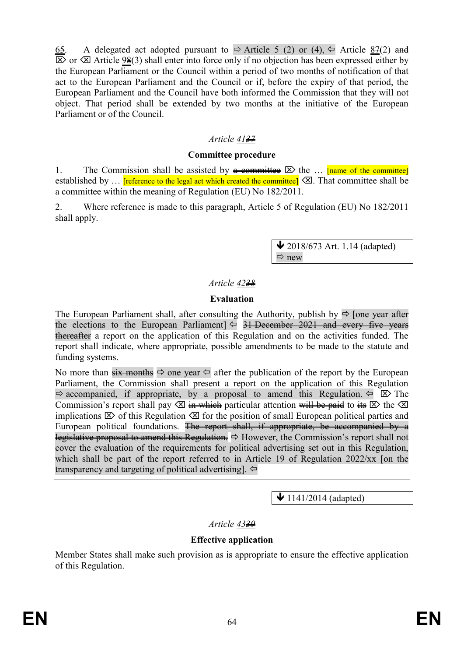6<del>5</del>. A delegated act adopted pursuant to  $\Rightarrow$  Article 5 (2) or (4),  $\Leftarrow$  Article 87(2) and  $\boxtimes$  or  $\boxtimes$  Article  $9\frac{8}{3}$  shall enter into force only if no objection has been expressed either by the European Parliament or the Council within a period of two months of notification of that act to the European Parliament and the Council or if, before the expiry of that period, the European Parliament and the Council have both informed the Commission that they will not object. That period shall be extended by two months at the initiative of the European Parliament or of the Council.

#### *Article 4137*

#### **Committee procedure**

1. The Commission shall be assisted by  $\theta$  a committee  $\mathbb{Z}$  the ... [name of the committee] established by  $\ldots$  [reference to the legal act which created the committee]  $\boxtimes$ . That committee shall be a committee within the meaning of Regulation (EU) No 182/2011.

2. Where reference is made to this paragraph, Article 5 of Regulation (EU) No 182/2011 shall apply.

> $\bigvee$  2018/673 Art. 1.14 (adapted)  $\Rightarrow$  new

## *Article 4238*

#### **Evaluation**

The European Parliament shall, after consulting the Authority, publish by  $\Rightarrow$  [one year after the elections to the European Parliament  $\approx$  31 December 2021 and every five years thereafter a report on the application of this Regulation and on the activities funded. The report shall indicate, where appropriate, possible amendments to be made to the statute and funding systems.

No more than  $\frac{1}{x}$  months  $\Rightarrow$  one year  $\Leftarrow$  after the publication of the report by the European Parliament, the Commission shall present a report on the application of this Regulation  $\Rightarrow$  accompanied, if appropriate, by a proposal to amend this Regulation.  $\Leftarrow \boxtimes$  The Commission's report shall pay  $\otimes$  in which particular attention will be paid to its  $\otimes$  the  $\otimes$ implications  $\boxtimes$  of this Regulation  $\boxtimes$  for the position of small European political parties and European political foundations. The report shall, if appropriate, be accompanied by a legislative proposal to amend this Regulation.  $\Rightarrow$  However, the Commission's report shall not cover the evaluation of the requirements for political advertising set out in this Regulation, which shall be part of the report referred to in Article 19 of Regulation 2022/xx [on the transparency and targeting of political advertising].  $\Leftrightarrow$ 

 $\sqrt{1141/2014 \text{ (adapted)}}$ 

# *Article 4339*

#### **Effective application**

Member States shall make such provision as is appropriate to ensure the effective application of this Regulation.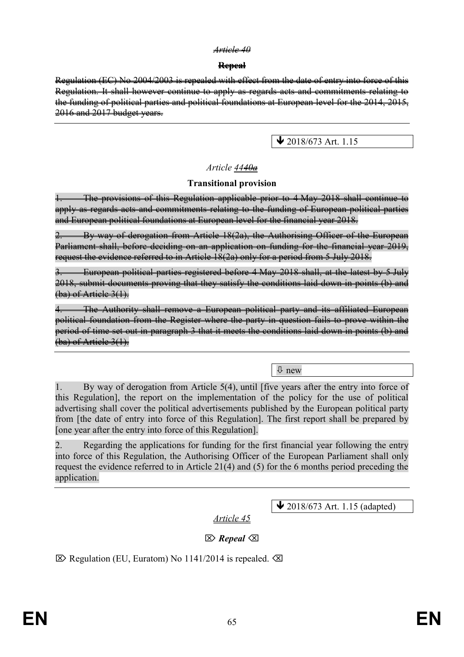#### *Article 40*

#### **Repeal**

Regulation (EC) No 2004/2003 is repealed with effect from the date of entry into force of this Regulation. It shall however continue to apply as regards acts and commitments relating to the funding of political parties and political foundations at European level for the 2014, 2015, 2016 and 2017 budget years.

#### $\bigvee$  2018/673 Art. 1.15

## *Article 4440a*

#### **Transitional provision**

The provisions of this Regulation applicable prior to 4 May 2018 shall continue to apply as regards acts and commitments relating to the funding of European political parties and European political foundations at European level for the financial year 2018.

By way of derogation from Article 18(2a), the Authorising Officer of the European Parliament shall, before deciding on an application on funding for the financial year 2019, request the evidence referred to in Article 18(2a) only for a period from 5 July 2018.

3. European political parties registered before 4 May 2018 shall, at the latest by 5 July 2018, submit documents proving that they satisfy the conditions laid down in points (b) and  $(ba)$  of Article  $3(1)$ .

**The Authority shall remove a European political party and its affiliated European** political foundation from the Register where the party in question fails to prove within the period of time set out in paragraph 3 that it meets the conditions laid down in points (b) and (ba) of Article 3(1).

new

1. By way of derogation from Article 5(4), until [five years after the entry into force of this Regulation], the report on the implementation of the policy for the use of political advertising shall cover the political advertisements published by the European political party from [the date of entry into force of this Regulation]. The first report shall be prepared by [one year after the entry into force of this Regulation].

2. Regarding the applications for funding for the first financial year following the entry into force of this Regulation, the Authorising Officer of the European Parliament shall only request the evidence referred to in Article 21(4) and (5) for the 6 months period preceding the application.

 $\blacktriangleright$  2018/673 Art. 1.15 (adapted)

## *Article 45*

## $\otimes$  *Repeal <b>* $\otimes$

 $\boxtimes$  Regulation (EU, Euratom) No 1141/2014 is repealed.  $\boxtimes$